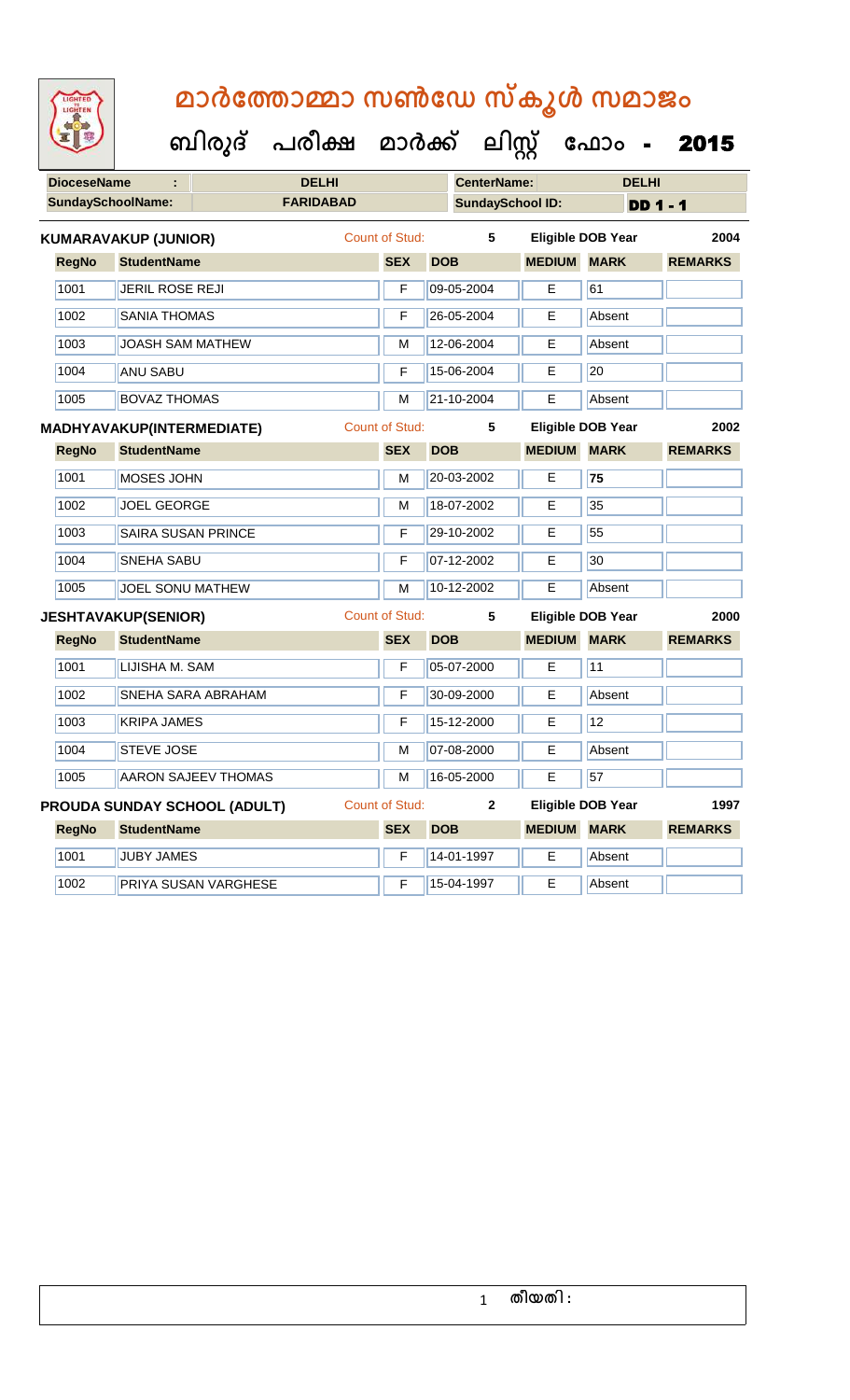| LIGHTED<br>LIGHTEN                             |                             | മാർത്തോമ്മാ സൺഡേ സ്കൂൾ സമാജം |                                      |                       |                                               |                                              |                          |                 |  |  |  |
|------------------------------------------------|-----------------------------|------------------------------|--------------------------------------|-----------------------|-----------------------------------------------|----------------------------------------------|--------------------------|-----------------|--|--|--|
|                                                |                             |                              | ബിരുദ് പരീക്ഷ മാർക്ക് ലിസ്റ്റ് ഫോം - |                       |                                               |                                              |                          | 2015            |  |  |  |
| <b>DioceseName</b><br><b>SundaySchoolName:</b> |                             |                              | <b>DELHI</b><br><b>FARIDABAD</b>     |                       | <b>CenterName:</b><br><b>SundaySchool ID:</b> |                                              | <b>DELHI</b>             | <b>DD 1 - 1</b> |  |  |  |
|                                                | <b>KUMARAVAKUP (JUNIOR)</b> |                              |                                      | Count of Stud:        | 5                                             |                                              | <b>Eligible DOB Year</b> | 2004            |  |  |  |
| <b>RegNo</b>                                   | <b>StudentName</b>          |                              |                                      | <b>SEX</b>            | <b>DOB</b>                                    | <b>MEDIUM</b>                                | <b>MARK</b>              | <b>REMARKS</b>  |  |  |  |
| 1001                                           | <b>JERIL ROSE REJI</b>      |                              |                                      | F                     | 09-05-2004                                    | E                                            | 61                       |                 |  |  |  |
| 1002                                           | <b>SANIA THOMAS</b>         |                              |                                      | F                     | 26-05-2004                                    | E                                            | Absent                   |                 |  |  |  |
| 1003                                           | <b>JOASH SAM MATHEW</b>     |                              |                                      | М                     | 12-06-2004                                    | Е                                            | Absent                   |                 |  |  |  |
| 1004                                           | <b>ANU SABU</b>             |                              |                                      | F                     | 15-06-2004                                    | Е                                            | 20                       |                 |  |  |  |
| 1005                                           | <b>BOVAZ THOMAS</b>         |                              |                                      | M                     | 21-10-2004                                    | E                                            | Absent                   |                 |  |  |  |
|                                                | MADHYAVAKUP(INTERMEDIATE)   |                              |                                      | <b>Count of Stud:</b> | 5                                             |                                              | <b>Eligible DOB Year</b> | 2002            |  |  |  |
| <b>RegNo</b>                                   | <b>StudentName</b>          |                              |                                      | <b>SEX</b>            | <b>DOB</b>                                    | <b>MEDIUM</b>                                | <b>MARK</b>              | <b>REMARKS</b>  |  |  |  |
| 1001                                           | MOSES JOHN                  |                              |                                      | М                     | 20-03-2002                                    | Е                                            | 75                       |                 |  |  |  |
| 1002                                           | <b>JOEL GEORGE</b>          |                              |                                      | M                     | 18-07-2002                                    | Е                                            | 35                       |                 |  |  |  |
| 1003                                           | <b>SAIRA SUSAN PRINCE</b>   |                              |                                      | F                     | 29-10-2002                                    | Е                                            | 55                       |                 |  |  |  |
| 1004                                           | <b>SNEHA SABU</b>           |                              |                                      | F                     | 07-12-2002                                    | Е                                            | 30                       |                 |  |  |  |
| 1005                                           | <b>JOEL SONU MATHEW</b>     |                              |                                      | M                     | 10-12-2002                                    | E                                            | Absent                   |                 |  |  |  |
|                                                | <b>JESHTAVAKUP(SENIOR)</b>  |                              |                                      | <b>Count of Stud:</b> | 5                                             |                                              | <b>Eligible DOB Year</b> | 2000            |  |  |  |
|                                                |                             |                              |                                      |                       | the company of the company of the             | and a complete control of the complete state |                          |                 |  |  |  |

| <b>RegNo</b> | <b>StudentName</b>        | <b>SEX</b> | <b>DOB</b> | <b>MEDIUM</b> | <b>MARK</b> | <b>REMARKS</b> |
|--------------|---------------------------|------------|------------|---------------|-------------|----------------|
| 1001         | LIJISHA M. SAM            | F          | 05-07-2000 | Е             | 11          |                |
| 1002         | <b>SNEHA SARA ABRAHAM</b> | F          | 30-09-2000 | Е             | Absent      |                |
| 1003         | <b>KRIPA JAMES</b>        | F          | 15-12-2000 | Е             | 12          |                |
| 1004         | <b>STEVE JOSE</b>         | M          | 07-08-2000 | E             | Absent      |                |
| 1005         | AARON SAJEEV THOMAS       | M          | 16-05-2000 | E             | 57          |                |

|              | <b>PROUDA SUNDAY SCHOOL (ADULT)</b> | Count of Stud: |            |                    | Eligible DOB Year | 1997           |
|--------------|-------------------------------------|----------------|------------|--------------------|-------------------|----------------|
| <b>RegNo</b> | <b>StudentName</b>                  | <b>SEX</b>     | <b>DOB</b> | <b>MEDIUM MARK</b> |                   | <b>REMARKS</b> |
| 1001         | <b>JUBY JAMES</b>                   |                | 14-01-1997 |                    | Absent            |                |
| 1002         | <b>PRIYA SUSAN VARGHESE</b>         |                | 15-04-1997 |                    | Absent            |                |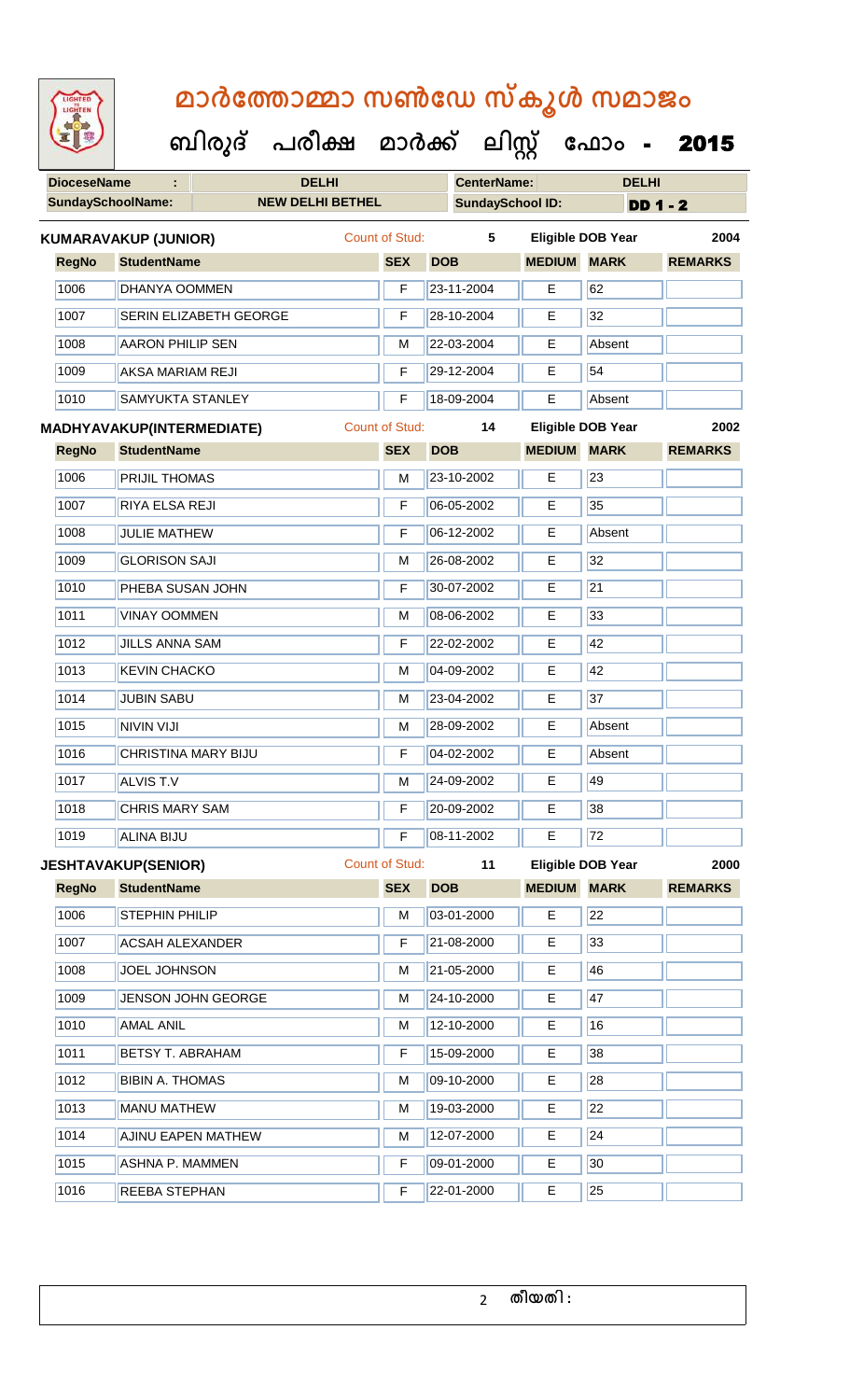| <b>IGHTED</b> |
|---------------|
|               |
|               |
|               |

 **ബിരുദ് പരീക്ഷ മാര്ക് ക ലിസ്റ്റ ക ഫ ാോം** - 2015

**DioceseName : DELHI CenterName: DELHI**

|              | <b>SundaySchoolName:</b>   | <b>NEW DELHI BETHEL</b> |                       | <b>SundaySchool ID:</b> |                    |                          | <b>DD 1 - 2</b> |  |  |
|--------------|----------------------------|-------------------------|-----------------------|-------------------------|--------------------|--------------------------|-----------------|--|--|
|              | KUMARAVAKUP (JUNIOR)       |                         | Count of Stud:        | 5                       |                    | Eligible DOB Year        | 2004            |  |  |
| <b>RegNo</b> | <b>StudentName</b>         |                         | <b>SEX</b>            | <b>DOB</b>              | <b>MEDIUM</b>      | <b>MARK</b>              | <b>REMARKS</b>  |  |  |
| 1006         | DHANYA OOMMEN              |                         | F                     | 23-11-2004              | E                  | 62                       |                 |  |  |
| 1007         | SERIN ELIZABETH GEORGE     |                         | F                     | 28-10-2004              | E                  | $\overline{32}$          |                 |  |  |
| 1008         | <b>AARON PHILIP SEN</b>    |                         | M                     | 22-03-2004              | E                  | Absent                   |                 |  |  |
| 1009         | <b>AKSA MARIAM REJI</b>    |                         | F                     | 29-12-2004              | Е                  | 54                       |                 |  |  |
| 1010         | SAMYUKTA STANLEY           |                         | F                     | 18-09-2004              | E                  | Absent                   |                 |  |  |
|              | MADHYAVAKUP(INTERMEDIATE)  |                         | Count of Stud:        | 14                      |                    | <b>Eligible DOB Year</b> | 2002            |  |  |
| <b>RegNo</b> | <b>StudentName</b>         |                         | <b>SEX</b>            | <b>DOB</b>              | <b>MEDIUM</b>      | <b>MARK</b>              | <b>REMARKS</b>  |  |  |
| 1006         | <b>PRIJIL THOMAS</b>       |                         | M                     | 23-10-2002              | Е                  | 23                       |                 |  |  |
| 1007         | RIYA ELSA REJI             |                         | F                     | 06-05-2002              | E                  | 35                       |                 |  |  |
| 1008         | <b>JULIE MATHEW</b>        |                         | F                     | 06-12-2002              | E                  | Absent                   |                 |  |  |
| 1009         | <b>GLORISON SAJI</b>       |                         | M                     | 26-08-2002              | E                  | 32                       |                 |  |  |
| 1010         | PHEBA SUSAN JOHN           |                         | F                     | 30-07-2002              | Е                  | 21                       |                 |  |  |
| 1011         | <b>VINAY OOMMEN</b>        |                         | M                     | 08-06-2002              | E                  | 33                       |                 |  |  |
| 1012         | <b>JILLS ANNA SAM</b>      |                         | F                     | 22-02-2002              | Е                  | 42                       |                 |  |  |
| 1013         | <b>KEVIN CHACKO</b>        |                         | M                     | 04-09-2002              | Е                  | 42                       |                 |  |  |
| 1014         | <b>JUBIN SABU</b>          |                         | M                     | 23-04-2002              | Е                  | 37                       |                 |  |  |
| 1015         | <b>NIVIN VIJI</b>          |                         | M                     | 28-09-2002              | $\overline{E}$     | Absent                   |                 |  |  |
| 1016         | CHRISTINA MARY BIJU        |                         | F                     | 04-02-2002              | Е                  | Absent                   |                 |  |  |
| 1017         | <b>ALVIS T.V</b>           |                         | М                     | 24-09-2002              | Е                  | 49                       |                 |  |  |
| 1018         | <b>CHRIS MARY SAM</b>      |                         | F                     | 20-09-2002              | E                  | 38                       |                 |  |  |
| 1019         | <b>ALINA BIJU</b>          |                         | F                     | 08-11-2002              | E.                 | 72                       |                 |  |  |
|              | <b>JESHTAVAKUP(SENIOR)</b> |                         | <b>Count of Stud:</b> | 11                      |                    | <b>Eligible DOB Year</b> | 2000            |  |  |
| <b>RegNo</b> | <b>StudentName</b>         |                         | <b>SEX</b>            | <b>DOB</b>              | <b>MEDIUM MARK</b> |                          | <b>REMARKS</b>  |  |  |
| 1006         | STEPHIN PHILIP             |                         | M                     | 03-01-2000              | E                  | 22                       |                 |  |  |
| 1007         | <b>ACSAH ALEXANDER</b>     |                         | F                     | 21-08-2000              | E                  | 33                       |                 |  |  |
| 1008         | <b>JOEL JOHNSON</b>        |                         | М                     | 21-05-2000              | Е                  | 46                       |                 |  |  |
| 1009         | <b>JENSON JOHN GEORGE</b>  |                         | M                     | 24-10-2000              | Е                  | 47                       |                 |  |  |
| 1010         | <b>AMAL ANIL</b>           |                         | M                     | 12-10-2000              | E                  | 16                       |                 |  |  |
| 1011         | <b>BETSY T. ABRAHAM</b>    |                         | F                     | 15-09-2000              | E                  | 38                       |                 |  |  |
| 1012         | <b>BIBIN A. THOMAS</b>     |                         | M                     | 09-10-2000              | Е                  | 28                       |                 |  |  |
| 1013         | <b>MANU MATHEW</b>         |                         | M                     | 19-03-2000              | E                  | $\overline{22}$          |                 |  |  |
| 1014         | <b>AJINU EAPEN MATHEW</b>  |                         | M                     | 12-07-2000              | Е                  | 24                       |                 |  |  |
| 1015         | <b>ASHNA P. MAMMEN</b>     |                         | F                     | 09-01-2000              | E                  | 30                       |                 |  |  |
| 1016         | REEBA STEPHAN              |                         |                       | 22-01-2000              | E                  | 25                       |                 |  |  |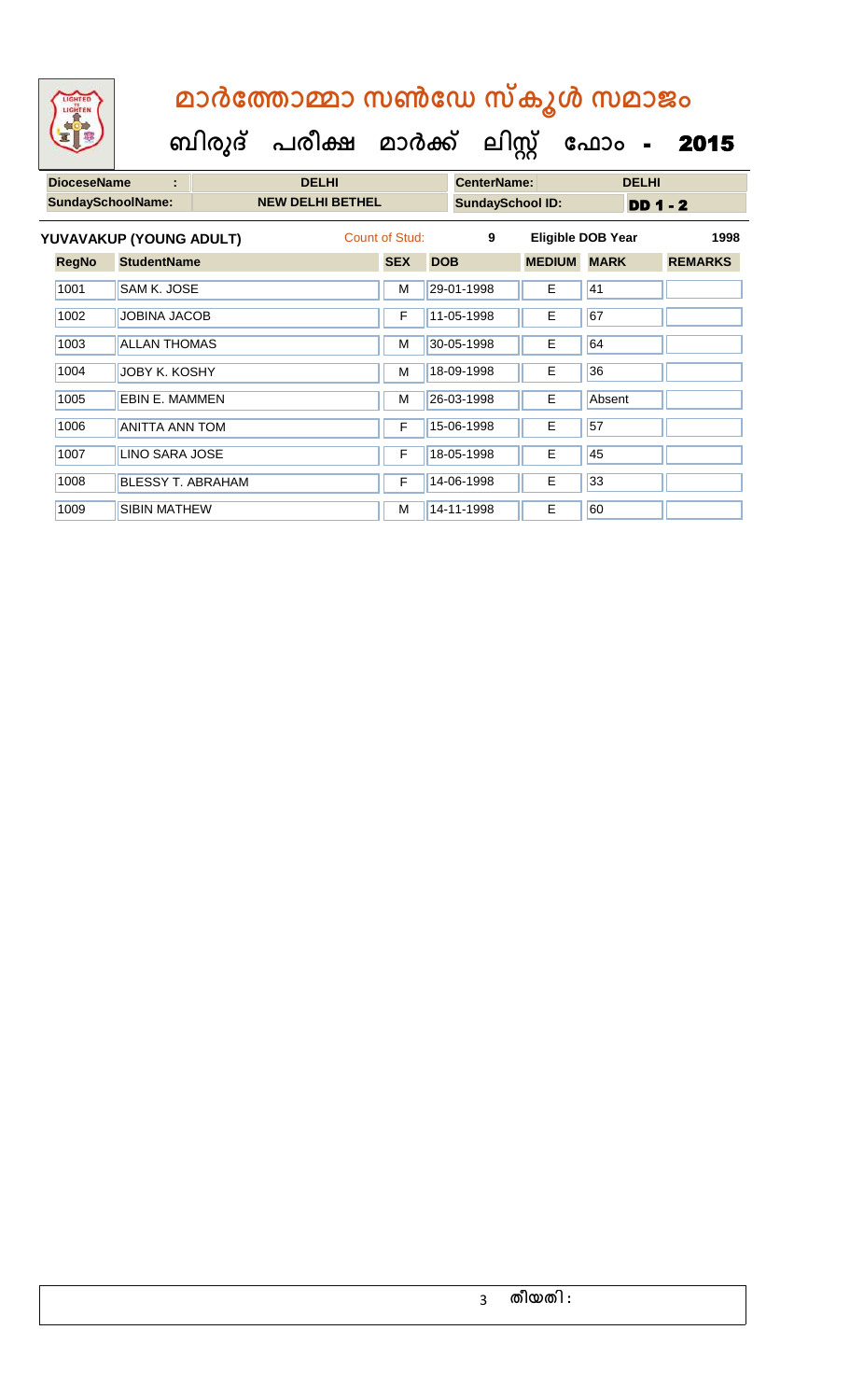#### **DioceseName : DELHI CenterName: DELHI ബിരുദ് പരീക്ഷ മാര്ക് ക ലിസ്റ്റ ക ഫ ാോം** - 2015  **മാര്കഫതാമ്മാ സണ്ഫേ സ്കൂള് സമാജോം**

| <b>DIUCESEINAILLE</b>    |                          | реал |                         |                | UEI ILEI NATIE. | ренн                    |                          |             |                 |                |      |
|--------------------------|--------------------------|------|-------------------------|----------------|-----------------|-------------------------|--------------------------|-------------|-----------------|----------------|------|
| <b>SundaySchoolName:</b> |                          |      | <b>NEW DELHI BETHEL</b> |                |                 | <b>SundaySchool ID:</b> |                          |             | <b>DD 1 - 2</b> |                |      |
|                          | YUVAVAKUP (YOUNG ADULT)  |      |                         | Count of Stud: |                 | 9                       | <b>Eligible DOB Year</b> |             |                 |                | 1998 |
| <b>RegNo</b>             | <b>StudentName</b>       |      |                         | <b>SEX</b>     | <b>DOB</b>      |                         | <b>MEDIUM</b>            | <b>MARK</b> |                 | <b>REMARKS</b> |      |
| 1001                     | SAM K. JOSE              |      |                         | M              |                 | 29-01-1998              | E                        | 41          |                 |                |      |
| 1002                     | <b>JOBINA JACOB</b>      |      |                         | F              |                 | 11-05-1998              | E                        | 67          |                 |                |      |
| 1003                     | <b>ALLAN THOMAS</b>      |      |                         | M              |                 | 30-05-1998              | E.                       | 64          |                 |                |      |
| 1004                     | JOBY K. KOSHY            |      |                         | M              |                 | 18-09-1998              | E.                       | 36          |                 |                |      |
| 1005                     | EBIN E. MAMMEN           |      |                         | M              |                 | 26-03-1998              | Е                        | Absent      |                 |                |      |
| 1006                     | <b>ANITTA ANN TOM</b>    |      |                         | F              |                 | 15-06-1998              | Е                        | 57          |                 |                |      |
| 1007                     | <b>LINO SARA JOSE</b>    |      |                         | F              |                 | 18-05-1998              | E                        | 45          |                 |                |      |
| 1008                     | <b>BLESSY T. ABRAHAM</b> |      |                         | F              |                 | 14-06-1998              | Е                        | 33          |                 |                |      |
| 1009                     | <b>SIBIN MATHEW</b>      |      |                         | M              |                 | 14-11-1998              | E                        | 60          |                 |                |      |
|                          |                          |      |                         |                |                 |                         |                          |             |                 |                |      |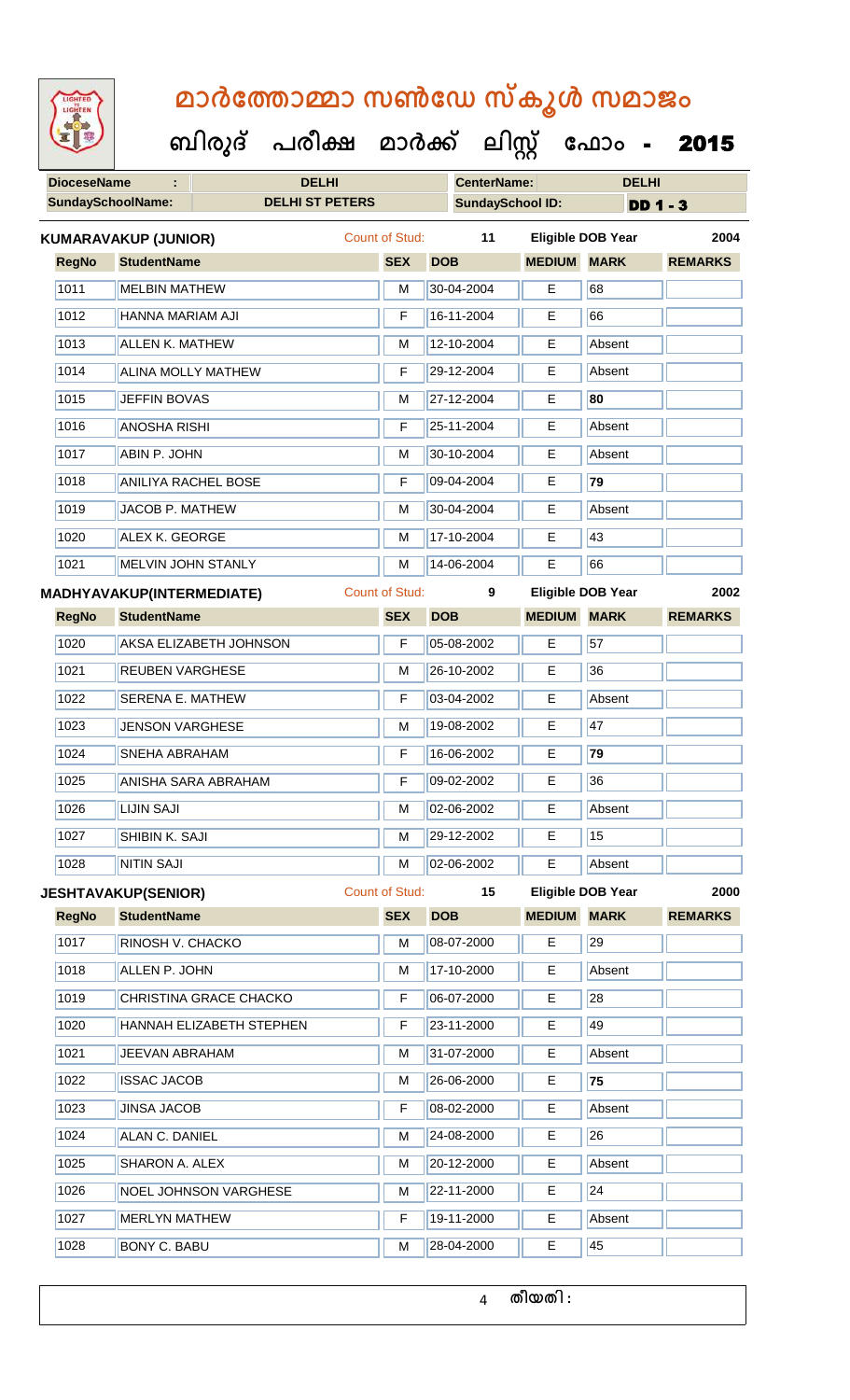|  | <b>IGHTED</b> |  |
|--|---------------|--|
|  |               |  |
|  |               |  |
|  |               |  |
|  |               |  |

 **ബിരുദ് പരീക്ഷ മാര്ക് ക ലിസ്റ്റ ക ഫ ാോം** - 2015

| <b>DioceseName</b><br>t |                                  | <b>DELHI</b>           | <b>CenterName:</b>    | <b>DELHI</b> |                         |                          |                 |                 |                |      |
|-------------------------|----------------------------------|------------------------|-----------------------|--------------|-------------------------|--------------------------|-----------------|-----------------|----------------|------|
|                         | <b>SundaySchoolName:</b>         | <b>DELHI ST PETERS</b> |                       |              | <b>SundaySchool ID:</b> |                          |                 | <b>DD 1 - 3</b> |                |      |
|                         | <b>KUMARAVAKUP (JUNIOR)</b>      |                        | Count of Stud:        |              | 11                      | <b>Eligible DOB Year</b> |                 |                 |                | 2004 |
| <b>RegNo</b>            | <b>StudentName</b>               |                        | <b>SEX</b>            | <b>DOB</b>   |                         | <b>MEDIUM MARK</b>       |                 |                 | <b>REMARKS</b> |      |
| 1011                    | <b>MELBIN MATHEW</b>             |                        | M                     |              | 30-04-2004              | Е                        | 68              |                 |                |      |
| 1012                    | HANNA MARIAM AJI                 |                        | F                     |              | 16-11-2004              | Е                        | 66              |                 |                |      |
| 1013                    | <b>ALLEN K. MATHEW</b>           |                        | M                     |              | 12-10-2004              | E                        | Absent          |                 |                |      |
| 1014                    | <b>ALINA MOLLY MATHEW</b>        |                        |                       |              | 29-12-2004              | Е                        | Absent          |                 |                |      |
| 1015                    | <b>JEFFIN BOVAS</b>              |                        |                       |              | 27-12-2004              | E                        | 80              |                 |                |      |
| 1016                    | <b>ANOSHA RISHI</b>              |                        | F                     |              | 25-11-2004              | Е                        | Absent          |                 |                |      |
| 1017                    | <b>ABIN P. JOHN</b>              |                        |                       |              | 30-10-2004              | E                        | Absent          |                 |                |      |
| 1018                    | <b>ANILIYA RACHEL BOSE</b>       |                        |                       |              | 09-04-2004              | Е                        | 79              |                 |                |      |
| 1019                    | <b>JACOB P. MATHEW</b>           |                        |                       |              | 30-04-2004              | E                        | Absent          |                 |                |      |
| 1020                    | ALEX K. GEORGE                   |                        | M                     |              | 17-10-2004              | Е                        | 43              |                 |                |      |
| 1021                    | MELVIN JOHN STANLY               |                        | м                     |              | 14-06-2004              | Е                        | 66              |                 |                |      |
|                         | <b>MADHYAVAKUP(INTERMEDIATE)</b> |                        | <b>Count of Stud:</b> |              | 9                       | <b>Eligible DOB Year</b> |                 |                 |                | 2002 |
| <b>RegNo</b>            | <b>StudentName</b>               |                        | <b>SEX</b>            | <b>DOB</b>   |                         | <b>MEDIUM MARK</b>       |                 |                 | <b>REMARKS</b> |      |
| 1020                    |                                  | AKSA ELIZABETH JOHNSON | F                     |              | 05-08-2002              | E                        | 57              |                 |                |      |
| 1021                    | <b>REUBEN VARGHESE</b>           |                        | M                     |              | 26-10-2002              | Е                        | 36              |                 |                |      |
| 1022                    | <b>SERENA E. MATHEW</b>          |                        | F                     |              | 03-04-2002              | Е                        | Absent          |                 |                |      |
| 1023                    | <b>JENSON VARGHESE</b>           |                        | M                     |              | 19-08-2002              | Е                        | 47              |                 |                |      |
| 1024                    | SNEHA ABRAHAM                    |                        |                       |              | 16-06-2002              | Е                        | $\overline{79}$ |                 |                |      |
| 1025                    |                                  | ANISHA SARA ABRAHAM    | F                     |              | 09-02-2002              | Е                        | 36              |                 |                |      |
| 1026                    | <b>LIJIN SAJI</b>                |                        | M                     |              | 02-06-2002              | Е                        | Absent          |                 |                |      |
| 1027                    | SHIBIN K. SAJI                   |                        | м                     |              | 29-12-2002              | E                        | 15              |                 |                |      |
| 1028                    | <b>NITIN SAJI</b>                |                        | M                     |              | 02-06-2002              | E                        | Absent          |                 |                |      |

**JESHTAVAKUP(SENIOR)** Count of Stud: **15 Eligible DOB Year 2000**

| <b>RegNo</b> | <b>StudentName</b>           | <b>SEX</b> | <b>DOB</b> | <b>MEDIUM</b> | <b>MARK</b> | <b>REMARKS</b> |
|--------------|------------------------------|------------|------------|---------------|-------------|----------------|
| 1017         | RINOSH V. CHACKO             | м          | 08-07-2000 | Е             | 29          |                |
| 1018         | ALLEN P. JOHN                | M          | 17-10-2000 | E             | Absent      |                |
| 1019         | CHRISTINA GRACE CHACKO       | F          | 06-07-2000 | Е             | 28          |                |
| 1020         | HANNAH ELIZABETH STEPHEN     | F          | 23-11-2000 | Е             | 49          |                |
| 1021         | <b>JEEVAN ABRAHAM</b>        | м          | 31-07-2000 | Е             | Absent      |                |
| 1022         | <b>ISSAC JACOB</b>           | M          | 26-06-2000 | Е             | 75          |                |
| 1023         | JINSA JACOB                  | F          | 08-02-2000 | E             | Absent      |                |
| 1024         | ALAN C. DANIEL               | м          | 24-08-2000 | Е             | 26          |                |
| 1025         | SHARON A. ALEX               | M          | 20-12-2000 | Е             | Absent      |                |
| 1026         | <b>NOEL JOHNSON VARGHESE</b> | M          | 22-11-2000 | Е             | 24          |                |
| 1027         | <b>MERLYN MATHEW</b>         | F          | 19-11-2000 | E             | Absent      |                |
| 1028         | <b>BONY C. BABU</b>          | M          | 28-04-2000 | E             | 45          |                |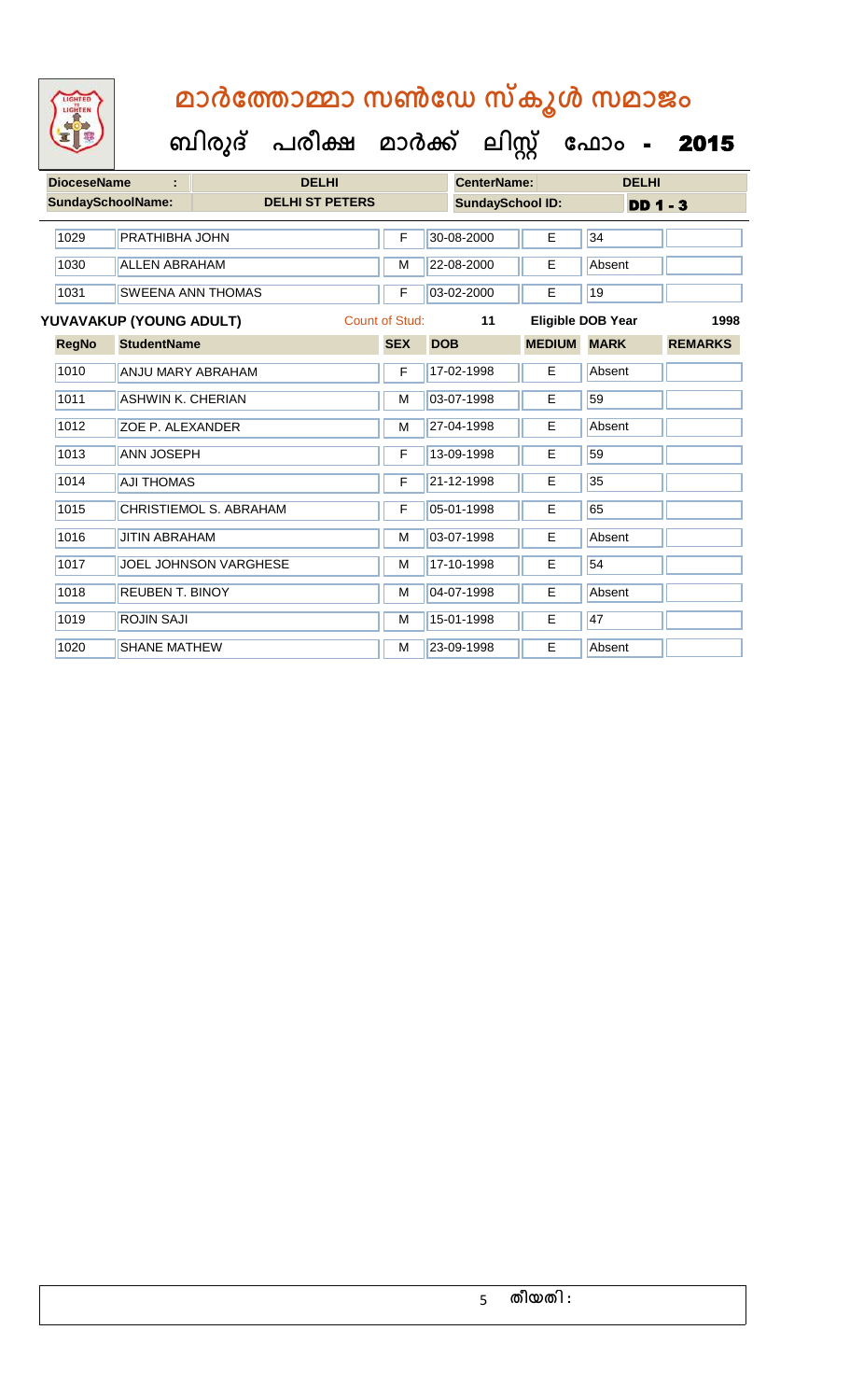| <b>DioceseName</b>                        |                          | <b>DELHI</b>                 |            | <b>CenterName:</b> |                         |               | <b>DELHI</b>             |                |
|-------------------------------------------|--------------------------|------------------------------|------------|--------------------|-------------------------|---------------|--------------------------|----------------|
| <b>SundaySchoolName:</b>                  |                          | <b>DELHI ST PETERS</b>       |            |                    | <b>SundaySchool ID:</b> | $DD$ 1 - 3    |                          |                |
| 1029                                      | PRATHIBHA JOHN           |                              | F          |                    | 30-08-2000              | E             | 34                       |                |
| 1030                                      | <b>ALLEN ABRAHAM</b>     |                              |            |                    | 22-08-2000              | E             | Absent                   |                |
| 1031                                      |                          | <b>SWEENA ANN THOMAS</b>     | F          |                    | 03-02-2000              | E             | 19                       |                |
| Count of Stud:<br>YUVAVAKUP (YOUNG ADULT) |                          |                              |            |                    | 11                      |               | <b>Eligible DOB Year</b> | 1998           |
| <b>RegNo</b>                              | <b>StudentName</b>       |                              | <b>SEX</b> | <b>DOB</b>         |                         | <b>MEDIUM</b> | <b>MARK</b>              | <b>REMARKS</b> |
| 1010                                      | ANJU MARY ABRAHAM        |                              | F          |                    | 17-02-1998              | E             | Absent                   |                |
| 1011                                      | <b>ASHWIN K. CHERIAN</b> |                              | M          |                    | 03-07-1998              | E             | 59                       |                |
| 1012                                      | ZOE P. ALEXANDER         |                              | M          |                    | 27-04-1998              | E             | Absent                   |                |
| 1013                                      | <b>ANN JOSEPH</b>        |                              | F          |                    | 13-09-1998              | E             | 59                       |                |
| 1014                                      | <b>AJI THOMAS</b>        |                              | F          |                    | 21-12-1998              | E             | 35                       |                |
| 1015                                      |                          | CHRISTIEMOL S. ABRAHAM       | F          |                    | 05-01-1998              | E             | 65                       |                |
| 1016                                      | <b>JITIN ABRAHAM</b>     |                              | M          |                    | 03-07-1998              | E             | Absent                   |                |
| 1017                                      |                          | <b>JOEL JOHNSON VARGHESE</b> | M          |                    | 17-10-1998              | Е             | 54                       |                |
| 1018                                      | <b>REUBEN T. BINOY</b>   |                              |            |                    | 04-07-1998              | E             | Absent                   |                |
| 1019                                      | <b>ROJIN SAJI</b>        |                              | M          |                    | 15-01-1998              | E             | 47                       |                |
| 1020                                      | <b>SHANE MATHEW</b>      |                              | М          |                    | 23-09-1998              | E             | Absent                   |                |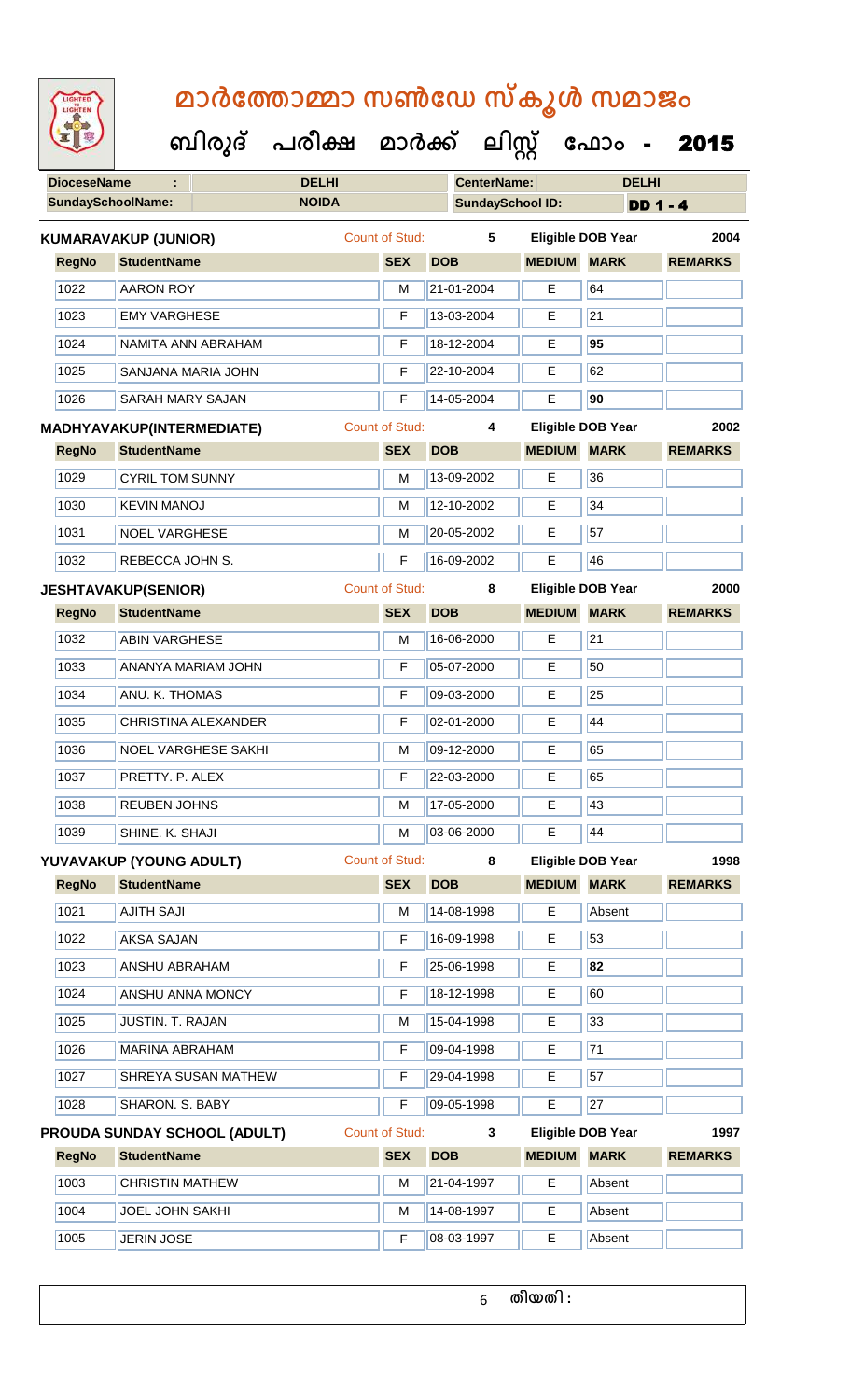| <b>IGHTED</b> |
|---------------|
|               |
|               |
|               |
|               |

| 医胃婴          |                           |                             |                              | ബിരുദ് പരീക്ഷ മാർക്ക് |                       |                         | ലിസ്റ്റ്                 | ഫോം -                    | 2015            |
|--------------|---------------------------|-----------------------------|------------------------------|-----------------------|-----------------------|-------------------------|--------------------------|--------------------------|-----------------|
|              | <b>DioceseName</b>        | ÷                           |                              | <b>DELHI</b>          |                       | <b>CenterName:</b>      |                          | <b>DELHI</b>             |                 |
|              |                           | <b>SundaySchoolName:</b>    |                              | <b>NOIDA</b>          |                       | <b>SundaySchool ID:</b> |                          |                          | <b>DD 1 - 4</b> |
|              |                           | <b>KUMARAVAKUP (JUNIOR)</b> |                              |                       | <b>Count of Stud:</b> | 5                       |                          | <b>Eligible DOB Year</b> | 2004            |
| <b>RegNo</b> |                           | <b>StudentName</b>          |                              |                       | <b>SEX</b>            | <b>DOB</b>              | <b>MEDIUM</b>            | <b>MARK</b>              | <b>REMARKS</b>  |
| 1022         |                           | <b>AARON ROY</b>            |                              |                       | M                     | 21-01-2004              | E                        | 64                       |                 |
| 1023         |                           | <b>EMY VARGHESE</b>         |                              |                       | F                     | 13-03-2004              | E                        | $\overline{21}$          |                 |
| 1024         |                           |                             | NAMITA ANN ABRAHAM           |                       | F                     | 18-12-2004              | E                        | 95                       |                 |
| 1025         |                           | SANJANA MARIA JOHN          |                              |                       | F                     | 22-10-2004              | E.                       | 62                       |                 |
| 1026         |                           | <b>SARAH MARY SAJAN</b>     |                              |                       | F                     | 14-05-2004              | E                        | 90                       |                 |
|              | MADHYAVAKUP(INTERMEDIATE) |                             |                              | <b>Count of Stud:</b> | 4                     |                         | <b>Eligible DOB Year</b> | 2002                     |                 |
| <b>RegNo</b> |                           | <b>StudentName</b>          |                              |                       | <b>SEX</b>            | <b>DOB</b>              | <b>MEDIUM</b>            | <b>MARK</b>              | <b>REMARKS</b>  |
| 1029         |                           | <b>CYRIL TOM SUNNY</b>      |                              |                       | M                     | 13-09-2002              | E                        | 36                       |                 |
| 1030         |                           | <b>KEVIN MANOJ</b>          |                              |                       | M                     | 12-10-2002              | E                        | 34                       |                 |
| 1031         |                           | <b>NOEL VARGHESE</b>        |                              |                       | M                     | 20-05-2002              | E                        | 57                       |                 |
| 1032         |                           | REBECCA JOHN S.             |                              |                       | F                     | 16-09-2002              | E                        | 46                       |                 |
|              |                           | <b>JESHTAVAKUP(SENIOR)</b>  |                              |                       | <b>Count of Stud:</b> | 8                       |                          | <b>Eligible DOB Year</b> | 2000            |
| <b>RegNo</b> |                           | <b>StudentName</b>          |                              |                       | <b>SEX</b>            | <b>DOB</b>              | <b>MEDIUM</b>            | <b>MARK</b>              | <b>REMARKS</b>  |
| 1032         |                           | <b>ABIN VARGHESE</b>        |                              |                       | M                     | 16-06-2000              | E                        | 21                       |                 |
| 1033         |                           |                             | <b>ANANYA MARIAM JOHN</b>    |                       | F                     | 05-07-2000              | E.                       | 50                       |                 |
| 1034         |                           | ANU. K. THOMAS              |                              |                       | F                     | 09-03-2000              | E                        | 25                       |                 |
| 1035         |                           |                             | CHRISTINA ALEXANDER          |                       | F                     | 02-01-2000              | E                        | 44                       |                 |
| 1036         |                           |                             | <b>NOEL VARGHESE SAKHI</b>   |                       | M                     | $ 09-12-2000 $          | E                        | 65                       |                 |
| 1037         |                           | PRETTY. P. ALEX             |                              |                       | F                     | 22-03-2000              | E                        | 65                       |                 |
| 1038         |                           | <b>REUBEN JOHNS</b>         |                              |                       | M                     | 17-05-2000              | E.                       | 43                       |                 |
| 1039         |                           | SHINE. K. SHAJI             |                              |                       | M                     | 03-06-2000              | E                        | 44                       |                 |
|              |                           | YUVAVAKUP (YOUNG ADULT)     |                              |                       | <b>Count of Stud:</b> | 8                       |                          | <b>Eligible DOB Year</b> | 1998            |
| <b>RegNo</b> |                           | <b>StudentName</b>          |                              |                       | <b>SEX</b>            | <b>DOB</b>              | <b>MEDIUM</b>            | <b>MARK</b>              | <b>REMARKS</b>  |
| 1021         |                           | <b>AJITH SAJI</b>           |                              |                       | M                     | 14-08-1998              | E                        | Absent                   |                 |
| 1022         |                           | AKSA SAJAN                  |                              |                       | F                     | 16-09-1998              | E                        | 53                       |                 |
| 1023         |                           | <b>ANSHU ABRAHAM</b>        |                              |                       | F                     | 25-06-1998              | E.                       | 82                       |                 |
| 1024         |                           | ANSHU ANNA MONCY            |                              |                       | F                     | 18-12-1998              | Е                        | 60                       |                 |
| 1025         |                           | JUSTIN. T. RAJAN            |                              |                       | M                     | 15-04-1998              | E.                       | 33                       |                 |
| 1026         |                           | <b>MARINA ABRAHAM</b>       |                              |                       | F                     | 09-04-1998              | E                        | 71                       |                 |
| 1027         |                           |                             | SHREYA SUSAN MATHEW          |                       | F                     | 29-04-1998              | Е                        | 57                       |                 |
| 1028         |                           | SHARON. S. BABY             |                              |                       | F                     | 09-05-1998              | E.                       | 27                       |                 |
|              |                           |                             | PROUDA SUNDAY SCHOOL (ADULT) |                       | <b>Count of Stud:</b> | 3                       |                          | Eligible DOB Year        | 1997            |
| <b>RegNo</b> |                           | <b>StudentName</b>          |                              |                       | <b>SEX</b>            | <b>DOB</b>              | <b>MEDIUM</b>            | <b>MARK</b>              | <b>REMARKS</b>  |
| 1003         |                           | <b>CHRISTIN MATHEW</b>      |                              |                       | M                     | 21-04-1997              | Е                        | Absent                   |                 |
| 1004         |                           | JOEL JOHN SAKHI             |                              |                       | M                     | 14-08-1997              | E                        | Absent                   |                 |

1005 JERIN JOSE **F 08-03-1997** E Absent

**തീയതി :**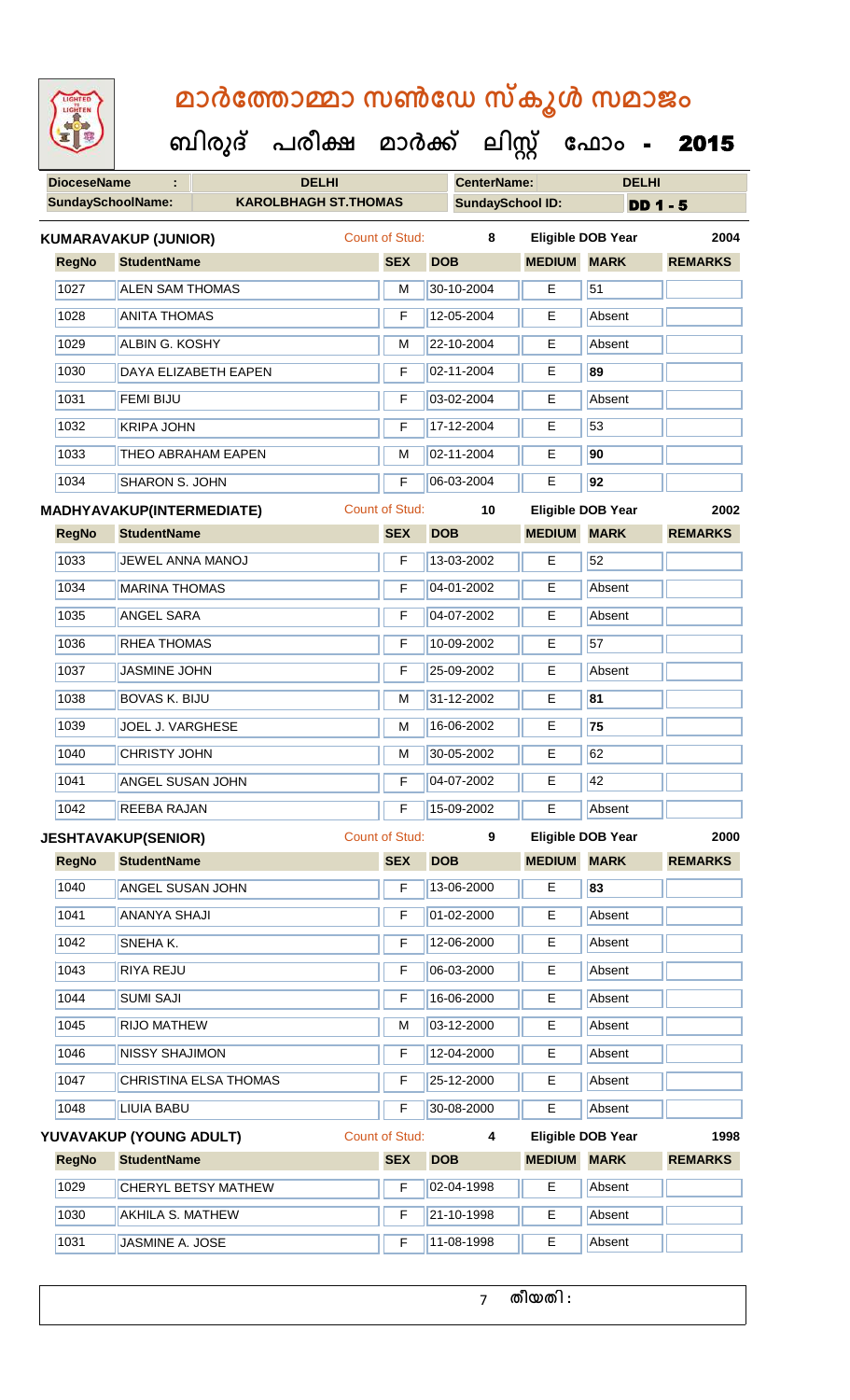| GHTED |  |
|-------|--|
|       |  |

 **ബിരുദ് പരീക്ഷ മാര്ക് ക ലിസ്റ്റ ക ഫ ാോം** - 2015

**DioceseName : DELHI CenterName: DELHI**

| <b>SundaySchoolName:</b> |                        | <b>KAROLBHAGH ST.THOMAS</b>      |                |            | <b>SundaySchool ID:</b> |               |                          | $DD 1 - 5$     |      |
|--------------------------|------------------------|----------------------------------|----------------|------------|-------------------------|---------------|--------------------------|----------------|------|
|                          | KUMARAVAKUP (JUNIOR)   |                                  | Count of Stud: |            | 8                       |               | <b>Eligible DOB Year</b> |                | 2004 |
| <b>RegNo</b>             | <b>StudentName</b>     |                                  | <b>SEX</b>     | <b>DOB</b> |                         | <b>MEDIUM</b> | <b>MARK</b>              | <b>REMARKS</b> |      |
| 1027                     | <b>ALEN SAM THOMAS</b> |                                  | M              |            | 30-10-2004              | E             | 51                       |                |      |
| 1028                     | <b>ANITA THOMAS</b>    |                                  | F              |            | 12-05-2004              | Е             | Absent                   |                |      |
| 1029                     | <b>ALBIN G. KOSHY</b>  |                                  | M              |            | 22-10-2004              | Е             | Absent                   |                |      |
| 1030                     |                        | DAYA ELIZABETH EAPEN             | F              |            | 02-11-2004              | E             | 89                       |                |      |
| 1031                     | <b>FEMI BIJU</b>       |                                  | F              |            | 03-02-2004              | E             | Absent                   |                |      |
| 1032                     | <b>KRIPA JOHN</b>      |                                  | F              |            | 17-12-2004              | Е             | 53                       |                |      |
| 1033                     |                        | <b>THEO ABRAHAM EAPEN</b>        | м              |            | 02-11-2004              | Е             | 90                       |                |      |
| 1034                     | <b>SHARON S. JOHN</b>  |                                  | F              |            | 06-03-2004              | E             | 92                       |                |      |
|                          |                        | <b>MADHYAVAKUP(INTERMEDIATE)</b> | Count of Stud: |            | 10                      |               | <b>Eligible DOB Year</b> |                | 2002 |

| <b>RegNo</b> | <b>StudentName</b>      | <b>SEX</b> | <b>DOB</b> | <b>MEDIUM</b> | <b>MARK</b> | <b>REMARKS</b> |
|--------------|-------------------------|------------|------------|---------------|-------------|----------------|
| 1033         | <b>JEWEL ANNA MANOJ</b> | F          | 13-03-2002 | Е             | 52          |                |
| 1034         | <b>MARINA THOMAS</b>    | F          | 04-01-2002 | E.            | Absent      |                |
| 1035         | <b>ANGEL SARA</b>       | F          | 04-07-2002 | Е             | Absent      |                |
| 1036         | <b>RHEA THOMAS</b>      | F          | 10-09-2002 | E             | 57          |                |
| 1037         | JASMINE JOHN            | F          | 25-09-2002 | E.            | Absent      |                |
| 1038         | <b>BOVAS K. BIJU</b>    | M          | 31-12-2002 | Е             | 81          |                |
| 1039         | <b>JOEL J. VARGHESE</b> | M          | 16-06-2002 | Е             | 75          |                |
| 1040         | <b>CHRISTY JOHN</b>     | M          | 30-05-2002 | E.            | 62          |                |
| 1041         | <b>ANGEL SUSAN JOHN</b> | F          | 04-07-2002 | Е             | 42          |                |
| 1042         | <b>REEBA RAJAN</b>      | F          | 15-09-2002 | Е             | Absent      |                |

**JESHTAVAKUP(SENIOR)** Count of Stud: **9 Eligible DOB Year 2000**

| <b>RegNo</b> | <b>StudentName</b>                                                                                                                                                                                                                                                                                                  | <b>SEX</b>      | <b>DOB</b>     | <b>MEDIUM</b> | <b>MARK</b>       | <b>REMARKS</b> |
|--------------|---------------------------------------------------------------------------------------------------------------------------------------------------------------------------------------------------------------------------------------------------------------------------------------------------------------------|-----------------|----------------|---------------|-------------------|----------------|
| 1040         | <b>ANGEL SUSAN JOHN</b>                                                                                                                                                                                                                                                                                             | F               | 13-06-2000     | Е             | 83                |                |
| 1041         | <b>ANANYA SHAJI</b>                                                                                                                                                                                                                                                                                                 | F               | 01-02-2000     | Е             | Absent            |                |
| 1042         | <b>SNEHAK.</b>                                                                                                                                                                                                                                                                                                      | F               | 12-06-2000     | Е             | Absent            |                |
| 1043         | <b>RIYA REJU</b>                                                                                                                                                                                                                                                                                                    | F               | 06-03-2000     | Е             | Absent            |                |
| 1044         | <b>SUMI SAJI</b>                                                                                                                                                                                                                                                                                                    | F               | 16-06-2000     | Е             | Absent            |                |
| 1045         | <b>RIJO MATHEW</b>                                                                                                                                                                                                                                                                                                  | M               | 03-12-2000     | Е             | Absent            |                |
| 1046         | <b>NISSY SHAJIMON</b>                                                                                                                                                                                                                                                                                               | F               | 12-04-2000     | E             | Absent            |                |
| 1047         | CHRISTINA ELSA THOMAS                                                                                                                                                                                                                                                                                               | F               | 25-12-2000     | Е             | Absent            |                |
| 1048         | <b>LIUIA BABU</b>                                                                                                                                                                                                                                                                                                   | F               | 30-08-2000     | Е             | Absent            |                |
|              | $\mathcal{U}$ is $\mathcal{U}$ and $\mathcal{U}$ is $\mathcal{U}$ and $\mathcal{U}$ and $\mathcal{V}$ and $\mathcal{V}$ and $\mathcal{V}$ and $\mathcal{V}$ and $\mathcal{V}$ and $\mathcal{V}$ and $\mathcal{V}$ and $\mathcal{V}$ and $\mathcal{V}$ and $\mathcal{V}$ and $\mathcal{V}$ and $\mathcal{V}$ and $\$ | Count of Child. | $\overline{a}$ |               | Filaille DOD Vaar | 4000           |

|              | YUVAVAKUP (YOUNG ADULT)    | Count of Stud: |                    | <b>Eligible DOB Year</b> |             | 1998           |  |
|--------------|----------------------------|----------------|--------------------|--------------------------|-------------|----------------|--|
| <b>RegNo</b> | <b>StudentName</b>         | <b>SEX</b>     | <b>DOB</b>         | <b>MEDIUM</b>            | <b>MARK</b> | <b>REMARKS</b> |  |
| 1029         | <b>CHERYL BETSY MATHEW</b> |                | $ 02 - 04 - 1998 $ | Е                        | Absent      |                |  |
| 1030         | IAKHILA S. MATHEW          | F              | $ 21 - 10 - 1998$  | Е                        | Absent      |                |  |
| 1031         | JASMINE A. JOSE            |                | 11-08-1998         | Е                        | Absent      |                |  |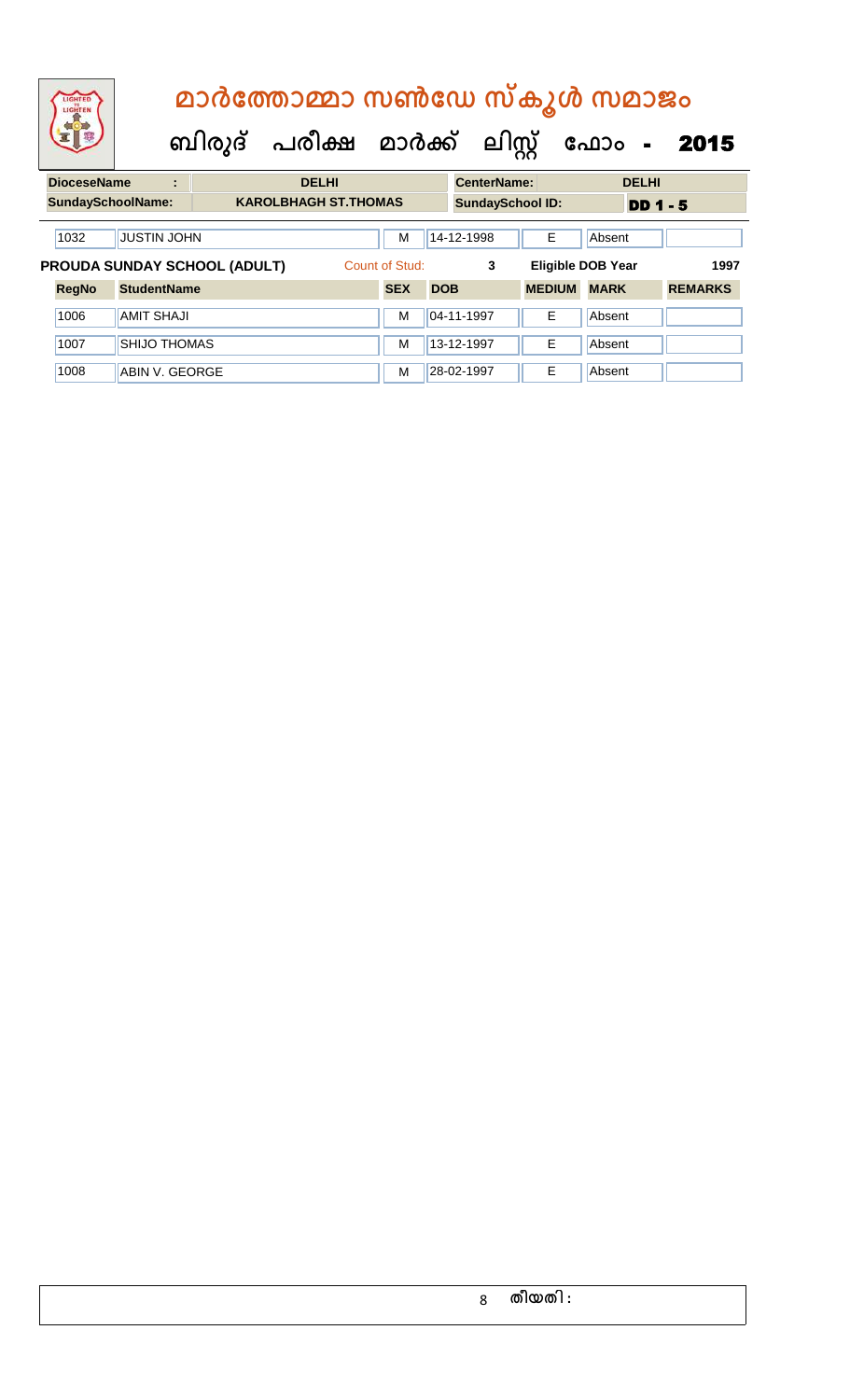| LIGHTED<br>LIGHTE            |                    | മാർത്തോമ്മാ സൺഡേ സ്കൂൾ സമാജം              |                |                         |                          |              |      |
|------------------------------|--------------------|-------------------------------------------|----------------|-------------------------|--------------------------|--------------|------|
|                              |                    | ബിരുദ് പരീക്ഷ മാർക്ക് ലിസ്റ്റ് ഫോം - 2015 |                |                         |                          |              |      |
| <b>DioceseName</b>           | ÷                  | <b>DELHI</b>                              |                | <b>CenterName:</b>      |                          | <b>DELHI</b> |      |
| <b>SundaySchoolName:</b>     |                    | <b>KAROLBHAGH ST.THOMAS</b>               |                | <b>SundaySchool ID:</b> |                          | $DD$ 1 - 5   |      |
| 1032                         | <b>JUSTIN JOHN</b> |                                           | M              | 14-12-1998              | Е                        | Absent       |      |
| PROUDA SUNDAY SCHOOL (ADULT) |                    |                                           | Count of Stud: | 3                       | <b>Eligible DOB Year</b> |              | 1997 |

**RegNo StudentName SEX DOB MEDIUM MARK REMARKS**

1006 AMIT SHAJI M 04-11-1997 E Absent

1007 SHIJO THOMAS M 13-12-1997 E Absent 1008 ABIN V. GEORGE M 28-02-1997 | E Absent

| 8 | തീയതി : |  |  |  |
|---|---------|--|--|--|
|---|---------|--|--|--|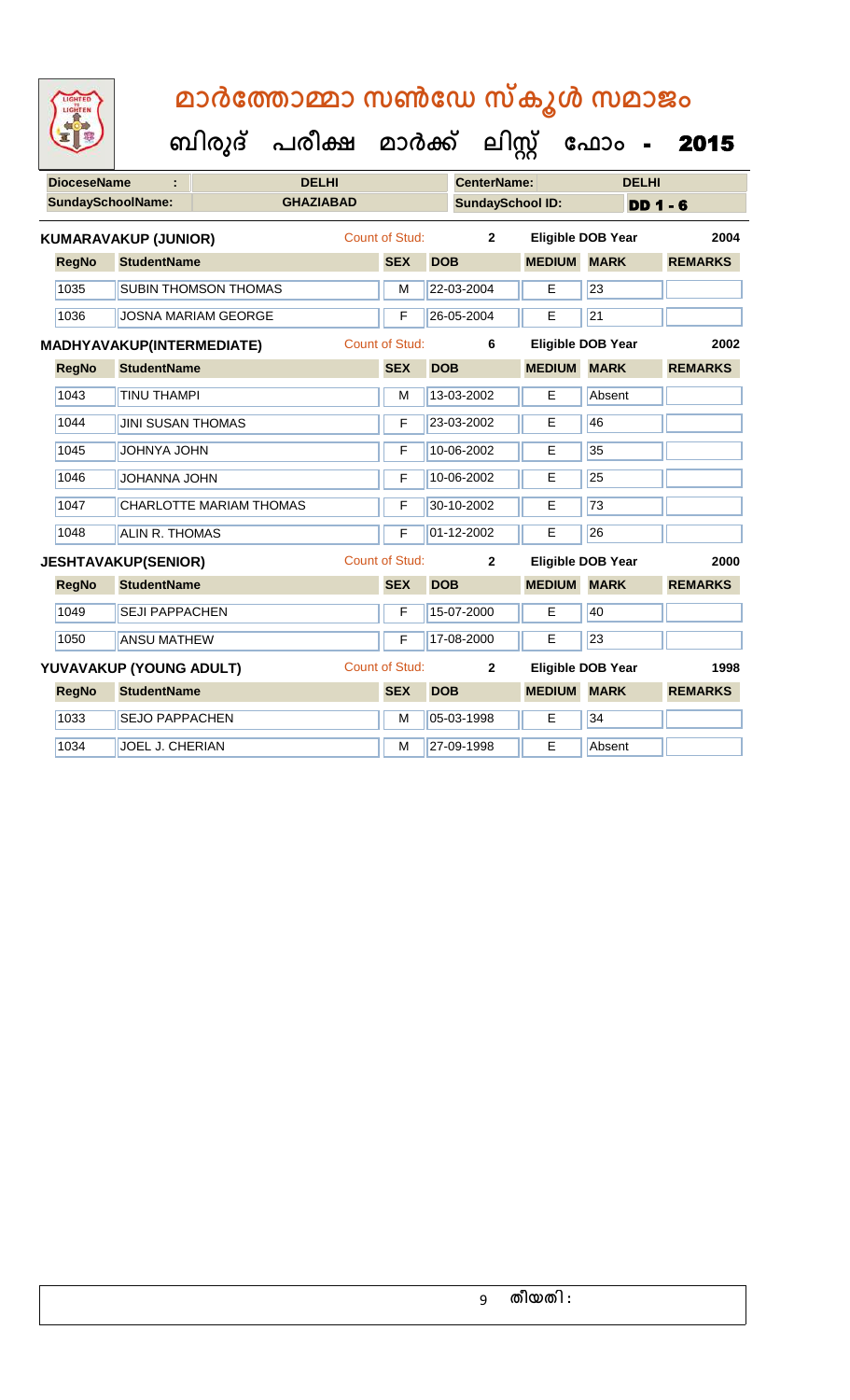|  | GHTED |  |
|--|-------|--|
|  |       |  |
|  |       |  |
|  |       |  |
|  |       |  |

| <b>DioceseName</b> |                                  | <b>DELHI</b>                |                  |                       |            | <b>CenterName:</b>      |                          |                 | <b>DELHI</b> |                |      |
|--------------------|----------------------------------|-----------------------------|------------------|-----------------------|------------|-------------------------|--------------------------|-----------------|--------------|----------------|------|
|                    | <b>SundaySchoolName:</b>         |                             | <b>GHAZIABAD</b> |                       |            | <b>SundaySchool ID:</b> |                          |                 | $DD 1 - 6$   |                |      |
|                    | <b>KUMARAVAKUP (JUNIOR)</b>      |                             |                  | Count of Stud:        |            | $\overline{2}$          | <b>Eligible DOB Year</b> |                 |              |                | 2004 |
| <b>RegNo</b>       | <b>StudentName</b>               |                             |                  | <b>SEX</b>            | <b>DOB</b> |                         | <b>MEDIUM</b>            | <b>MARK</b>     |              | <b>REMARKS</b> |      |
| 1035               |                                  | <b>SUBIN THOMSON THOMAS</b> |                  | M                     |            | 22-03-2004              | Е                        | 23              |              |                |      |
| 1036               |                                  | <b>JOSNA MARIAM GEORGE</b>  |                  | F                     |            | 26-05-2004              | E                        | $\overline{21}$ |              |                |      |
|                    | <b>MADHYAVAKUP(INTERMEDIATE)</b> |                             |                  | <b>Count of Stud:</b> |            | 6                       | <b>Eligible DOB Year</b> |                 |              |                | 2002 |
| <b>RegNo</b>       | <b>StudentName</b>               |                             |                  | <b>SEX</b>            | <b>DOB</b> |                         | <b>MEDIUM</b>            | <b>MARK</b>     |              | <b>REMARKS</b> |      |
| 1043               | <b>TINU THAMPI</b>               |                             |                  | M                     |            | 13-03-2002              | E                        | Absent          |              |                |      |
| 1044               | <b>JINI SUSAN THOMAS</b>         |                             |                  | F                     |            | 23-03-2002              | E                        | 46              |              |                |      |
| 1045               | <b>JOHNYA JOHN</b>               |                             |                  | F                     |            | 10-06-2002              | Е                        | 35              |              |                |      |
| 1046               | JOHANNA JOHN                     |                             |                  | F                     |            | 10-06-2002              | Е                        | 25              |              |                |      |
| 1047               |                                  | CHARLOTTE MARIAM THOMAS     |                  | F                     |            | 30-10-2002              | E                        | 73              |              |                |      |
| 1048               | <b>ALIN R. THOMAS</b>            |                             |                  | F                     |            | 01-12-2002              | E                        | 26              |              |                |      |
|                    | <b>JESHTAVAKUP(SENIOR)</b>       |                             |                  | <b>Count of Stud:</b> |            | $\overline{2}$          | <b>Eligible DOB Year</b> |                 |              |                | 2000 |
| <b>RegNo</b>       | <b>StudentName</b>               |                             |                  | <b>SEX</b>            | <b>DOB</b> |                         | <b>MEDIUM</b>            | <b>MARK</b>     |              | <b>REMARKS</b> |      |
| 1049               | <b>SEJI PAPPACHEN</b>            |                             |                  | F                     |            | 15-07-2000              | Е                        | 40              |              |                |      |
| 1050               | <b>ANSU MATHEW</b>               |                             |                  | F                     |            | 17-08-2000              | E                        | 23              |              |                |      |
|                    | YUVAVAKUP (YOUNG ADULT)          |                             |                  | <b>Count of Stud:</b> |            | $\mathbf{2}$            | <b>Eligible DOB Year</b> |                 |              |                | 1998 |
| <b>RegNo</b>       | <b>StudentName</b>               |                             |                  | <b>SEX</b>            | <b>DOB</b> |                         | <b>MEDIUM</b>            | <b>MARK</b>     |              | <b>REMARKS</b> |      |
| 1033               | <b>SEJO PAPPACHEN</b>            |                             |                  | M                     |            | 05-03-1998              | E                        | 34              |              |                |      |
| 1034               | JOEL J. CHERIAN                  |                             |                  | M                     |            | 27-09-1998              | E                        | Absent          |              |                |      |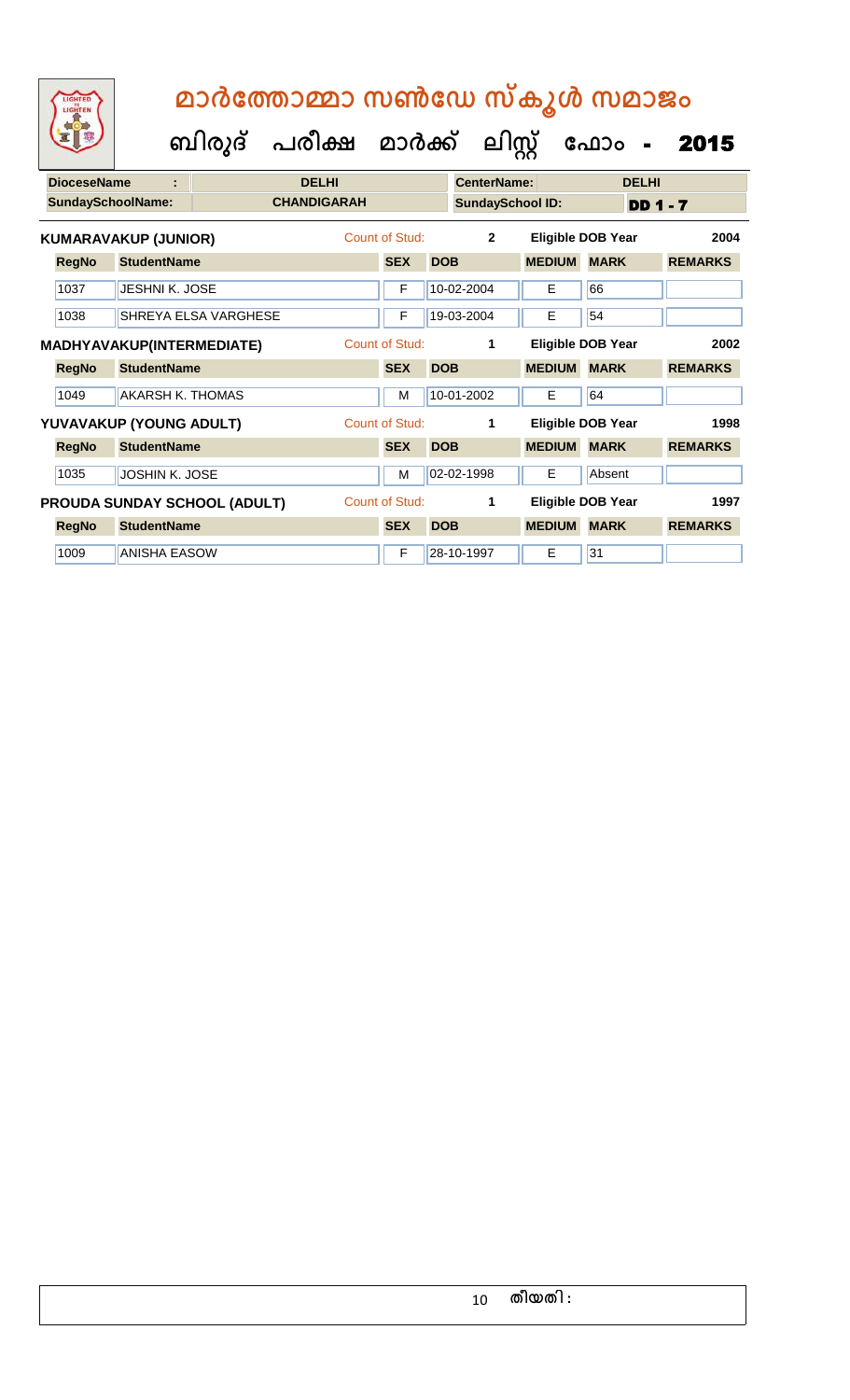| <b>DioceseName</b> | ÷                                |                                     | <b>DELHI</b>       |                       |            | <b>CenterName:</b>      |               | <b>DELHI</b>             |                 |  |
|--------------------|----------------------------------|-------------------------------------|--------------------|-----------------------|------------|-------------------------|---------------|--------------------------|-----------------|--|
|                    | <b>SundaySchoolName:</b>         |                                     | <b>CHANDIGARAH</b> |                       |            | <b>SundaySchool ID:</b> |               |                          | <b>DD 1 - 7</b> |  |
|                    | <b>KUMARAVAKUP (JUNIOR)</b>      |                                     |                    | Count of Stud:        |            | $\overline{2}$          |               | <b>Eligible DOB Year</b> | 2004            |  |
| <b>RegNo</b>       | <b>StudentName</b>               |                                     |                    | <b>SEX</b>            | <b>DOB</b> |                         | <b>MEDIUM</b> | <b>MARK</b>              | <b>REMARKS</b>  |  |
| 1037               | JESHNI K. JOSE                   |                                     |                    | F                     |            | 10-02-2004              | E.            | 66                       |                 |  |
| 1038               |                                  | SHREYA ELSA VARGHESE                |                    | F                     |            | 19-03-2004              | E             | 54                       |                 |  |
|                    | <b>MADHYAVAKUP(INTERMEDIATE)</b> |                                     |                    | <b>Count of Stud:</b> |            | 1                       |               | Eligible DOB Year        | 2002            |  |
| <b>RegNo</b>       | <b>StudentName</b>               |                                     |                    | <b>SEX</b>            | <b>DOB</b> |                         | <b>MEDIUM</b> | <b>MARK</b>              | <b>REMARKS</b>  |  |
| 1049               | AKARSH K. THOMAS                 |                                     |                    | M                     |            | 10-01-2002              | E.            | 64                       |                 |  |
|                    | YUVAVAKUP (YOUNG ADULT)          |                                     |                    | Count of Stud:        |            | 1                       |               | Eligible DOB Year        | 1998            |  |
| <b>RegNo</b>       | <b>StudentName</b>               |                                     |                    | <b>SEX</b>            | <b>DOB</b> |                         | <b>MEDIUM</b> | <b>MARK</b>              | <b>REMARKS</b>  |  |
| 1035               | JOSHIN K. JOSE                   |                                     |                    | M                     |            | 02-02-1998              | E.            | Absent                   |                 |  |
|                    |                                  | <b>PROUDA SUNDAY SCHOOL (ADULT)</b> |                    | <b>Count of Stud:</b> |            | 1                       |               | Eligible DOB Year        | 1997            |  |
| <b>RegNo</b>       | <b>StudentName</b>               |                                     |                    | <b>SEX</b>            | <b>DOB</b> |                         | <b>MEDIUM</b> | <b>MARK</b>              | <b>REMARKS</b>  |  |
| 1009               | <b>ANISHA EASOW</b>              |                                     |                    | F                     |            | 28-10-1997              | E.            | 31                       |                 |  |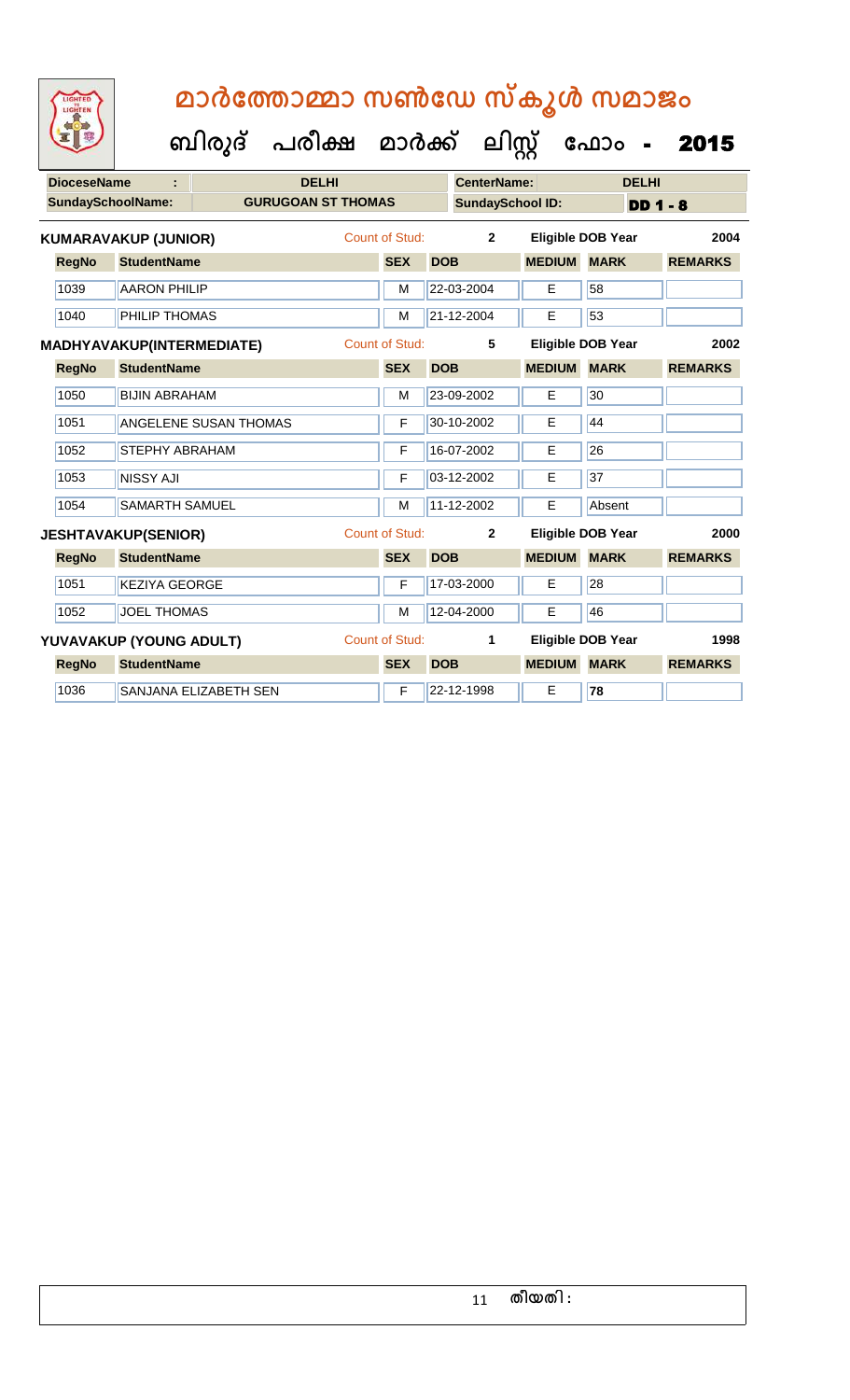| LIGHTED |
|---------|
|         |
|         |
|         |

| <b>SundaySchoolName:</b><br><b>GURUGOAN ST THOMAS</b><br><b>SundaySchool ID:</b><br>Count of Stud:<br>$\overline{2}$<br><b>Eligible DOB Year</b><br><b>KUMARAVAKUP (JUNIOR)</b><br><b>RegNo</b><br><b>StudentName</b><br><b>MEDIUM</b><br><b>MARK</b><br><b>SEX</b><br><b>DOB</b> | $DD$ 1 - 8<br>2004<br><b>REMARKS</b> |
|-----------------------------------------------------------------------------------------------------------------------------------------------------------------------------------------------------------------------------------------------------------------------------------|--------------------------------------|
|                                                                                                                                                                                                                                                                                   |                                      |
|                                                                                                                                                                                                                                                                                   |                                      |
|                                                                                                                                                                                                                                                                                   |                                      |
| 1039<br>22-03-2004<br>58<br><b>AARON PHILIP</b><br>E<br>M                                                                                                                                                                                                                         |                                      |
| 53<br>21-12-2004<br>1040<br>PHILIP THOMAS<br>E<br>M                                                                                                                                                                                                                               |                                      |
| Count of Stud:<br>5<br><b>Eligible DOB Year</b><br><b>MADHYAVAKUP(INTERMEDIATE)</b>                                                                                                                                                                                               | 2002                                 |
| <b>SEX</b><br><b>MEDIUM</b><br><b>RegNo</b><br><b>StudentName</b><br><b>DOB</b><br><b>MARK</b>                                                                                                                                                                                    | <b>REMARKS</b>                       |
| 1050<br>30<br><b>BIJIN ABRAHAM</b><br>23-09-2002<br>E<br>M                                                                                                                                                                                                                        |                                      |
| 44<br>1051<br><b>ANGELENE SUSAN THOMAS</b><br>F<br>30-10-2002<br>E                                                                                                                                                                                                                |                                      |
| 26<br>16-07-2002<br>1052<br>E<br><b>STEPHY ABRAHAM</b><br>F                                                                                                                                                                                                                       |                                      |
| 37<br>1053<br><b>NISSY AJI</b><br>F<br>03-12-2002<br>E                                                                                                                                                                                                                            |                                      |
| 11-12-2002<br>1054<br>E<br>Absent<br><b>SAMARTH SAMUEL</b><br>M                                                                                                                                                                                                                   |                                      |
| <b>Count of Stud:</b><br>$\mathbf{2}$<br><b>Eligible DOB Year</b><br><b>JESHTAVAKUP(SENIOR)</b>                                                                                                                                                                                   | 2000                                 |
| <b>MEDIUM</b><br><b>MARK</b><br><b>RegNo</b><br><b>StudentName</b><br><b>SEX</b><br><b>DOB</b>                                                                                                                                                                                    | <b>REMARKS</b>                       |
| 1051<br>17-03-2000<br>28<br><b>KEZIYA GEORGE</b><br>E<br>F                                                                                                                                                                                                                        |                                      |
| <b>JOEL THOMAS</b><br>46<br>1052<br>M<br>12-04-2000<br>E                                                                                                                                                                                                                          |                                      |
| Count of Stud:<br><b>Eligible DOB Year</b><br>YUVAVAKUP (YOUNG ADULT)<br>1                                                                                                                                                                                                        | 1998                                 |
| <b>RegNo</b><br><b>StudentName</b><br><b>SEX</b><br><b>DOB</b><br><b>MEDIUM</b><br><b>MARK</b>                                                                                                                                                                                    | <b>REMARKS</b>                       |
| 22-12-1998<br>78<br>1036<br>SANJANA ELIZABETH SEN<br>Е<br>F                                                                                                                                                                                                                       |                                      |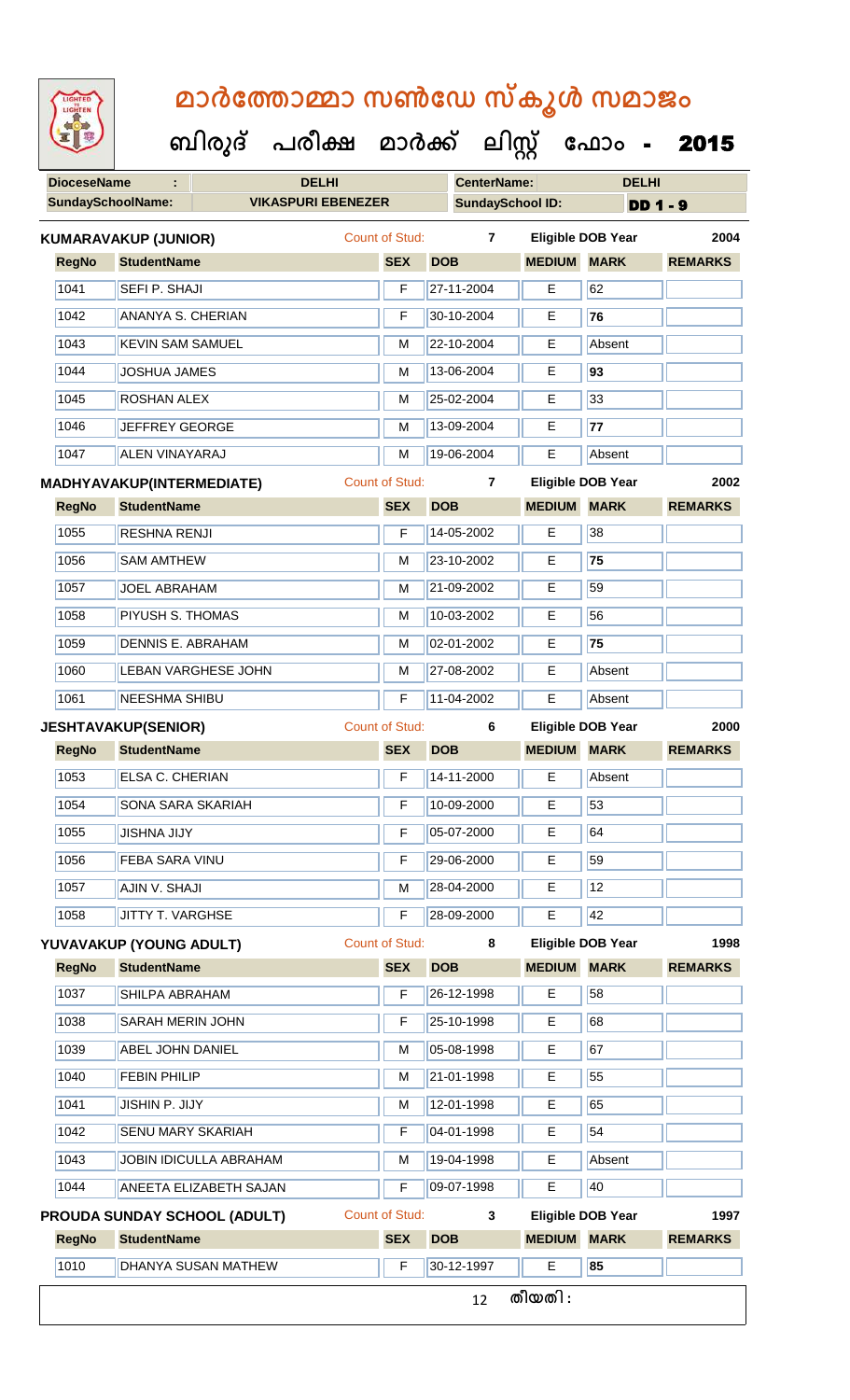| <b>IGHTED</b> |  |
|---------------|--|
|               |  |
|               |  |
|               |  |
|               |  |

 **ബിരുദ് പരീക്ഷ മാര്ക് ക ലിസ്റ്റ ക ഫ ാോം** - 2015

| <b>DioceseName</b><br>÷ |                                  | <b>DELHI</b>                        | <b>CenterName:</b> |                         | <b>DELHI</b>   |                    |                          |                 |  |
|-------------------------|----------------------------------|-------------------------------------|--------------------|-------------------------|----------------|--------------------|--------------------------|-----------------|--|
|                         | <b>SundaySchoolName:</b>         | <b>VIKASPURI EBENEZER</b>           |                    | <b>SundaySchool ID:</b> |                |                    |                          | <b>DD 1 - 9</b> |  |
|                         | <b>KUMARAVAKUP (JUNIOR)</b>      |                                     |                    | Count of Stud:          | $\mathbf{7}$   |                    | <b>Eligible DOB Year</b> | 2004            |  |
| <b>RegNo</b>            | <b>StudentName</b>               |                                     |                    | <b>SEX</b>              | <b>DOB</b>     | <b>MEDIUM</b>      | <b>MARK</b>              | <b>REMARKS</b>  |  |
| 1041                    | SEFI P. SHAJI                    |                                     |                    | F                       | 27-11-2004     | Е                  | 62                       |                 |  |
| 1042                    | <b>ANANYA S. CHERIAN</b>         |                                     |                    | F                       | 30-10-2004     | E                  | 76                       |                 |  |
| 1043                    | <b>KEVIN SAM SAMUEL</b>          |                                     |                    | M                       | 22-10-2004     | Е                  | Absent                   |                 |  |
| 1044                    | <b>JOSHUA JAMES</b>              |                                     |                    | M                       | 13-06-2004     | Е                  | 93                       |                 |  |
| 1045                    | <b>ROSHAN ALEX</b>               |                                     |                    | M                       | 25-02-2004     | E                  | 33                       |                 |  |
| 1046                    | <b>JEFFREY GEORGE</b>            |                                     |                    | M                       | 13-09-2004     | Е                  | 77                       |                 |  |
| 1047                    | <b>ALEN VINAYARAJ</b>            |                                     |                    | M                       | 19-06-2004     | Ε                  | Absent                   |                 |  |
|                         | <b>MADHYAVAKUP(INTERMEDIATE)</b> |                                     |                    | <b>Count of Stud:</b>   | $\overline{7}$ |                    | <b>Eligible DOB Year</b> | 2002            |  |
| <b>RegNo</b>            | <b>StudentName</b>               |                                     |                    | <b>SEX</b>              | <b>DOB</b>     | <b>MEDIUM</b>      | <b>MARK</b>              | <b>REMARKS</b>  |  |
| 1055                    | <b>RESHNA RENJI</b>              |                                     |                    | F                       | 14-05-2002     | E                  | 38                       |                 |  |
| 1056                    | <b>SAM AMTHEW</b>                |                                     |                    | M                       | 23-10-2002     | Е                  | 75                       |                 |  |
| 1057                    | <b>JOEL ABRAHAM</b>              |                                     |                    | M                       | 21-09-2002     | Е                  | 59                       |                 |  |
| 1058                    | PIYUSH S. THOMAS                 |                                     |                    | M                       | 10-03-2002     | Е                  | 56                       |                 |  |
| 1059                    | <b>DENNIS E. ABRAHAM</b>         |                                     |                    | м                       | 02-01-2002     | Е                  | 75                       |                 |  |
| 1060                    | LEBAN VARGHESE JOHN              |                                     |                    | M                       | 27-08-2002     | Е                  | Absent                   |                 |  |
| 1061                    | <b>NEESHMA SHIBU</b>             |                                     |                    | F                       | 11-04-2002     | E                  | Absent                   |                 |  |
|                         | <b>JESHTAVAKUP(SENIOR)</b>       |                                     |                    | <b>Count of Stud:</b>   | 6              |                    | <b>Eligible DOB Year</b> | 2000            |  |
| <b>RegNo</b>            | <b>StudentName</b>               |                                     |                    | <b>SEX</b>              | <b>DOB</b>     | <b>MEDIUM</b>      | <b>MARK</b>              | <b>REMARKS</b>  |  |
| 1053                    | <b>ELSA C. CHERIAN</b>           |                                     |                    | F                       | 14-11-2000     | E                  | Absent                   |                 |  |
| 1054                    | SONA SARA SKARIAH                |                                     |                    | F                       | 10-09-2000     | Е                  | 53                       |                 |  |
| 1055                    | <b>JISHNA JIJY</b>               |                                     |                    | F                       | 05-07-2000     | Е                  | 64                       |                 |  |
| 1056                    | <b>FEBA SARA VINU</b>            |                                     |                    | F                       | 29-06-2000     | E                  | 59                       |                 |  |
| 1057                    | AJIN V. SHAJI                    |                                     |                    | M                       | 28-04-2000     | Е                  | 12                       |                 |  |
| 1058                    | JITTY T. VARGHSE                 |                                     |                    | F                       | 28-09-2000     | E                  | 42                       |                 |  |
|                         | YUVAVAKUP (YOUNG ADULT)          |                                     |                    | Count of Stud:          | 8              |                    | <b>Eligible DOB Year</b> | 1998            |  |
| <b>RegNo</b>            | <b>StudentName</b>               |                                     |                    | <b>SEX</b>              | <b>DOB</b>     | <b>MEDIUM</b>      | <b>MARK</b>              | <b>REMARKS</b>  |  |
| 1037                    | SHILPA ABRAHAM                   |                                     |                    | F                       | 26-12-1998     | E.                 | 58                       |                 |  |
| 1038                    | <b>SARAH MERIN JOHN</b>          |                                     |                    | F                       | 25-10-1998     | Е                  | 68                       |                 |  |
| 1039                    | ABEL JOHN DANIEL                 |                                     |                    | M                       | 05-08-1998     | Е                  | 67                       |                 |  |
| 1040                    | <b>FEBIN PHILIP</b>              |                                     |                    | м                       | 21-01-1998     | Е                  | 55                       |                 |  |
| 1041                    | JISHIN P. JIJY                   |                                     | М                  | 12-01-1998              | Е              | 65                 |                          |                 |  |
| 1042                    | <b>SENU MARY SKARIAH</b>         |                                     | F                  | 04-01-1998              | Е              | 54                 |                          |                 |  |
| 1043                    | JOBIN IDICULLA ABRAHAM           |                                     |                    | М                       | 19-04-1998     | Е                  | Absent                   |                 |  |
| 1044                    |                                  | <b>ANEETA ELIZABETH SAJAN</b>       |                    | F                       | 09-07-1998     | Ε                  | 40                       |                 |  |
|                         |                                  | <b>PROUDA SUNDAY SCHOOL (ADULT)</b> |                    | Count of Stud:          | 3              |                    | <b>Eligible DOB Year</b> | 1997            |  |
| <b>RegNo</b>            | <b>StudentName</b>               |                                     |                    | <b>SEX</b>              | <b>DOB</b>     | <b>MEDIUM MARK</b> |                          | <b>REMARKS</b>  |  |
| 1010                    |                                  | DHANYA SUSAN MATHEW                 |                    | $\overline{F}$          | 30-12-1997     | Е                  | 85                       |                 |  |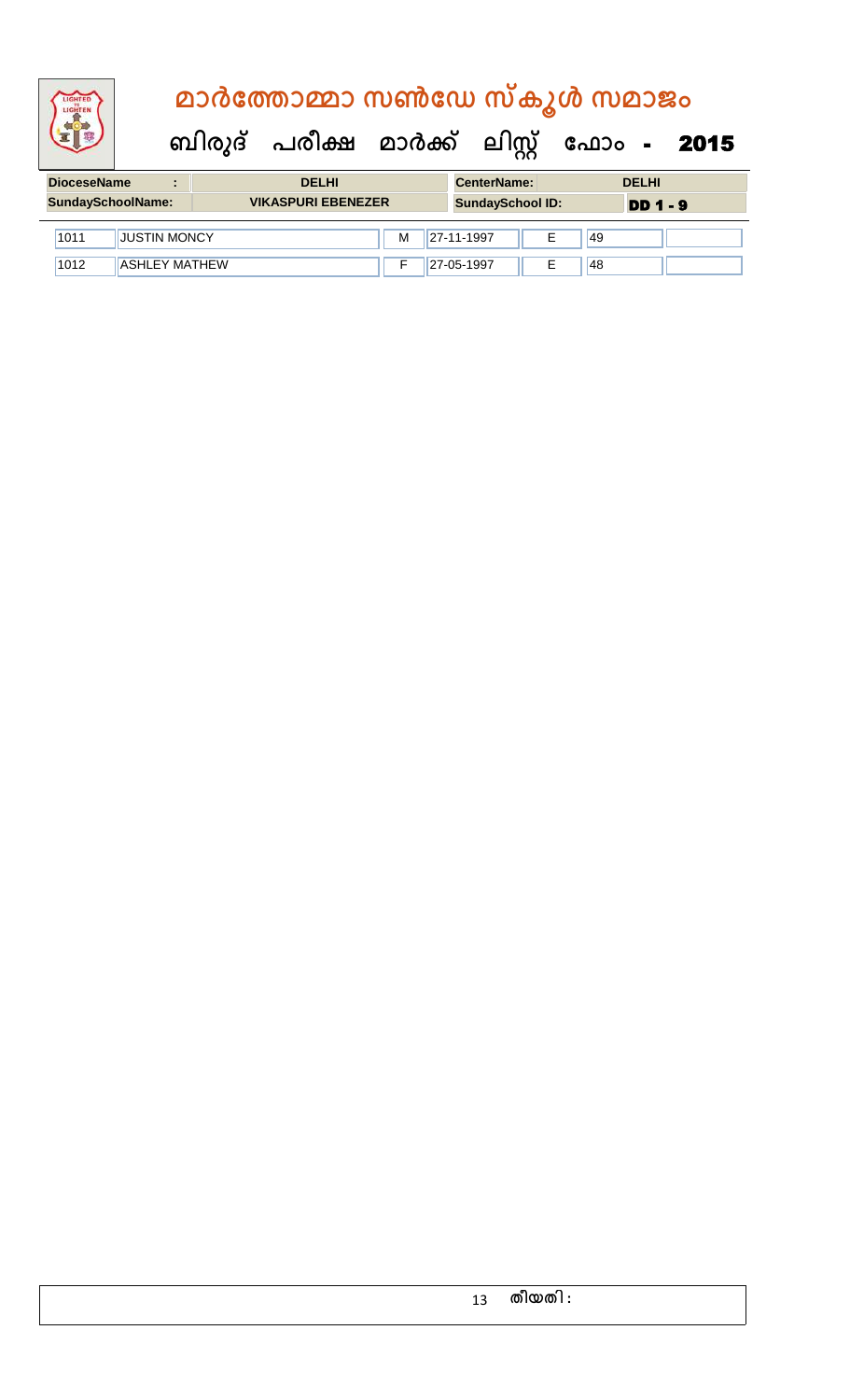|                                                                                                                                                                                                                                      | മാർത്തോമ്മാ സൺഡേ സ്കൂൾ സമാജം |              |  |                                                                                                                                                                                                                                     |                                           |  |  |  |  |
|--------------------------------------------------------------------------------------------------------------------------------------------------------------------------------------------------------------------------------------|------------------------------|--------------|--|-------------------------------------------------------------------------------------------------------------------------------------------------------------------------------------------------------------------------------------|-------------------------------------------|--|--|--|--|
|                                                                                                                                                                                                                                      |                              |              |  |                                                                                                                                                                                                                                     | ബിരുദ് പരീക്ഷ മാർക്ക് ലിസ്റ്റ് ഫോം - 2015 |  |  |  |  |
| <b>Profit and a second contract of the second second contract of the second second second second second second second second second second second second second second second second second second second second second second s</b> |                              | <b>BELLE</b> |  | <b>A</b> contract and the second of the second of the second of the second of the second of the second of the second of the second of the second of the second of the second of the second of the second of the second of the secon |                                           |  |  |  |  |

| <b>DioceseName</b><br>$\blacksquare$ |                      | <b>DELHI</b> |                           |   | <b>CenterName:</b> |                         |    | <b>DELHI</b>    |  |
|--------------------------------------|----------------------|--------------|---------------------------|---|--------------------|-------------------------|----|-----------------|--|
| SundaySchoolName:                    |                      |              | <b>VIKASPURI EBENEZER</b> |   |                    | <b>SundaySchool ID:</b> |    | <b>DD 1 - 9</b> |  |
| 1011                                 | <b>JUSTIN MONCY</b>  |              |                           | м | $127 - 11 - 1997$  |                         | 49 |                 |  |
| 1012                                 | <b>ASHLEY MATHEW</b> |              |                           |   | 27-05-1997         |                         | 48 |                 |  |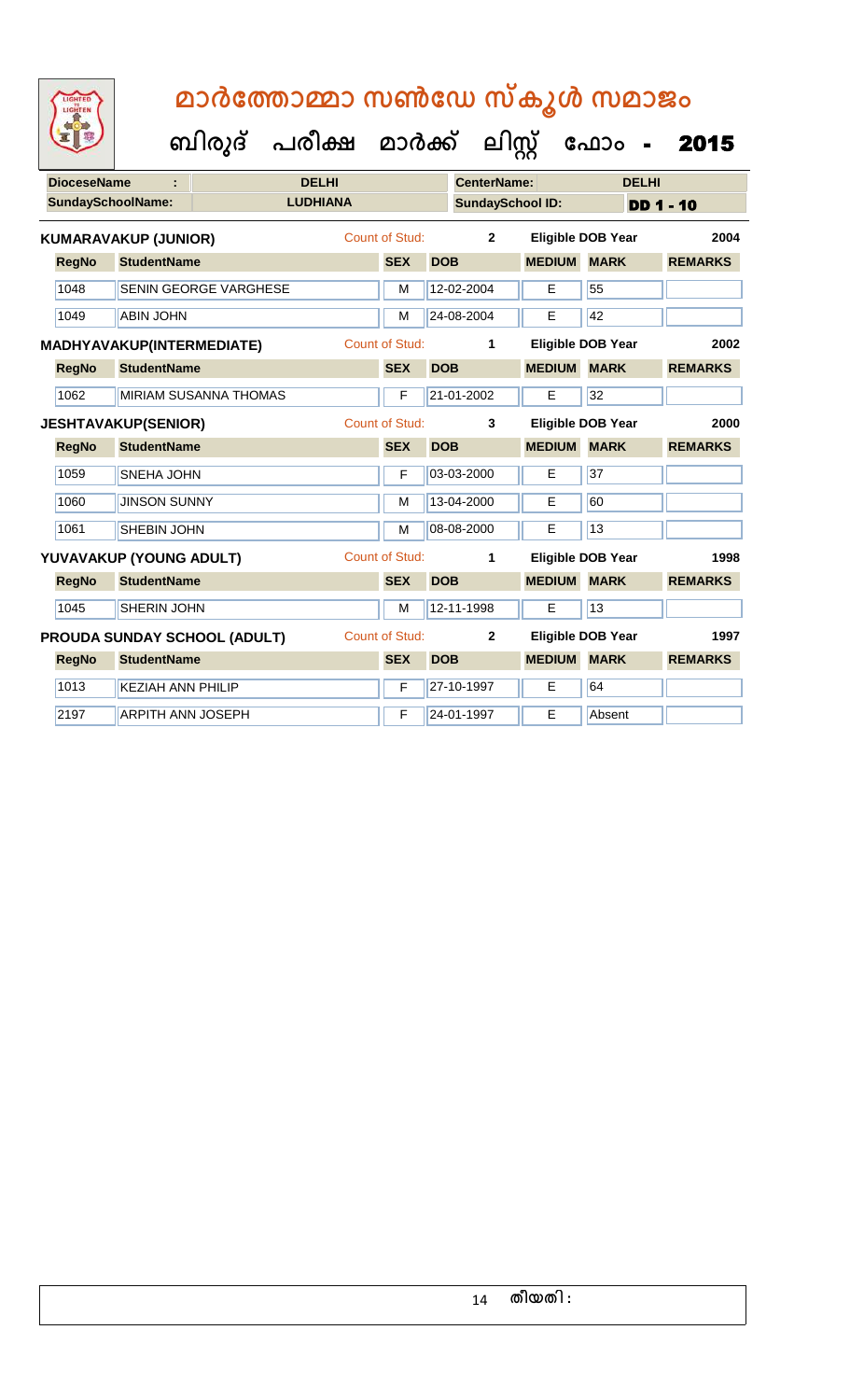| <b>IGHTED</b><br><b>HYE</b> |
|-----------------------------|
|                             |
|                             |
|                             |

| <b>DioceseName</b> |              |                                  |                              | <b>DELHI</b>    |                       |            | <b>CenterName:</b>      |                    | <b>DELHI</b>             |                  |
|--------------------|--------------|----------------------------------|------------------------------|-----------------|-----------------------|------------|-------------------------|--------------------|--------------------------|------------------|
|                    |              | <b>SundaySchoolName:</b>         |                              | <b>LUDHIANA</b> |                       |            | <b>SundaySchool ID:</b> |                    |                          | <b>DD 1 - 10</b> |
|                    |              | <b>KUMARAVAKUP (JUNIOR)</b>      |                              |                 | Count of Stud:        |            | $\overline{2}$          |                    | <b>Eligible DOB Year</b> | 2004             |
|                    | <b>RegNo</b> | <b>StudentName</b>               |                              |                 | <b>SEX</b>            | <b>DOB</b> |                         | <b>MEDIUM MARK</b> |                          | <b>REMARKS</b>   |
|                    | 1048         |                                  | SENIN GEORGE VARGHESE        |                 | M                     |            | 12-02-2004              | E                  | 55                       |                  |
|                    | 1049         | <b>ABIN JOHN</b>                 |                              |                 | M                     |            | 24-08-2004              | E                  | 42                       |                  |
|                    |              | <b>MADHYAVAKUP(INTERMEDIATE)</b> |                              |                 | <b>Count of Stud:</b> |            | 1                       |                    | <b>Eligible DOB Year</b> | 2002             |
|                    | <b>RegNo</b> | <b>StudentName</b>               |                              |                 | <b>SEX</b>            | <b>DOB</b> |                         | <b>MEDIUM MARK</b> |                          | <b>REMARKS</b>   |
|                    | 1062         |                                  | MIRIAM SUSANNA THOMAS        |                 | F                     |            | 21-01-2002              | E                  | 32                       |                  |
|                    |              | <b>JESHTAVAKUP(SENIOR)</b>       |                              |                 | Count of Stud:        |            | 3                       |                    | <b>Eligible DOB Year</b> | 2000             |
|                    | <b>RegNo</b> | <b>StudentName</b>               |                              |                 | <b>SEX</b>            | <b>DOB</b> |                         | <b>MEDIUM</b>      | <b>MARK</b>              | <b>REMARKS</b>   |
|                    | 1059         | <b>SNEHA JOHN</b>                |                              |                 | F                     |            | 03-03-2000              | Е                  | $\overline{37}$          |                  |
|                    | 1060         | <b>JINSON SUNNY</b>              |                              |                 | М                     |            | 13-04-2000              | Е                  | 60                       |                  |
|                    | 1061         | <b>SHEBIN JOHN</b>               |                              |                 | M                     |            | 08-08-2000              | E                  | 13                       |                  |
|                    |              | YUVAVAKUP (YOUNG ADULT)          |                              |                 | <b>Count of Stud:</b> |            | 1                       |                    | <b>Eligible DOB Year</b> | 1998             |
|                    | <b>RegNo</b> | <b>StudentName</b>               |                              |                 | <b>SEX</b>            | <b>DOB</b> |                         | <b>MEDIUM MARK</b> |                          | <b>REMARKS</b>   |
|                    | 1045         | <b>SHERIN JOHN</b>               |                              |                 | M                     |            | 12-11-1998              | E                  | 13                       |                  |
|                    |              |                                  | PROUDA SUNDAY SCHOOL (ADULT) |                 | Count of Stud:        |            | $\mathbf{2}$            |                    | <b>Eligible DOB Year</b> | 1997             |
|                    | <b>RegNo</b> | <b>StudentName</b>               |                              |                 | <b>SEX</b>            | <b>DOB</b> |                         | <b>MEDIUM</b>      | <b>MARK</b>              | <b>REMARKS</b>   |
|                    | 1013         | <b>KEZIAH ANN PHILIP</b>         |                              |                 | F                     |            | 27-10-1997              | Е                  | 64                       |                  |
|                    | 2197         | <b>ARPITH ANN JOSEPH</b>         |                              |                 | F                     |            | 24-01-1997              | E                  | Absent                   |                  |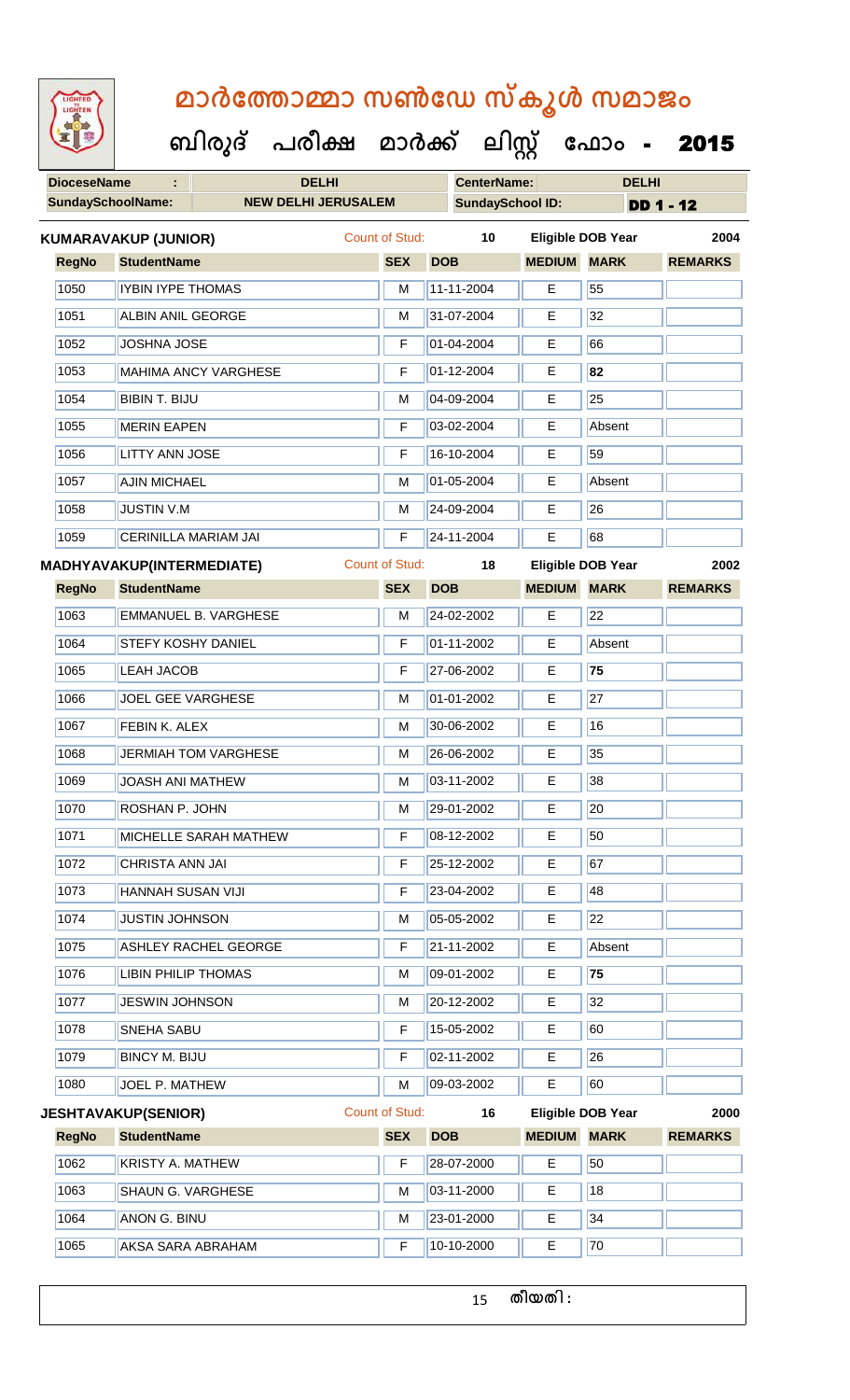| <b>IGHTED</b> |  |
|---------------|--|
|               |  |
|               |  |
|               |  |
|               |  |

 **ബിരുദ് പരീക്ഷ മാര്ക് ക ലിസ്റ്റ ക ഫ ാോം** - 2015

| <b>DioceseName</b><br>÷  |                                  | <b>DELHI</b>                 |                            |                       | <b>CenterName:</b> |                         | <b>DELHI</b>             |                |
|--------------------------|----------------------------------|------------------------------|----------------------------|-----------------------|--------------------|-------------------------|--------------------------|----------------|
| <b>SundaySchoolName:</b> |                                  |                              | <b>NEW DELHI JERUSALEM</b> |                       |                    | <b>SundaySchool ID:</b> | <b>DD 1 - 12</b>         |                |
|                          | <b>KUMARAVAKUP (JUNIOR)</b>      |                              |                            | <b>Count of Stud:</b> | 10                 |                         | Eligible DOB Year        | 2004           |
| <b>RegNo</b>             | <b>StudentName</b>               |                              |                            | <b>SEX</b>            | <b>DOB</b>         | <b>MEDIUM</b>           | <b>MARK</b>              | <b>REMARKS</b> |
| 1050                     | IYBIN IYPE THOMAS                |                              |                            | M                     | 11-11-2004         | E                       | 55                       |                |
| 1051                     | <b>ALBIN ANIL GEORGE</b>         |                              |                            | M                     | 31-07-2004         | Е                       | 32                       |                |
| 1052                     | <b>JOSHNA JOSE</b>               |                              |                            | F                     | 01-04-2004         | Е                       | 66                       |                |
| 1053                     |                                  | <b>MAHIMA ANCY VARGHESE</b>  |                            | F                     | 01-12-2004         | E                       | 82                       |                |
| 1054                     | <b>BIBIN T. BIJU</b>             |                              |                            | M                     | 04-09-2004         | E                       | 25                       |                |
| 1055                     | <b>MERIN EAPEN</b>               |                              |                            | F                     | 03-02-2004         | E                       | Absent                   |                |
| 1056                     | <b>LITTY ANN JOSE</b>            |                              |                            | F                     | 16-10-2004         | E                       | 59                       |                |
| 1057                     | <b>AJIN MICHAEL</b>              |                              |                            | M                     | 01-05-2004         | Е                       | Absent                   |                |
| 1058                     | <b>JUSTIN V.M</b>                |                              |                            | M                     | 24-09-2004         | Е                       | 26                       |                |
| 1059                     |                                  | <b>CERINILLA MARIAM JAI</b>  |                            | F                     | 24-11-2004         | E                       | 68                       |                |
|                          | <b>MADHYAVAKUP(INTERMEDIATE)</b> |                              |                            | <b>Count of Stud:</b> | 18                 |                         | Eligible DOB Year        | 2002           |
| <b>RegNo</b>             | <b>StudentName</b>               |                              |                            | <b>SEX</b>            | <b>DOB</b>         | <b>MEDIUM</b>           | <b>MARK</b>              | <b>REMARKS</b> |
| 1063                     |                                  | <b>EMMANUEL B. VARGHESE</b>  |                            | M                     | 24-02-2002         | E                       | 22                       |                |
| 1064                     | STEFY KOSHY DANIEL               |                              |                            | F                     | 01-11-2002         | E.                      | Absent                   |                |
| 1065                     | <b>LEAH JACOB</b>                |                              |                            | F                     | 27-06-2002         | E                       | 75                       |                |
| 1066                     | <b>JOEL GEE VARGHESE</b>         |                              |                            | M                     | 01-01-2002         | Е                       | 27                       |                |
| 1067                     | FEBIN K. ALEX                    |                              |                            | M                     | 30-06-2002         | E                       | 16                       |                |
| 1068                     |                                  | <b>JERMIAH TOM VARGHESE</b>  |                            | M                     | 26-06-2002         | Е                       | 35                       |                |
| 1069                     | <b>JOASH ANI MATHEW</b>          |                              |                            | M                     | 03-11-2002         | Е                       | 38                       |                |
| 1070                     | ROSHAN P. JOHN                   |                              |                            | м                     | 29-01-2002         | E                       | 20                       |                |
| 1071                     |                                  | <b>MICHELLE SARAH MATHEW</b> |                            | F                     | 08-12-2002         | Е                       | 50                       |                |
| 1072                     | <b>CHRISTA ANN JAI</b>           |                              |                            | F                     | 25-12-2002         | Е                       | 67                       |                |
| 1073                     | HANNAH SUSAN VIJI                |                              |                            | F                     | 23-04-2002         | E                       | 48                       |                |
| 1074                     | <b>JUSTIN JOHNSON</b>            |                              |                            | М                     | 05-05-2002         | Е                       | 22                       |                |
| 1075                     |                                  | <b>ASHLEY RACHEL GEORGE</b>  |                            | F                     | 21-11-2002         | E                       | Absent                   |                |
| 1076                     | <b>LIBIN PHILIP THOMAS</b>       |                              |                            | M                     | 09-01-2002         | E                       | 75                       |                |
| 1077                     | <b>JESWIN JOHNSON</b>            |                              |                            | М                     | 20-12-2002         | Е                       | 32                       |                |
| 1078                     | SNEHA SABU                       |                              |                            | F                     | 15-05-2002         | Е                       | 60                       |                |
| 1079                     | <b>BINCY M. BIJU</b>             |                              |                            | F                     | 02-11-2002         | Е                       | 26                       |                |
| 1080                     | JOEL P. MATHEW                   |                              |                            | м                     | 09-03-2002         | E.                      | 60                       |                |
|                          | <b>JESHTAVAKUP(SENIOR)</b>       |                              |                            | <b>Count of Stud:</b> | 16                 |                         | <b>Eligible DOB Year</b> | 2000           |
| <b>RegNo</b>             | <b>StudentName</b>               |                              |                            | <b>SEX</b>            | <b>DOB</b>         | <b>MEDIUM</b>           | <b>MARK</b>              | <b>REMARKS</b> |
| 1062                     | <b>KRISTY A. MATHEW</b>          |                              |                            | F                     | 28-07-2000         | E                       | 50                       |                |
| 1063                     | SHAUN G. VARGHESE                |                              |                            | M                     | 03-11-2000         | E                       | 18                       |                |
| 1064                     | <b>ANON G. BINU</b>              |                              |                            | м                     | 23-01-2000         | Е                       | 34                       |                |
| 1065                     | <b>AKSA SARA ABRAHAM</b>         |                              |                            | F                     | 10-10-2000         | Е                       | 70                       |                |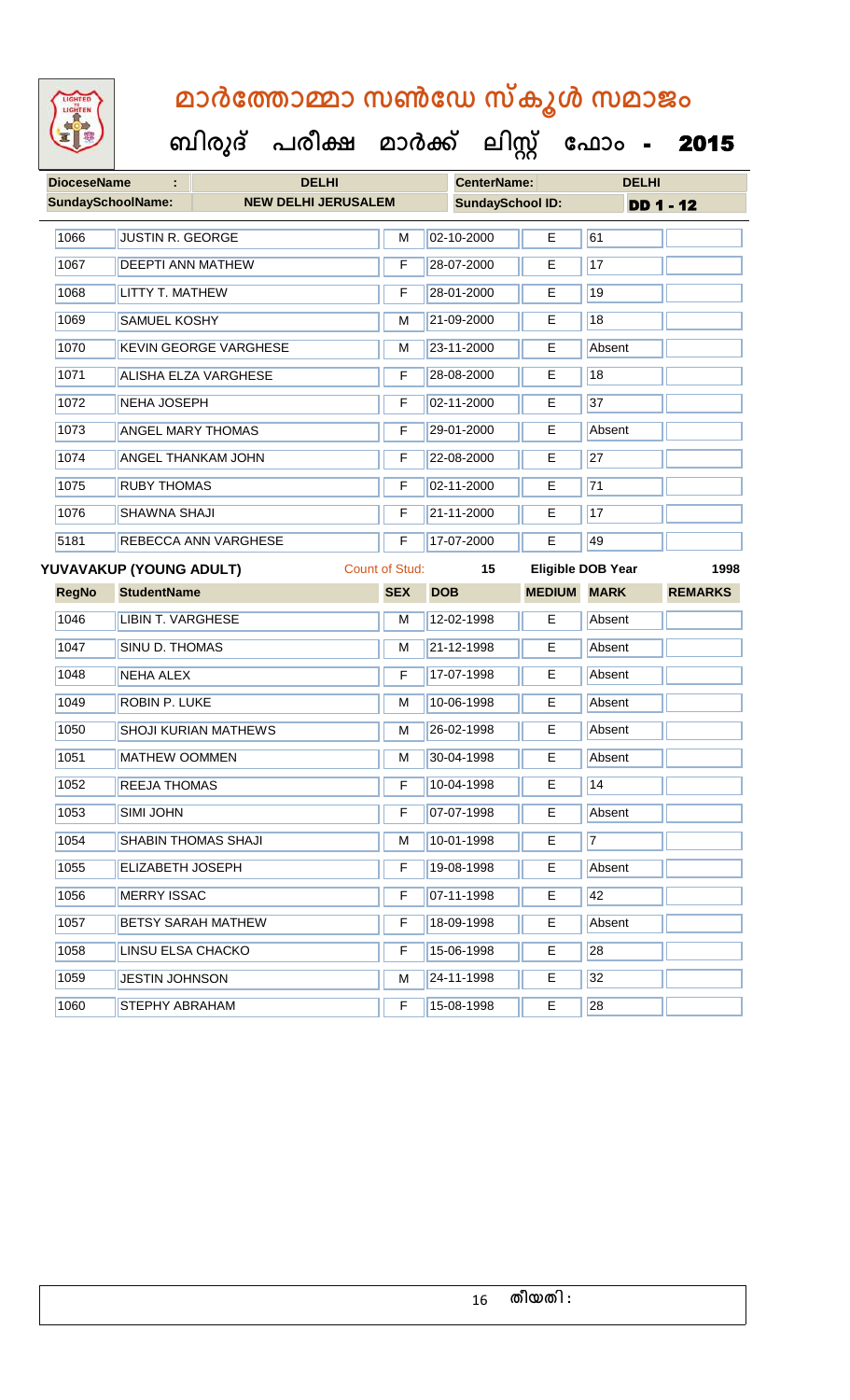| <b>DioceseName</b><br>÷  |                             | <b>DELHI</b>                 |                       | <b>CenterName:</b>      |               | <b>DELHI</b>             |                |
|--------------------------|-----------------------------|------------------------------|-----------------------|-------------------------|---------------|--------------------------|----------------|
| <b>SundaySchoolName:</b> |                             | <b>NEW DELHI JERUSALEM</b>   |                       | <b>SundaySchool ID:</b> |               | <b>DD 1 - 12</b>         |                |
| 1066                     | <b>JUSTIN R. GEORGE</b>     |                              | M                     | 02-10-2000              | E             | 61                       |                |
| 1067                     | <b>DEEPTI ANN MATHEW</b>    |                              | F                     | 28-07-2000              | E.            | 17                       |                |
| 1068                     | <b>LITTY T. MATHEW</b>      |                              | F                     | 28-01-2000              | E             | 19                       |                |
| 1069                     | <b>SAMUEL KOSHY</b>         |                              |                       | 21-09-2000              | Е             | 18                       |                |
| 1070                     |                             | <b>KEVIN GEORGE VARGHESE</b> | M                     | 23-11-2000              | Е             | Absent                   |                |
| 1071                     |                             | <b>ALISHA ELZA VARGHESE</b>  | F                     | 28-08-2000              | E             | 18                       |                |
| 1072                     | <b>NEHA JOSEPH</b>          |                              | F                     | 02-11-2000              | Е             | 37                       |                |
| 1073                     | <b>ANGEL MARY THOMAS</b>    |                              | F                     | 29-01-2000              | E             | Absent                   |                |
| 1074                     |                             | <b>ANGEL THANKAM JOHN</b>    | F                     | 22-08-2000              | Е             | 27                       |                |
| 1075                     | <b>RUBY THOMAS</b>          |                              | F                     | 02-11-2000              | E             | 71                       |                |
| 1076                     | SHAWNA SHAJI                |                              | F                     | 21-11-2000              | E             | 17                       |                |
| 5181                     | <b>REBECCA ANN VARGHESE</b> |                              |                       | 17-07-2000              | E             | 49                       |                |
|                          | YUVAVAKUP (YOUNG ADULT)     |                              | <b>Count of Stud:</b> | 15                      |               | <b>Eligible DOB Year</b> | 1998           |
| <b>RegNo</b>             | <b>StudentName</b>          |                              | <b>SEX</b>            | <b>DOB</b>              | <b>MEDIUM</b> | <b>MARK</b>              | <b>REMARKS</b> |
| 1046                     | <b>LIBIN T. VARGHESE</b>    |                              | M                     | 12-02-1998              | Е             | Absent                   |                |
| 1047                     | <b>SINU D. THOMAS</b>       |                              | М                     | 21-12-1998              | Е             | Absent                   |                |
| 1048                     | <b>NEHA ALEX</b>            |                              | F                     | 17-07-1998              | E             | Absent                   |                |
| 1049                     | <b>ROBIN P. LUKE</b>        |                              | M                     | 10-06-1998              | E             | Absent                   |                |
| 1050                     |                             | <b>SHOJI KURIAN MATHEWS</b>  | M                     | 26-02-1998              | E             | Absent                   |                |
| 1051                     | <b>MATHEW OOMMEN</b>        |                              | M                     | 30-04-1998              | E             | Absent                   |                |
| 1052                     | REEJA THOMAS                |                              | F                     | 10-04-1998              | E             | 14                       |                |
| 1053                     | SIMI JOHN                   |                              | F                     | 07-07-1998              | E.            | Absent                   |                |
| 1054                     |                             | SHABIN THOMAS SHAJI          | М                     | 10-01-1998              | Е             | $\overline{7}$           |                |
| 1055                     | ELIZABETH JOSEPH            |                              | F                     | 19-08-1998              | E             | Absent                   |                |
| 1056                     | <b>MERRY ISSAC</b>          |                              | F                     | 07-11-1998              | Е             | 42                       |                |
| 1057                     |                             | <b>BETSY SARAH MATHEW</b>    | F                     | 18-09-1998              | Е.            | Absent                   |                |
| 1058                     | <b>LINSU ELSA CHACKO</b>    |                              | F                     | 15-06-1998              | E             | 28                       |                |
| 1059                     | <b>JESTIN JOHNSON</b>       |                              | М                     | 24-11-1998              | Е             | 32                       |                |
| 1060                     | STEPHY ABRAHAM              |                              | F                     | 15-08-1998              | E.            | 28                       |                |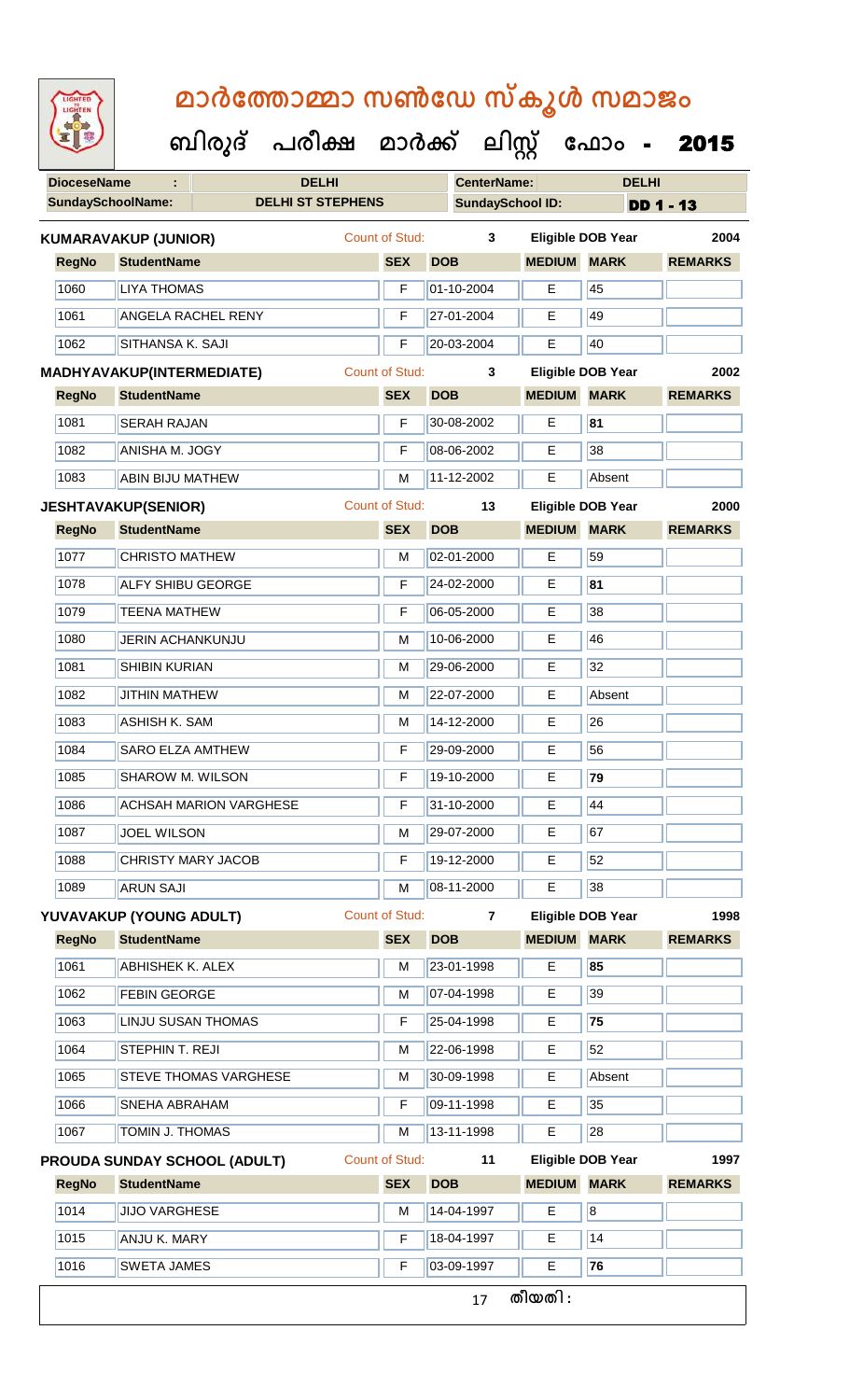| <b>IGHTED</b> |
|---------------|
|               |
|               |
|               |

 **ബിരുദ് പരീക്ഷ മാര്ക് ക ലിസ്റ്റ ക ഫ ാോം** - 2015

**DioceseName : DELHI CenterName: DELHI**

| <b>SundaySchoolName:</b> |                                  | <b>DELHI ST STEPHENS</b>            |  |                       |                | <b>SundaySchool ID:</b> |                          | <b>DD 1 - 13</b> |  |
|--------------------------|----------------------------------|-------------------------------------|--|-----------------------|----------------|-------------------------|--------------------------|------------------|--|
|                          | <b>KUMARAVAKUP (JUNIOR)</b>      |                                     |  | <b>Count of Stud:</b> | 3              |                         | <b>Eligible DOB Year</b> | 2004             |  |
| <b>RegNo</b>             | <b>StudentName</b>               |                                     |  | <b>SEX</b>            | <b>DOB</b>     | <b>MEDIUM</b>           | <b>MARK</b>              | <b>REMARKS</b>   |  |
| 1060                     | <b>LIYA THOMAS</b>               |                                     |  | F                     | 01-10-2004     | E                       | 45                       |                  |  |
| 1061                     | <b>ANGELA RACHEL RENY</b>        |                                     |  | F                     | 27-01-2004     | Е                       | 49                       |                  |  |
| 1062                     | SITHANSA K. SAJI                 |                                     |  | F                     | 20-03-2004     | E                       | 40                       |                  |  |
|                          | <b>MADHYAVAKUP(INTERMEDIATE)</b> |                                     |  | <b>Count of Stud:</b> | 3              |                         | Eligible DOB Year        | 2002             |  |
| <b>RegNo</b>             | <b>StudentName</b>               |                                     |  | <b>SEX</b>            | <b>DOB</b>     | <b>MEDIUM</b>           | <b>MARK</b>              | <b>REMARKS</b>   |  |
| 1081                     | <b>SERAH RAJAN</b>               |                                     |  | F                     | 30-08-2002     | E                       | 81                       |                  |  |
| 1082                     | ANISHA M. JOGY                   |                                     |  | F                     | 08-06-2002     | Е                       | 38                       |                  |  |
| 1083                     | <b>ABIN BIJU MATHEW</b>          |                                     |  | M                     | 11-12-2002     | E                       | Absent                   |                  |  |
|                          | <b>JESHTAVAKUP(SENIOR)</b>       |                                     |  | <b>Count of Stud:</b> | 13             |                         | <b>Eligible DOB Year</b> | 2000             |  |
| <b>RegNo</b>             | <b>StudentName</b>               |                                     |  | <b>SEX</b>            | <b>DOB</b>     | <b>MEDIUM</b>           | <b>MARK</b>              | <b>REMARKS</b>   |  |
| 1077                     | <b>CHRISTO MATHEW</b>            |                                     |  | M                     | 02-01-2000     | E                       | 59                       |                  |  |
| 1078                     | <b>ALFY SHIBU GEORGE</b>         |                                     |  | F                     | 24-02-2000     | Е                       | 81                       |                  |  |
| 1079                     | <b>TEENA MATHEW</b>              |                                     |  | F                     | 06-05-2000     | Е                       | 38                       |                  |  |
| 1080                     | JERIN ACHANKUNJU                 |                                     |  | M                     | 10-06-2000     | E.                      | 46                       |                  |  |
| 1081                     | <b>SHIBIN KURIAN</b>             |                                     |  | M                     | 29-06-2000     | Е                       | 32                       |                  |  |
| 1082                     | <b>JITHIN MATHEW</b>             |                                     |  | M                     | 22-07-2000     | Е                       | Absent                   |                  |  |
| 1083                     | <b>ASHISH K. SAM</b>             |                                     |  | M                     | 14-12-2000     | E                       | 26                       |                  |  |
| 1084                     | <b>SARO ELZA AMTHEW</b>          |                                     |  | F                     | 29-09-2000     | E                       | 56                       |                  |  |
| 1085                     | SHAROW M. WILSON                 |                                     |  | F                     | 19-10-2000     | E                       | 79                       |                  |  |
| 1086                     |                                  | <b>ACHSAH MARION VARGHESE</b>       |  | F                     | 31-10-2000     | Е                       | 44                       |                  |  |
| 1087                     | <b>JOEL WILSON</b>               |                                     |  | м                     | 29-07-2000     | E                       | 67                       |                  |  |
| 1088                     | <b>CHRISTY MARY JACOB</b>        |                                     |  | F                     | 19-12-2000     | Е                       | 52                       |                  |  |
| 1089                     | <b>ARUN SAJI</b>                 |                                     |  | M                     | 08-11-2000     | E                       | 38                       |                  |  |
|                          | YUVAVAKUP (YOUNG ADULT)          |                                     |  | Count of Stud:        | $\overline{7}$ |                         | <b>Eligible DOB Year</b> | 1998             |  |
| <b>RegNo</b>             | <b>StudentName</b>               |                                     |  | <b>SEX</b>            | <b>DOB</b>     | <b>MEDIUM</b>           | <b>MARK</b>              | <b>REMARKS</b>   |  |
| 1061                     | <b>ABHISHEK K. ALEX</b>          |                                     |  | М                     | 23-01-1998     | Е                       | 85                       |                  |  |
| 1062                     | <b>FEBIN GEORGE</b>              |                                     |  | M                     | 07-04-1998     | Е                       | 39                       |                  |  |
| 1063                     | <b>LINJU SUSAN THOMAS</b>        |                                     |  | F                     | 25-04-1998     | E                       | 75                       |                  |  |
| 1064                     | STEPHIN T. REJI                  |                                     |  | M                     | 22-06-1998     | E                       | 52                       |                  |  |
| 1065                     |                                  | STEVE THOMAS VARGHESE               |  | M                     | 30-09-1998     | Е                       | Absent                   |                  |  |
| 1066                     | <b>SNEHA ABRAHAM</b>             |                                     |  | F                     | 09-11-1998     | E.                      | 35                       |                  |  |
| 1067                     | <b>TOMIN J. THOMAS</b>           |                                     |  | M                     | 13-11-1998     | E.                      | 28                       |                  |  |
|                          |                                  | <b>PROUDA SUNDAY SCHOOL (ADULT)</b> |  | Count of Stud:        | 11             |                         | Eligible DOB Year        | 1997             |  |
| <b>RegNo</b>             | <b>StudentName</b>               |                                     |  | <b>SEX</b>            | <b>DOB</b>     | <b>MEDIUM</b>           | <b>MARK</b>              | <b>REMARKS</b>   |  |
| 1014                     | <b>JIJO VARGHESE</b>             |                                     |  | M                     | 14-04-1997     | E                       | $\overline{8}$           |                  |  |
| 1015                     | ANJU K. MARY                     |                                     |  | F                     | 18-04-1997     | E                       | 14                       |                  |  |
| 1016                     | <b>SWETA JAMES</b>               |                                     |  | F                     | 03-09-1997     | E                       | 76                       |                  |  |
|                          |                                  |                                     |  |                       | 17             | തീയതി :                 |                          |                  |  |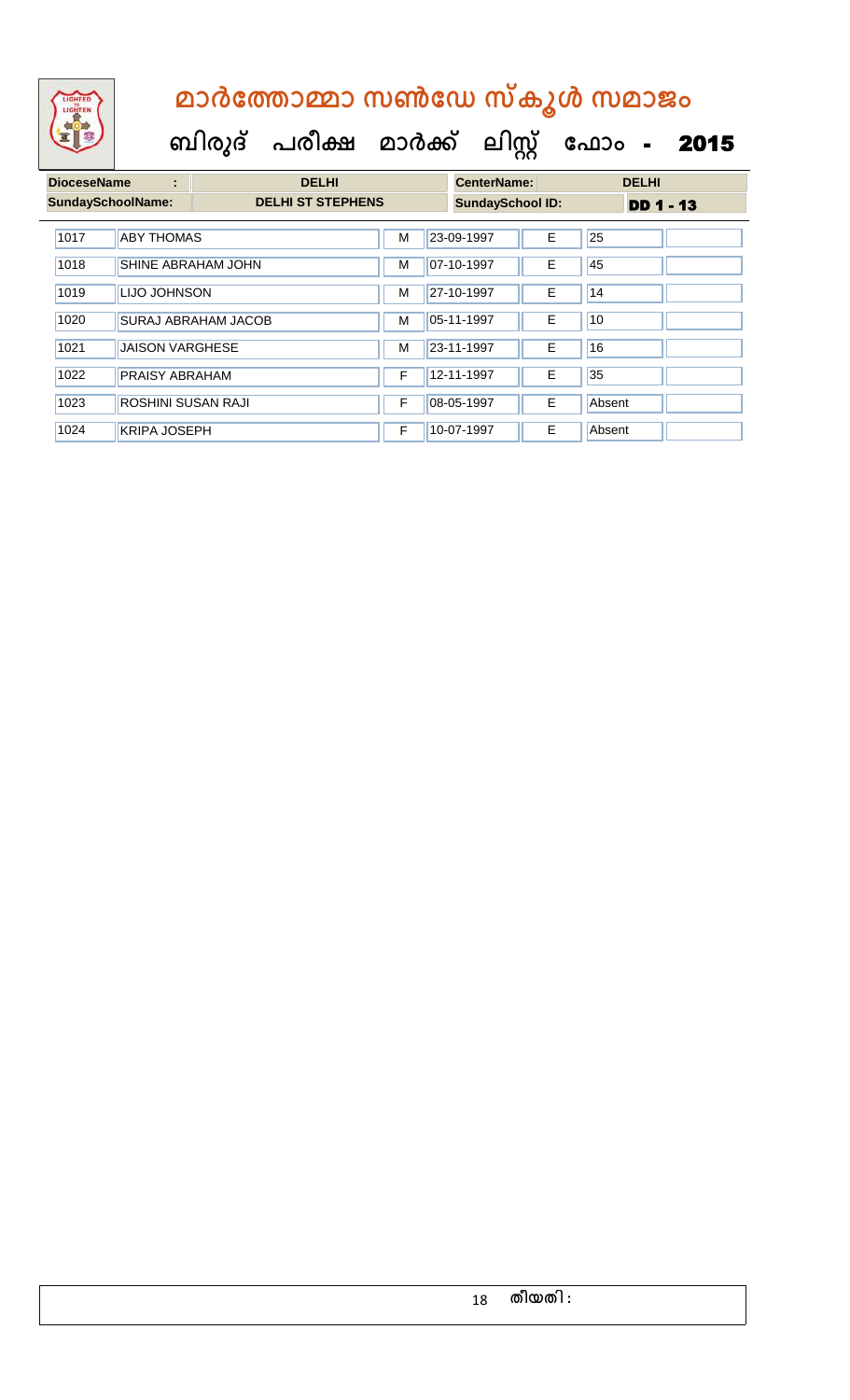

| <b>DioceseName</b><br>÷  |                        | <b>DELHI</b>               | <b>CenterName:</b> |  | <b>DELHI</b>            |    |        |                  |  |
|--------------------------|------------------------|----------------------------|--------------------|--|-------------------------|----|--------|------------------|--|
| <b>SundaySchoolName:</b> |                        | <b>DELHI ST STEPHENS</b>   |                    |  | <b>SundaySchool ID:</b> |    |        | <b>DD 1 - 13</b> |  |
| 1017                     | <b>ABY THOMAS</b>      |                            | М                  |  | 23-09-1997              | E. | 25     |                  |  |
| 1018                     | SHINE ABRAHAM JOHN     |                            |                    |  | 07-10-1997              | E  | 45     |                  |  |
| 1019                     | LIJO JOHNSON           |                            |                    |  | 27-10-1997              | E  | 14     |                  |  |
| 1020                     |                        | <b>SURAJ ABRAHAM JACOB</b> | M                  |  | 05-11-1997              | E. | 10     |                  |  |
| 1021                     | <b>JAISON VARGHESE</b> |                            | M                  |  | 23-11-1997              | E. | 16     |                  |  |
| 1022                     | PRAISY ABRAHAM         |                            | F                  |  | 12-11-1997              | E. | 35     |                  |  |
| 1023                     | ROSHINI SUSAN RAJI     |                            |                    |  | 08-05-1997              | E  | Absent |                  |  |
| 1024                     | <b>KRIPA JOSEPH</b>    |                            | F                  |  | 10-07-1997              | E  | Absent |                  |  |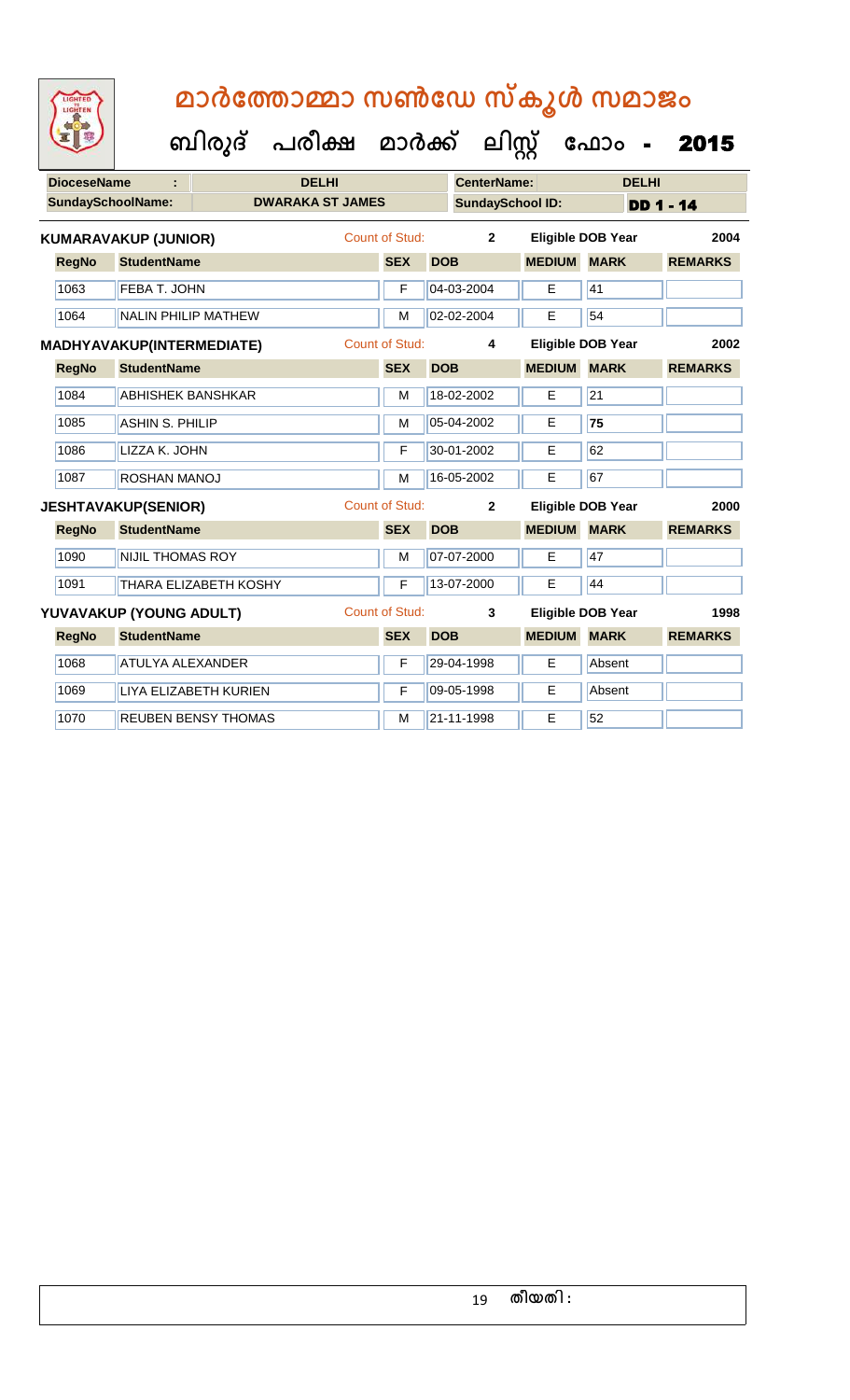| <b>IGHTED</b> |
|---------------|
|               |
|               |
|               |
|               |

| <b>DioceseName</b><br><b>DELHI</b> |              |                             |                            |                         |                       |            | <b>CenterName:</b> |                         | <b>DELHI</b>             |                  |
|------------------------------------|--------------|-----------------------------|----------------------------|-------------------------|-----------------------|------------|--------------------|-------------------------|--------------------------|------------------|
|                                    |              | <b>SundaySchoolName:</b>    |                            | <b>DWARAKA ST JAMES</b> |                       |            |                    | <b>SundaySchool ID:</b> |                          | <b>DD 1 - 14</b> |
|                                    |              | <b>KUMARAVAKUP (JUNIOR)</b> |                            |                         | Count of Stud:        |            | $\overline{2}$     |                         | <b>Eligible DOB Year</b> | 2004             |
|                                    | <b>RegNo</b> | <b>StudentName</b>          |                            |                         | <b>SEX</b>            | <b>DOB</b> |                    | <b>MEDIUM MARK</b>      |                          | <b>REMARKS</b>   |
|                                    | 1063         | FEBA T. JOHN                |                            |                         | F                     | 04-03-2004 |                    | E                       | 41                       |                  |
|                                    | 1064         | <b>NALIN PHILIP MATHEW</b>  |                            | M                       | 02-02-2004            |            | E                  | 54                      |                          |                  |
| <b>MADHYAVAKUP(INTERMEDIATE)</b>   |              |                             |                            |                         | <b>Count of Stud:</b> |            | 4                  |                         | <b>Eligible DOB Year</b> | 2002             |
|                                    | <b>RegNo</b> | <b>StudentName</b>          |                            |                         | <b>SEX</b>            | <b>DOB</b> |                    | <b>MEDIUM</b>           | <b>MARK</b>              | <b>REMARKS</b>   |
|                                    | 1084         | <b>ABHISHEK BANSHKAR</b>    |                            |                         | M                     | 18-02-2002 |                    | E                       | 21                       |                  |
|                                    | 1085         | <b>ASHIN S. PHILIP</b>      |                            |                         | M                     | 05-04-2002 |                    | E.                      | 75                       |                  |
|                                    | 1086         | LIZZA K. JOHN               |                            |                         | F                     | 30-01-2002 |                    | E                       | 62                       |                  |
|                                    | 1087         | ROSHAN MANOJ                |                            |                         | M                     | 16-05-2002 |                    | E                       | 67                       |                  |
|                                    |              | <b>JESHTAVAKUP(SENIOR)</b>  |                            |                         | <b>Count of Stud:</b> |            | $\overline{2}$     |                         | <b>Eligible DOB Year</b> | 2000             |
|                                    | <b>RegNo</b> | <b>StudentName</b>          |                            |                         | <b>SEX</b>            | <b>DOB</b> |                    | <b>MEDIUM</b>           | <b>MARK</b>              | <b>REMARKS</b>   |
|                                    | 1090         | <b>NIJIL THOMAS ROY</b>     |                            |                         | M                     | 07-07-2000 |                    | E                       | 47                       |                  |
|                                    | 1091         |                             | THARA ELIZABETH KOSHY      |                         | F                     | 13-07-2000 |                    | E                       | 44                       |                  |
|                                    |              | YUVAVAKUP (YOUNG ADULT)     |                            |                         | <b>Count of Stud:</b> |            | 3                  |                         | <b>Eligible DOB Year</b> | 1998             |
|                                    | <b>RegNo</b> | <b>StudentName</b>          |                            |                         | <b>SEX</b>            | <b>DOB</b> |                    | <b>MEDIUM</b>           | <b>MARK</b>              | <b>REMARKS</b>   |
|                                    | 1068         | <b>ATULYA ALEXANDER</b>     |                            |                         | F                     | 29-04-1998 |                    | E                       | Absent                   |                  |
|                                    | 1069         |                             | LIYA ELIZABETH KURIEN      |                         | F                     | 09-05-1998 |                    | E                       | Absent                   |                  |
|                                    | 1070         |                             | <b>REUBEN BENSY THOMAS</b> |                         | M                     | 21-11-1998 |                    | E.                      | 52                       |                  |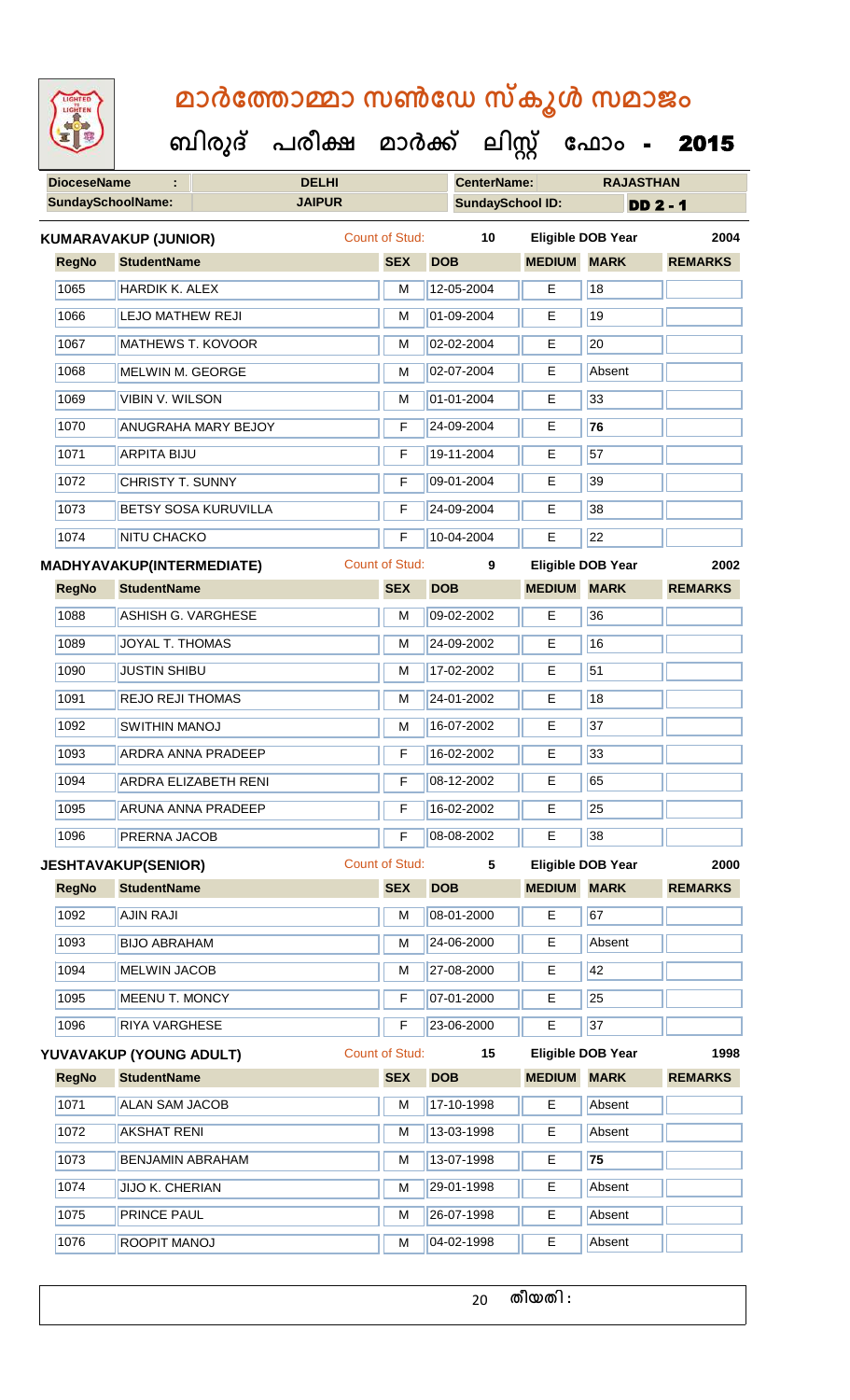| <b>IGHTED</b> |  |
|---------------|--|
|               |  |
|               |  |
|               |  |
|               |  |

 **ബിരുദ് പരീക്ഷ മാര്ക് ക ലിസ്റ്റ ക ഫ ാോം** - 2015

|              | <b>DioceseName</b>               |                            | <b>DELHI</b>  |                       |                         | <b>CenterName:</b> | <b>RAJASTHAN</b>         |                 |  |
|--------------|----------------------------------|----------------------------|---------------|-----------------------|-------------------------|--------------------|--------------------------|-----------------|--|
|              | <b>SundaySchoolName:</b>         |                            | <b>JAIPUR</b> |                       | <b>SundaySchool ID:</b> |                    |                          | <b>DD 2 - 1</b> |  |
|              | <b>KUMARAVAKUP (JUNIOR)</b>      |                            |               | Count of Stud:        | 10                      |                    | Eligible DOB Year        | 2004            |  |
| <b>RegNo</b> | <b>StudentName</b>               |                            |               | <b>SEX</b>            | <b>DOB</b>              | <b>MEDIUM</b>      | <b>MARK</b>              | <b>REMARKS</b>  |  |
| 1065         | <b>HARDIK K. ALEX</b>            |                            |               | M                     | 12-05-2004              | E                  | 18                       |                 |  |
| 1066         | <b>LEJO MATHEW REJI</b>          |                            |               | M                     | 01-09-2004              | Е                  | 19                       |                 |  |
| 1067         | MATHEWS T. KOVOOR                |                            |               | M                     | 02-02-2004              | Е                  | 20                       |                 |  |
| 1068         | MELWIN M. GEORGE                 |                            |               | M                     | 02-07-2004              | Е                  | Absent                   |                 |  |
| 1069         |                                  | <b>VIBIN V. WILSON</b>     |               |                       | 01-01-2004              | E                  | 33                       |                 |  |
| 1070         |                                  | <b>ANUGRAHA MARY BEJOY</b> |               | F                     | 24-09-2004              | E                  | 76                       |                 |  |
| 1071         | <b>ARPITA BIJU</b>               |                            |               | F                     | 19-11-2004              | Е                  | 57                       |                 |  |
| 1072         | <b>CHRISTY T. SUNNY</b>          |                            |               | F                     | 09-01-2004              | Е                  | 39                       |                 |  |
| 1073         |                                  | BETSY SOSA KURUVILLA       |               | F                     | 24-09-2004              | Е                  | 38                       |                 |  |
| 1074         | <b>NITU CHACKO</b>               |                            |               | F                     | 10-04-2004              | Е                  | 22                       |                 |  |
|              | <b>MADHYAVAKUP(INTERMEDIATE)</b> |                            |               | <b>Count of Stud:</b> | 9                       |                    | <b>Eligible DOB Year</b> | 2002            |  |
| <b>RegNo</b> | <b>StudentName</b>               |                            |               | <b>SEX</b>            | <b>DOB</b>              | <b>MEDIUM</b>      | <b>MARK</b>              | <b>REMARKS</b>  |  |
| 1088         | <b>ASHISH G. VARGHESE</b>        |                            |               | M                     | 09-02-2002              | E                  | 36                       |                 |  |
| 1089         | JOYAL T. THOMAS                  |                            |               | M                     | 24-09-2002              | Е                  | 16                       |                 |  |
| 1090         | <b>JUSTIN SHIBU</b>              |                            |               | M                     | 17-02-2002              | Е                  | 51                       |                 |  |
| 1091         | <b>REJO REJI THOMAS</b>          |                            |               | M                     | 24-01-2002              | Е                  | 18                       |                 |  |
| 1092         | SWITHIN MANOJ                    |                            |               |                       | 16-07-2002              | E                  | 37                       |                 |  |
| 1093         | <b>ARDRA ANNA PRADEEP</b>        |                            |               | F                     | 16-02-2002              | Е                  | 33                       |                 |  |
| 1094         | <b>ARDRA ELIZABETH RENI</b>      |                            |               | F                     | 08-12-2002              | E                  | 65                       |                 |  |
| 1095         | <b>ARUNA ANNA PRADEEP</b>        |                            |               | F                     | 16-02-2002              | Е                  | 25                       |                 |  |
| 1096         | PRERNA JACOB                     |                            |               | F                     | 08-08-2002              | E                  | 38                       |                 |  |
|              | <b>JESHTAVAKUP(SENIOR)</b>       |                            |               | <b>Count of Stud:</b> | 5                       |                    | <b>Eligible DOB Year</b> | 2000            |  |
| <b>RegNo</b> | <b>StudentName</b>               |                            |               | <b>SEX</b>            | <b>DOB</b>              | <b>MEDIUM</b>      | <b>MARK</b>              | <b>REMARKS</b>  |  |
| 1092         | <b>AJIN RAJI</b>                 |                            |               | M                     | 08-01-2000              | E                  | 67                       |                 |  |
| 1093         | <b>BIJO ABRAHAM</b>              |                            |               | M                     | 24-06-2000              | E                  | Absent                   |                 |  |
| 1094         | <b>MELWIN JACOB</b>              |                            |               | M                     | 27-08-2000              | E                  | 42                       |                 |  |
| 1095         | <b>MEENU T. MONCY</b>            |                            |               | F                     | 07-01-2000              | E                  | 25                       |                 |  |
| 1096         | RIYA VARGHESE                    |                            |               | F                     | 23-06-2000              | E                  | 37                       |                 |  |
|              | YUVAVAKUP (YOUNG ADULT)          |                            |               | <b>Count of Stud:</b> | 15                      |                    | <b>Eligible DOB Year</b> | 1998            |  |
| <b>RegNo</b> | <b>StudentName</b>               |                            |               | <b>SEX</b>            | <b>DOB</b>              | <b>MEDIUM</b>      | <b>MARK</b>              | <b>REMARKS</b>  |  |
| 1071         | <b>ALAN SAM JACOB</b>            |                            |               | M                     | 17-10-1998              | E                  | Absent                   |                 |  |
| 1072         | <b>AKSHAT RENI</b>               |                            |               | M                     | 13-03-1998              | Е                  | Absent                   |                 |  |
| 1073         | <b>BENJAMIN ABRAHAM</b>          |                            |               | M                     | 13-07-1998              | E                  | 75                       |                 |  |
| 1074         | <b>JIJO K. CHERIAN</b>           |                            |               | M                     | 29-01-1998              | E                  | Absent                   |                 |  |
|              |                                  |                            |               |                       |                         |                    |                          |                 |  |
| 1075         | PRINCE PAUL                      |                            |               | м                     | 26-07-1998              | Е                  | Absent                   |                 |  |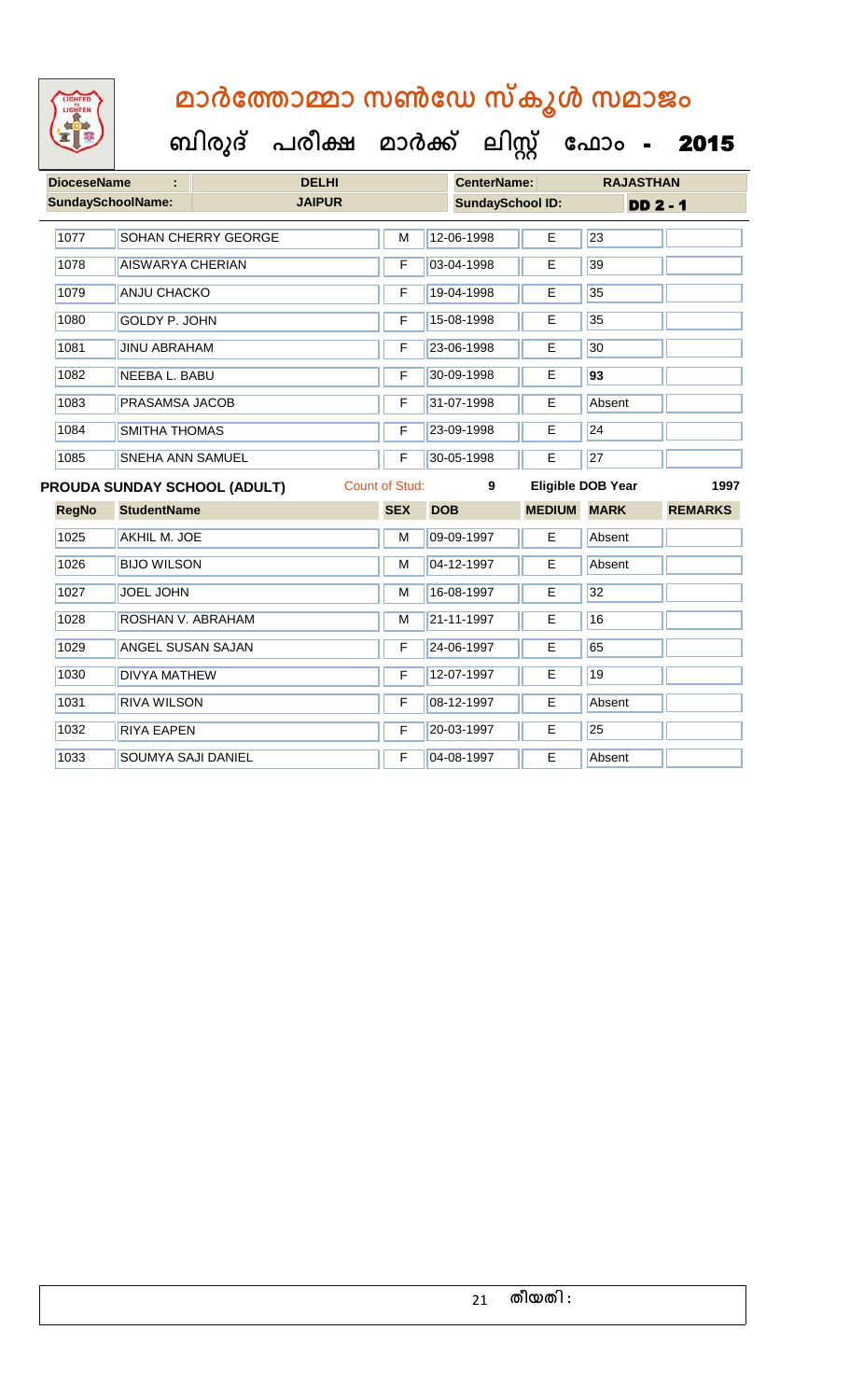

 **ബിരുദ് പരീക്ഷ മാര്ക് ക ലിസ്റ്റ ക ഫ ാോം** - 2015

|              | <b>DioceseName</b><br><b>DELHI</b><br>÷ |                            |               |                       | <b>CenterName:</b>      |               | <b>RAJASTHAN</b>         |                |
|--------------|-----------------------------------------|----------------------------|---------------|-----------------------|-------------------------|---------------|--------------------------|----------------|
|              | <b>SundaySchoolName:</b>                |                            | <b>JAIPUR</b> |                       | <b>SundaySchool ID:</b> |               | <b>DD 2 - 1</b>          |                |
| 1077         |                                         | <b>SOHAN CHERRY GEORGE</b> |               | M                     | 12-06-1998              | E             | 23                       |                |
| 1078         | <b>AISWARYA CHERIAN</b>                 |                            |               | F                     | 03-04-1998              | E             | 39                       |                |
| 1079         | <b>ANJU CHACKO</b>                      |                            |               | F                     | 19-04-1998              | Е             | 35                       |                |
| 1080         | <b>GOLDY P. JOHN</b>                    |                            |               | F                     | 15-08-1998              | E             | 35                       |                |
| 1081         | <b>JINU ABRAHAM</b>                     |                            |               | F                     | 23-06-1998              | E             | 30                       |                |
| 1082         | <b>NEEBA L. BABU</b>                    |                            |               | F                     | 30-09-1998              | E             | 93                       |                |
| 1083         | PRASAMSA JACOB                          |                            |               | F                     | 31-07-1998              | E             | Absent                   |                |
| 1084         | <b>SMITHA THOMAS</b>                    |                            |               | F                     | 23-09-1998              | E             | 24                       |                |
| 1085         |                                         | SNEHA ANN SAMUEL           |               |                       |                         | Е             | 27                       |                |
|              | PROUDA SUNDAY SCHOOL (ADULT)            |                            |               | <b>Count of Stud:</b> | 9                       |               | <b>Eligible DOB Year</b> | 1997           |
| <b>RegNo</b> | <b>StudentName</b>                      |                            |               | <b>SEX</b>            | <b>DOB</b>              | <b>MEDIUM</b> | <b>MARK</b>              | <b>REMARKS</b> |
| 1025         | AKHIL M. JOE                            |                            |               | M                     | 09-09-1997              | E             | Absent                   |                |
| 1026         | <b>BIJO WILSON</b>                      |                            |               | M                     | 04-12-1997              | E             | Absent                   |                |
| 1027         | <b>JOEL JOHN</b>                        |                            |               | M                     | 16-08-1997              | E             | 32                       |                |
| 1028         | ROSHAN V. ABRAHAM                       |                            |               | M                     | 21-11-1997              | E             | 16                       |                |
| 1029         | <b>ANGEL SUSAN SAJAN</b>                |                            |               | F                     | 24-06-1997              | E             | 65                       |                |
| 1030         | <b>DIVYA MATHEW</b>                     |                            |               | F                     | 12-07-1997              | E             | 19                       |                |
| 1031         | <b>RIVA WILSON</b>                      |                            |               | F                     | 08-12-1997              | E             | Absent                   |                |
| 1032         | <b>RIYA EAPEN</b>                       |                            |               | F                     | 20-03-1997              | E             | 25                       |                |

1033 SOUMYA SAJI DANIEL F 04-08-1997 E Absent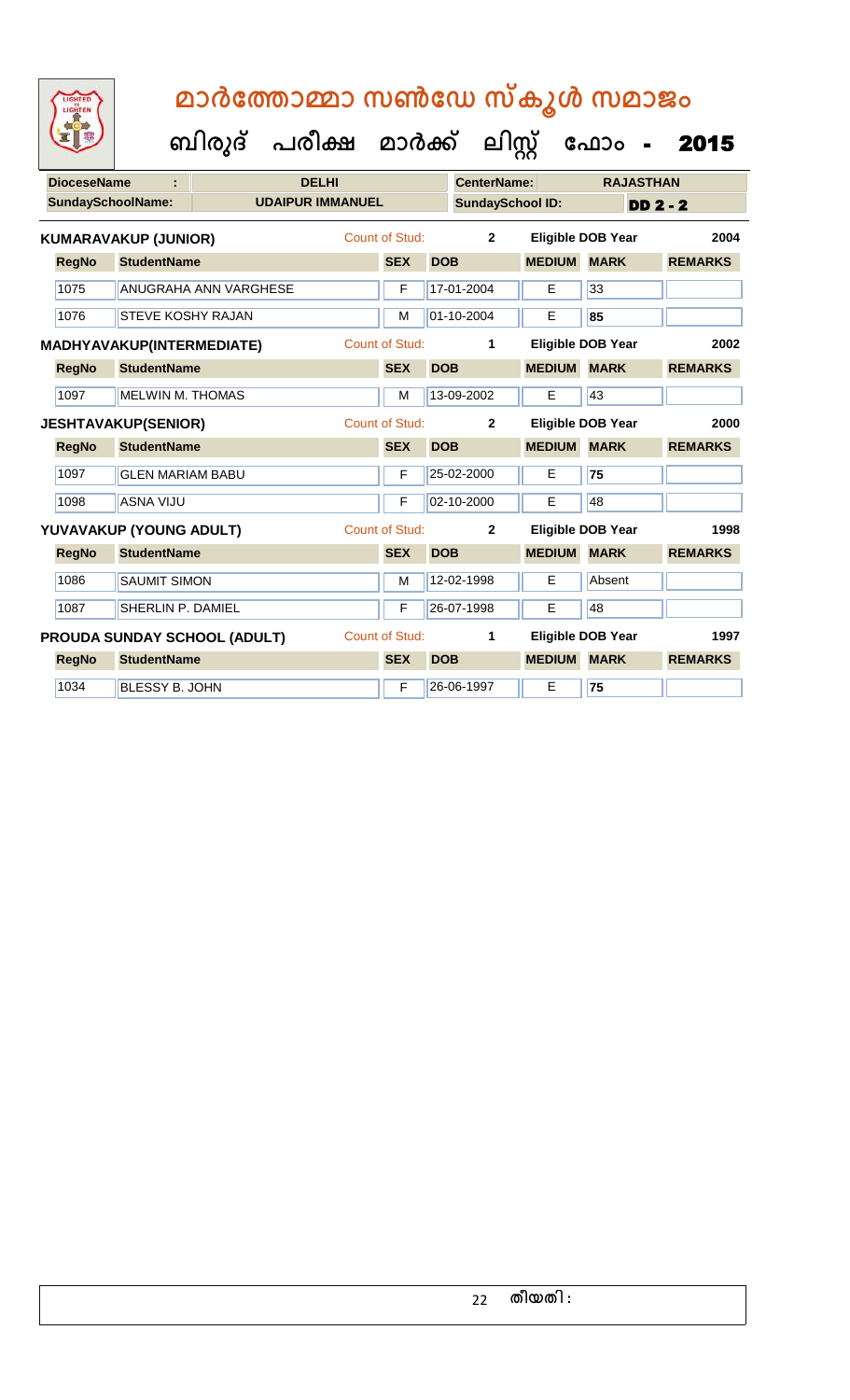| <b>IGHTED</b> |
|---------------|
|               |
|               |
|               |
|               |

|                            |                  |                                                | <b>DELHI</b>                                                                                                                                                                                                                                                                                                                                                                                       |            |                         |                                                                                                             |                                                                                                                                                                                    | <b>RAJASTHAN</b>                              |                                                                                                                                                                                                                   |    |  |
|----------------------------|------------------|------------------------------------------------|----------------------------------------------------------------------------------------------------------------------------------------------------------------------------------------------------------------------------------------------------------------------------------------------------------------------------------------------------------------------------------------------------|------------|-------------------------|-------------------------------------------------------------------------------------------------------------|------------------------------------------------------------------------------------------------------------------------------------------------------------------------------------|-----------------------------------------------|-------------------------------------------------------------------------------------------------------------------------------------------------------------------------------------------------------------------|----|--|
|                            |                  |                                                |                                                                                                                                                                                                                                                                                                                                                                                                    |            |                         |                                                                                                             |                                                                                                                                                                                    |                                               | <b>DD 2 - 2</b>                                                                                                                                                                                                   |    |  |
|                            |                  |                                                |                                                                                                                                                                                                                                                                                                                                                                                                    |            |                         | $\overline{2}$                                                                                              |                                                                                                                                                                                    |                                               | 2004                                                                                                                                                                                                              |    |  |
| <b>RegNo</b>               |                  |                                                |                                                                                                                                                                                                                                                                                                                                                                                                    | <b>SEX</b> |                         |                                                                                                             |                                                                                                                                                                                    | <b>MARK</b>                                   | <b>REMARKS</b>                                                                                                                                                                                                    |    |  |
| 1075                       |                  |                                                |                                                                                                                                                                                                                                                                                                                                                                                                    | F          |                         |                                                                                                             | E.                                                                                                                                                                                 | 33                                            |                                                                                                                                                                                                                   |    |  |
| 1076                       |                  |                                                |                                                                                                                                                                                                                                                                                                                                                                                                    | M          |                         |                                                                                                             | E                                                                                                                                                                                  | 85                                            |                                                                                                                                                                                                                   |    |  |
| MADHYAVAKUP(INTERMEDIATE)  |                  |                                                |                                                                                                                                                                                                                                                                                                                                                                                                    |            |                         | 1                                                                                                           |                                                                                                                                                                                    |                                               | 2002                                                                                                                                                                                                              |    |  |
| <b>RegNo</b>               |                  |                                                |                                                                                                                                                                                                                                                                                                                                                                                                    | <b>SEX</b> |                         |                                                                                                             |                                                                                                                                                                                    |                                               | <b>REMARKS</b>                                                                                                                                                                                                    |    |  |
| 1097                       |                  |                                                |                                                                                                                                                                                                                                                                                                                                                                                                    | М          |                         |                                                                                                             | E                                                                                                                                                                                  | 43                                            |                                                                                                                                                                                                                   |    |  |
| <b>JESHTAVAKUP(SENIOR)</b> |                  |                                                |                                                                                                                                                                                                                                                                                                                                                                                                    |            |                         | $\mathbf{2}$                                                                                                |                                                                                                                                                                                    |                                               | 2000                                                                                                                                                                                                              |    |  |
| <b>RegNo</b>               |                  |                                                |                                                                                                                                                                                                                                                                                                                                                                                                    | <b>SEX</b> |                         |                                                                                                             | <b>MEDIUM</b>                                                                                                                                                                      | <b>MARK</b>                                   | <b>REMARKS</b>                                                                                                                                                                                                    |    |  |
| 1097                       |                  |                                                |                                                                                                                                                                                                                                                                                                                                                                                                    | F          |                         |                                                                                                             | E                                                                                                                                                                                  | 75                                            |                                                                                                                                                                                                                   |    |  |
| 1098                       | <b>ASNA VIJU</b> |                                                |                                                                                                                                                                                                                                                                                                                                                                                                    |            |                         | F                                                                                                           |                                                                                                                                                                                    |                                               | E                                                                                                                                                                                                                 | 48 |  |
|                            |                  |                                                |                                                                                                                                                                                                                                                                                                                                                                                                    |            |                         | $\mathbf{2}$                                                                                                |                                                                                                                                                                                    |                                               | 1998                                                                                                                                                                                                              |    |  |
| <b>RegNo</b>               |                  |                                                |                                                                                                                                                                                                                                                                                                                                                                                                    | <b>SEX</b> |                         |                                                                                                             |                                                                                                                                                                                    | <b>MARK</b>                                   | <b>REMARKS</b>                                                                                                                                                                                                    |    |  |
| 1086                       |                  |                                                |                                                                                                                                                                                                                                                                                                                                                                                                    | M          |                         |                                                                                                             | E                                                                                                                                                                                  | Absent                                        |                                                                                                                                                                                                                   |    |  |
| 1087                       |                  |                                                |                                                                                                                                                                                                                                                                                                                                                                                                    | F          |                         |                                                                                                             | E                                                                                                                                                                                  | 48                                            |                                                                                                                                                                                                                   |    |  |
|                            |                  |                                                |                                                                                                                                                                                                                                                                                                                                                                                                    |            |                         | 1                                                                                                           |                                                                                                                                                                                    |                                               | 1997                                                                                                                                                                                                              |    |  |
| <b>RegNo</b>               |                  |                                                |                                                                                                                                                                                                                                                                                                                                                                                                    | <b>SEX</b> |                         |                                                                                                             |                                                                                                                                                                                    | <b>MARK</b>                                   | <b>REMARKS</b>                                                                                                                                                                                                    |    |  |
| 1034                       |                  |                                                |                                                                                                                                                                                                                                                                                                                                                                                                    | F          |                         |                                                                                                             | E.                                                                                                                                                                                 | 75                                            |                                                                                                                                                                                                                   |    |  |
|                            |                  | <b>DioceseName</b><br><b>SundaySchoolName:</b> | <b>KUMARAVAKUP (JUNIOR)</b><br><b>StudentName</b><br><b>ANUGRAHA ANN VARGHESE</b><br><b>STEVE KOSHY RAJAN</b><br><b>StudentName</b><br><b>MELWIN M. THOMAS</b><br><b>StudentName</b><br><b>GLEN MARIAM BABU</b><br>YUVAVAKUP (YOUNG ADULT)<br><b>StudentName</b><br><b>SAUMIT SIMON</b><br>SHERLIN P. DAMIEL<br><b>PROUDA SUNDAY SCHOOL (ADULT)</b><br><b>StudentName</b><br><b>BLESSY B. JOHN</b> |            | <b>UDAIPUR IMMANUEL</b> | Count of Stud:<br>Count of Stud:<br><b>Count of Stud:</b><br><b>Count of Stud:</b><br><b>Count of Stud:</b> | <b>DOB</b><br>17-01-2004<br>01-10-2004<br><b>DOB</b><br>13-09-2002<br><b>DOB</b><br>25-02-2000<br>02-10-2000<br><b>DOB</b><br>12-02-1998<br>26-07-1998<br><b>DOB</b><br>26-06-1997 | <b>CenterName:</b><br><b>SundaySchool ID:</b> | <b>Eligible DOB Year</b><br><b>MEDIUM</b><br><b>Eligible DOB Year</b><br><b>MEDIUM MARK</b><br><b>Eligible DOB Year</b><br><b>Eligible DOB Year</b><br><b>MEDIUM</b><br><b>Eligible DOB Year</b><br><b>MEDIUM</b> |    |  |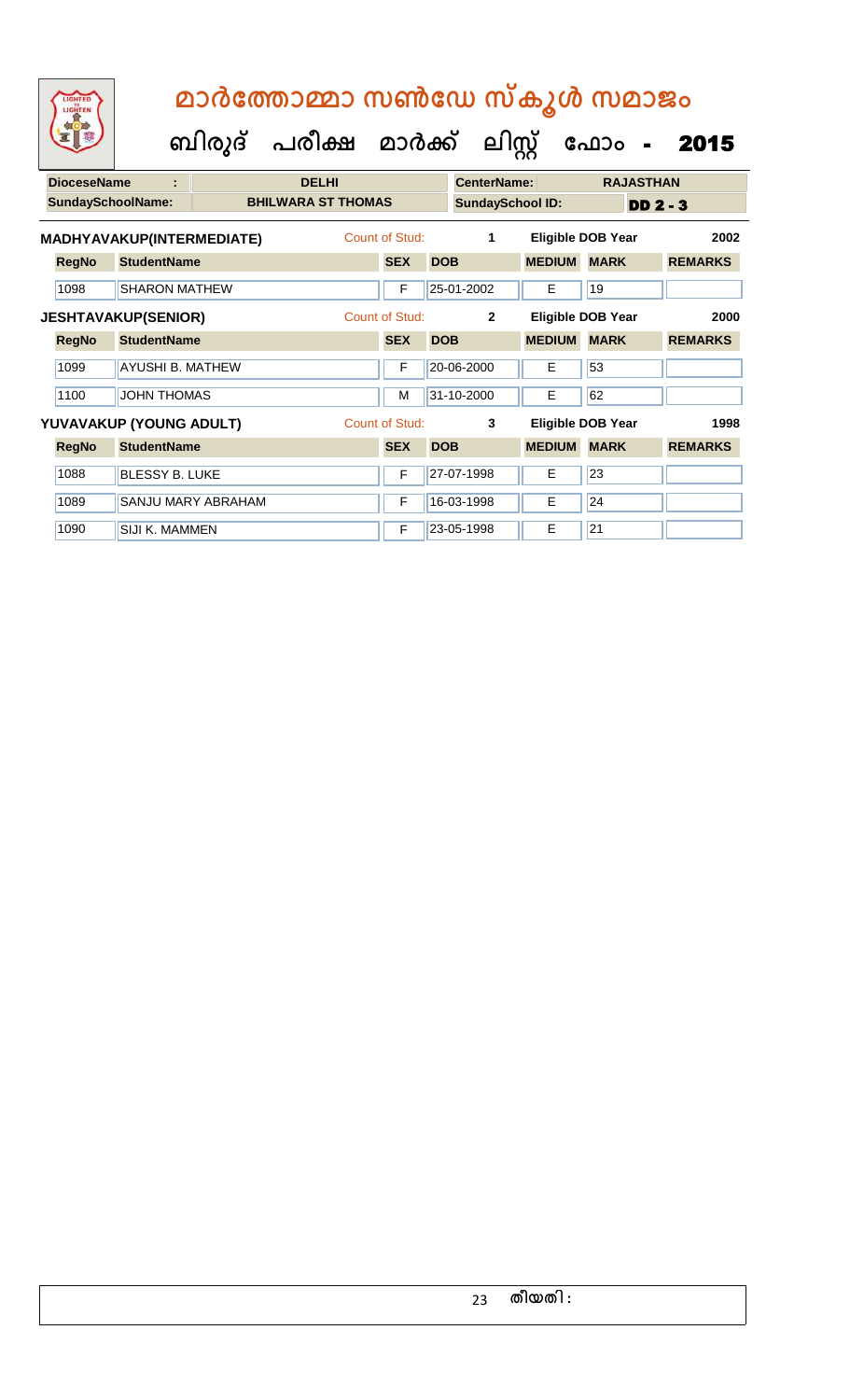|                            | <b>DioceseName</b><br>÷ |                           |                           | <b>DELHI</b>            | <b>CenterName:</b> |            |                   |               | <b>RAJASTHAN</b>         |                |
|----------------------------|-------------------------|---------------------------|---------------------------|-------------------------|--------------------|------------|-------------------|---------------|--------------------------|----------------|
| <b>SundaySchoolName:</b>   |                         |                           | <b>BHILWARA ST THOMAS</b> | <b>SundaySchool ID:</b> |                    |            |                   | $DD2 - 3$     |                          |                |
|                            |                         | MADHYAVAKUP(INTERMEDIATE) |                           |                         | Count of Stud:     |            | 1                 |               | <b>Eligible DOB Year</b> | 2002           |
|                            | <b>RegNo</b>            | <b>StudentName</b>        |                           |                         | <b>SEX</b>         | <b>DOB</b> |                   | <b>MEDIUM</b> | <b>MARK</b>              | <b>REMARKS</b> |
|                            | 1098                    | <b>SHARON MATHEW</b>      |                           |                         | F                  |            | 25-01-2002        | E             | 19                       |                |
| <b>JESHTAVAKUP(SENIOR)</b> |                         |                           | Count of Stud:            |                         | $\mathbf{2}$       |            | Eligible DOB Year | 2000          |                          |                |
|                            | <b>RegNo</b>            | <b>StudentName</b>        |                           |                         | <b>SEX</b>         | <b>DOB</b> |                   | <b>MEDIUM</b> | <b>MARK</b>              | <b>REMARKS</b> |
|                            | 1099                    | <b>AYUSHI B. MATHEW</b>   |                           |                         | F                  |            | 20-06-2000        | E             | 53                       |                |
|                            | 1100                    | <b>JOHN THOMAS</b>        |                           |                         | M                  |            | 31-10-2000        | E             | 62                       |                |
|                            |                         | YUVAVAKUP (YOUNG ADULT)   |                           |                         | Count of Stud:     |            | 3                 |               | Eligible DOB Year        | 1998           |
|                            | <b>RegNo</b>            | <b>StudentName</b>        |                           |                         | <b>SEX</b>         | <b>DOB</b> |                   | <b>MEDIUM</b> | <b>MARK</b>              | <b>REMARKS</b> |
|                            | 1088                    | <b>BLESSY B. LUKE</b>     |                           |                         | F                  |            | 27-07-1998        | E             | 23                       |                |
|                            | 1089                    |                           | <b>SANJU MARY ABRAHAM</b> |                         | F                  |            | 16-03-1998        | E             | 24                       |                |
|                            | 1090                    | <b>SIJI K. MAMMEN</b>     |                           |                         | F                  |            | 23-05-1998        | Е             | 21                       |                |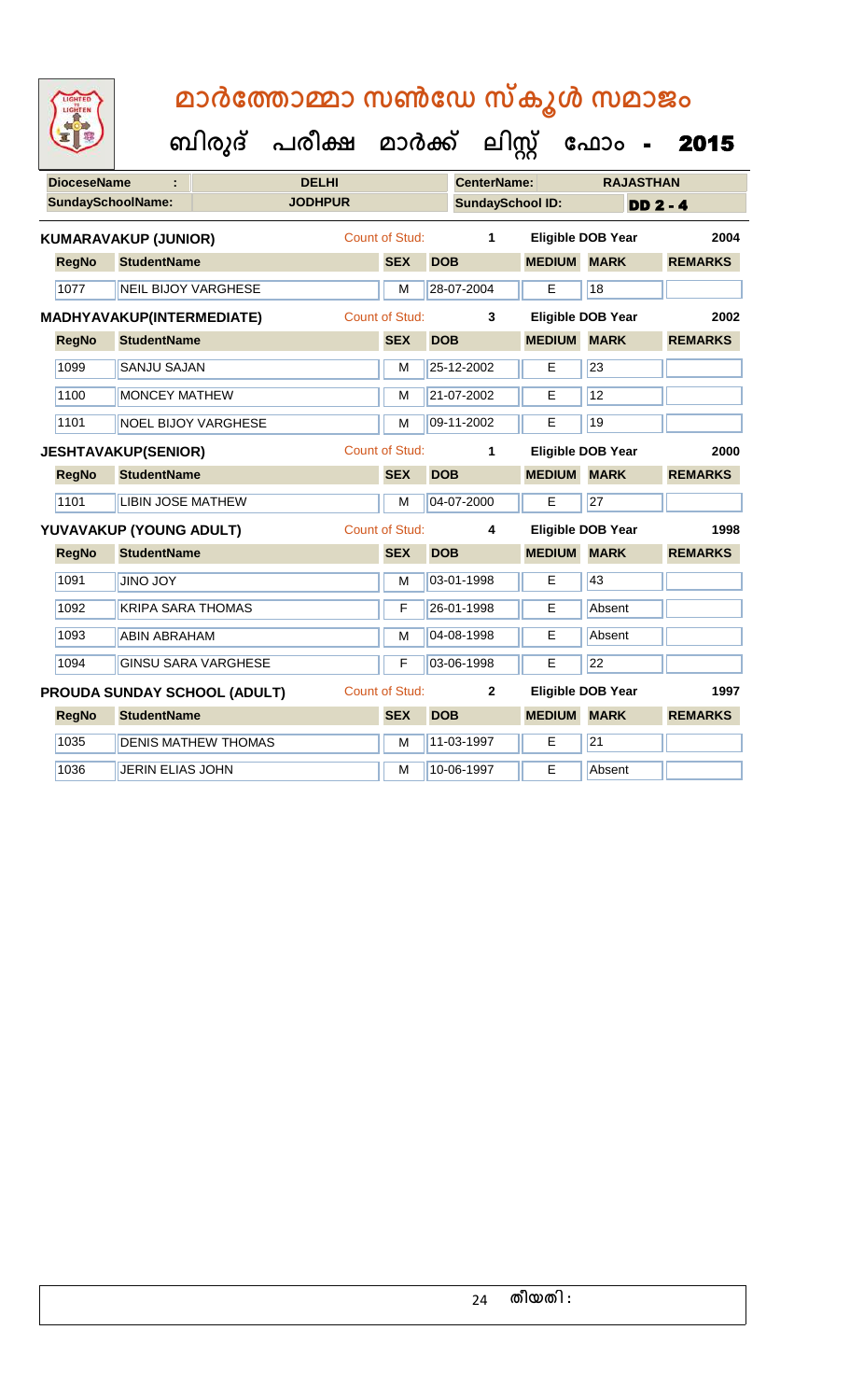| LIGHTED |  |
|---------|--|
|         |  |
|         |  |
|         |  |
|         |  |

| <b>DioceseName</b> |                   |                             |                              | <b>DELHI</b>   |                       |            | <b>CenterName:</b>      |                          |                 | <b>RAJASTHAN</b> |
|--------------------|-------------------|-----------------------------|------------------------------|----------------|-----------------------|------------|-------------------------|--------------------------|-----------------|------------------|
|                    | SundaySchoolName: |                             |                              | <b>JODHPUR</b> |                       |            | <b>SundaySchool ID:</b> |                          |                 | <b>DD 2 - 4</b>  |
|                    |                   | <b>KUMARAVAKUP (JUNIOR)</b> |                              |                | <b>Count of Stud:</b> |            | $\mathbf{1}$            | <b>Eligible DOB Year</b> |                 | 2004             |
|                    | <b>RegNo</b>      | <b>StudentName</b>          |                              |                | <b>SEX</b>            | <b>DOB</b> |                         | <b>MEDIUM MARK</b>       |                 | <b>REMARKS</b>   |
|                    | 1077              | <b>NEIL BIJOY VARGHESE</b>  |                              |                | M                     |            | 28-07-2004              | E                        | 18              |                  |
|                    |                   | MADHYAVAKUP(INTERMEDIATE)   |                              |                | <b>Count of Stud:</b> |            | 3                       | <b>Eligible DOB Year</b> |                 | 2002             |
|                    | <b>RegNo</b>      | <b>StudentName</b>          |                              |                | <b>SEX</b>            | <b>DOB</b> |                         | <b>MEDIUM MARK</b>       |                 | <b>REMARKS</b>   |
|                    | 1099              | <b>SANJU SAJAN</b>          |                              |                | M                     |            | 25-12-2002              | Е                        | $\overline{23}$ |                  |
|                    | 1100              | <b>MONCEY MATHEW</b>        |                              |                | м                     |            | 21-07-2002              | E                        | 12              |                  |
|                    | 1101              |                             | <b>NOEL BIJOY VARGHESE</b>   |                | M                     |            | 09-11-2002              | E                        | 19              |                  |
|                    |                   | <b>JESHTAVAKUP(SENIOR)</b>  |                              |                | <b>Count of Stud:</b> |            | 1                       | <b>Eligible DOB Year</b> |                 | 2000             |
|                    | <b>RegNo</b>      | <b>StudentName</b>          |                              |                | <b>SEX</b>            | <b>DOB</b> |                         | <b>MEDIUM MARK</b>       |                 | <b>REMARKS</b>   |
|                    | 1101              | <b>LIBIN JOSE MATHEW</b>    |                              |                | M                     |            | 04-07-2000              | Е                        | $\overline{27}$ |                  |
|                    |                   | YUVAVAKUP (YOUNG ADULT)     |                              |                | <b>Count of Stud:</b> |            | 4                       | <b>Eligible DOB Year</b> |                 | 1998             |
|                    | <b>RegNo</b>      | <b>StudentName</b>          |                              |                | <b>SEX</b>            | <b>DOB</b> |                         | <b>MEDIUM MARK</b>       |                 | <b>REMARKS</b>   |
|                    | 1091              | <b>JINO JOY</b>             |                              |                | M                     |            | 03-01-1998              | E                        | 43              |                  |
|                    | 1092              | <b>KRIPA SARA THOMAS</b>    |                              |                | F                     |            | 26-01-1998              | Е                        | Absent          |                  |
|                    | 1093              | <b>ABIN ABRAHAM</b>         |                              |                | M                     |            | 04-08-1998              | E                        | Absent          |                  |
|                    | 1094              |                             | <b>GINSU SARA VARGHESE</b>   |                | F                     |            | 03-06-1998              | E                        | $\overline{22}$ |                  |
|                    |                   |                             | PROUDA SUNDAY SCHOOL (ADULT) |                | <b>Count of Stud:</b> |            | $\mathbf{2}$            | <b>Eligible DOB Year</b> |                 | 1997             |
|                    | <b>RegNo</b>      | <b>StudentName</b>          |                              |                | <b>SEX</b>            | <b>DOB</b> |                         | <b>MEDIUM</b>            | <b>MARK</b>     | <b>REMARKS</b>   |
|                    | 1035              |                             | <b>DENIS MATHEW THOMAS</b>   |                | M                     |            | 11-03-1997              | Е                        | $\overline{21}$ |                  |
|                    | 1036              | <b>JERIN ELIAS JOHN</b>     |                              |                | M                     |            | 10-06-1997              | E                        | Absent          |                  |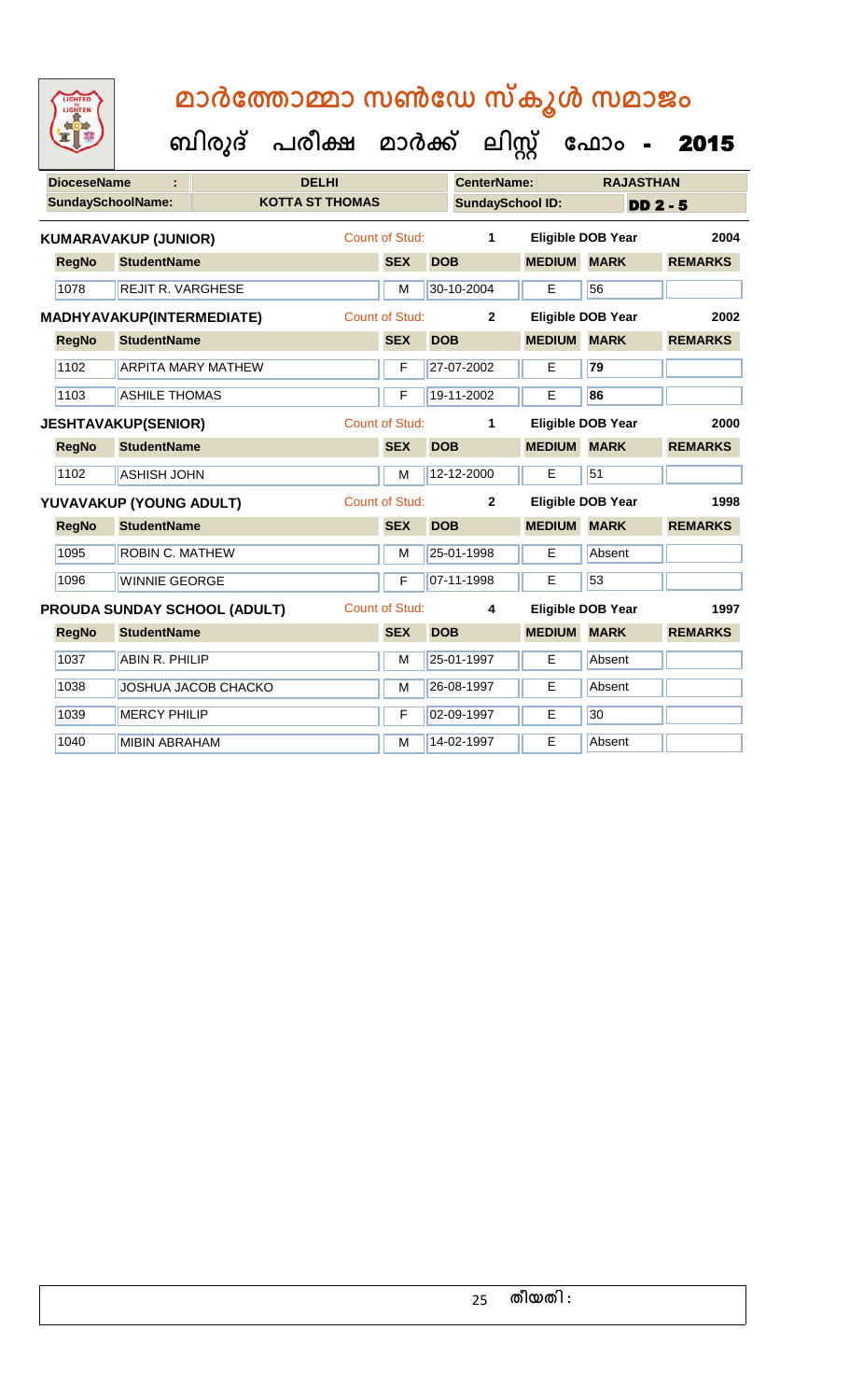| 医胃腺                |                             | ബിരുദ് | പരീക്ഷ മാർക്ക്         |                       |            | ലിസ്                    |               | ഫോം                      | 2015           |
|--------------------|-----------------------------|--------|------------------------|-----------------------|------------|-------------------------|---------------|--------------------------|----------------|
| <b>DioceseName</b> |                             |        | <b>DELHI</b>           |                       |            | <b>CenterName:</b>      |               | <b>RAJASTHAN</b>         |                |
|                    | <b>SundaySchoolName:</b>    |        | <b>KOTTA ST THOMAS</b> |                       |            | <b>SundaySchool ID:</b> |               |                          | $DD2 - 5$      |
|                    | <b>KUMARAVAKUP (JUNIOR)</b> |        |                        | Count of Stud:        |            | 1                       |               | Eligible DOB Year        | 2004           |
| <b>RegNo</b>       | <b>StudentName</b>          |        |                        | <b>SEX</b>            | <b>DOB</b> |                         | <b>MEDIUM</b> | <b>MARK</b>              | <b>REMARKS</b> |
| 1078               | <b>REJIT R. VARGHESE</b>    |        |                        | M                     |            | 30-10-2004              | E             | 56                       |                |
|                    | MADHYAVAKUP(INTERMEDIATE)   |        |                        | <b>Count of Stud:</b> |            | $\mathbf{2}$            |               | Eligible DOB Year        | 2002           |
| <b>RegNo</b>       | <b>StudentName</b>          |        |                        | <b>SEX</b>            | <b>DOB</b> |                         | <b>MEDIUM</b> | <b>MARK</b>              | <b>REMARKS</b> |
| 1102               | <b>ARPITA MARY MATHEW</b>   |        |                        | F                     |            | 27-07-2002              | E             | 79                       |                |
| 1103               | <b>ASHILE THOMAS</b>        |        |                        | F                     |            | 19-11-2002              | E             | 86                       |                |
|                    | <b>JESHTAVAKUP(SENIOR)</b>  |        |                        | Count of Stud:        |            | 1                       |               | Eligible DOB Year        | 2000           |
| <b>RegNo</b>       | <b>StudentName</b>          |        |                        | <b>SEX</b>            | <b>DOB</b> |                         | <b>MEDIUM</b> | <b>MARK</b>              | <b>REMARKS</b> |
| 1102               | <b>ASHISH JOHN</b>          |        |                        | M                     |            | 12-12-2000              | E             | 51                       |                |
|                    | YUVAVAKUP (YOUNG ADULT)     |        |                        | <b>Count of Stud:</b> |            | $\overline{2}$          |               | <b>Eligible DOB Year</b> | 1998           |
| <b>RegNo</b>       | <b>StudentName</b>          |        |                        | <b>SEX</b>            | <b>DOB</b> |                         | <b>MEDIUM</b> | <b>MARK</b>              | <b>REMARKS</b> |
|                    |                             |        |                        |                       |            |                         |               |                          |                |

LIGHTEN

1095 ROBIN C. MATHEW M 25-01-1998 E Absent

1037 ABIN R. PHILIP M 25-01-1997 E Absent 1038 JOSHUA JACOB CHACKO M M 26-08-1997 E Absent

1040 MIBIN ABRAHAM MEDICINE MEDICINE MEDICINE Absent

1039 MERCY PHILIP F 02-09-1997 E 30

**RegNo StudentName SEX DOB MEDIUM MARK REMARKS PROUDA SUNDAY SCHOOL (ADULT)** Count of Stud: **4 Eligible DOB Year 1997**

1096 WINNIE GEORGE F 07-11-1998 E 53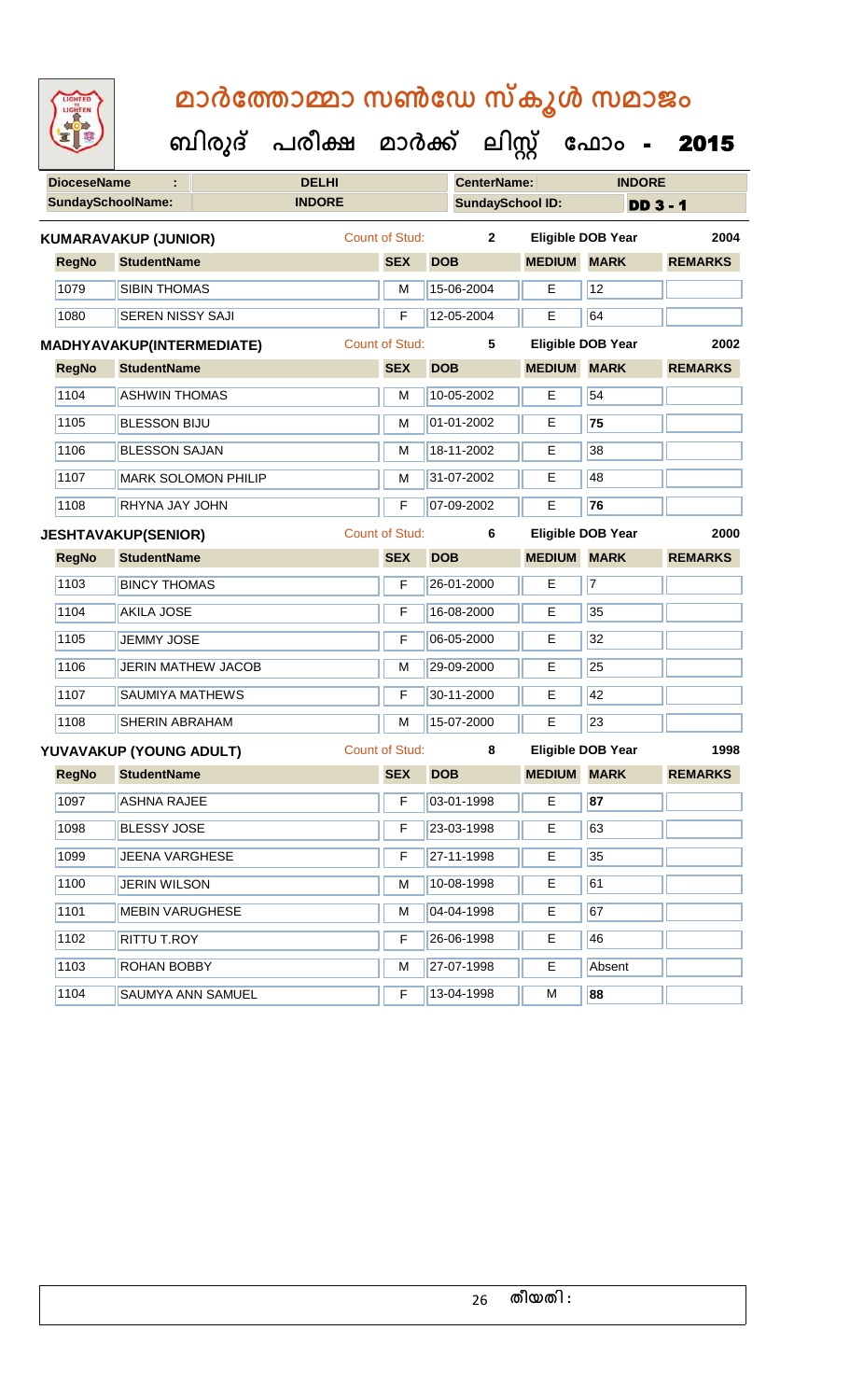| <b>IGHTED</b> |
|---------------|
|               |
|               |
|               |

|                          |                                  | ബിരുദ്                     | പരീക്ഷ        | മാർക്ക്               |            | <u> ലിസ്റ്റ്</u>   |                         | ഫോം                      | 2015           |  |
|--------------------------|----------------------------------|----------------------------|---------------|-----------------------|------------|--------------------|-------------------------|--------------------------|----------------|--|
| <b>DioceseName</b>       |                                  |                            | <b>DELHI</b>  |                       |            | <b>CenterName:</b> |                         | <b>INDORE</b>            |                |  |
| <b>SundaySchoolName:</b> |                                  |                            | <b>INDORE</b> |                       |            |                    | <b>SundaySchool ID:</b> | <b>DD 3 - 1</b>          |                |  |
|                          | <b>KUMARAVAKUP (JUNIOR)</b>      |                            |               | Count of Stud:        |            | $\mathbf{2}$       |                         | Eligible DOB Year        | 2004           |  |
| <b>RegNo</b>             | <b>StudentName</b>               |                            |               | <b>SEX</b>            | <b>DOB</b> |                    | <b>MEDIUM</b>           | <b>MARK</b>              | <b>REMARKS</b> |  |
| 1079                     | <b>SIBIN THOMAS</b>              |                            |               | м                     | 15-06-2004 |                    | E                       | 12                       |                |  |
| 1080                     | <b>SEREN NISSY SAJI</b>          |                            |               | F                     | 12-05-2004 |                    | Е                       | 64                       |                |  |
|                          | <b>MADHYAVAKUP(INTERMEDIATE)</b> |                            |               | Count of Stud:        |            | 5                  |                         | Eligible DOB Year        | 2002           |  |
| <b>RegNo</b>             | <b>StudentName</b>               |                            |               | <b>SEX</b>            | <b>DOB</b> |                    | <b>MEDIUM</b>           | <b>MARK</b>              | <b>REMARKS</b> |  |
| 1104                     | <b>ASHWIN THOMAS</b>             |                            |               | M                     | 10-05-2002 |                    | E                       | 54                       |                |  |
| 1105                     | <b>BLESSON BIJU</b>              |                            |               | M                     | 01-01-2002 |                    | E                       | 75                       |                |  |
| 1106                     | <b>BLESSON SAJAN</b>             |                            |               | м                     | 18-11-2002 |                    | E                       | 38                       |                |  |
| 1107                     |                                  | <b>MARK SOLOMON PHILIP</b> |               | м                     | 31-07-2002 |                    | E                       | 48                       |                |  |
| 1108                     | RHYNA JAY JOHN                   |                            |               | F                     | 07-09-2002 |                    | E                       | 76                       |                |  |
|                          | <b>JESHTAVAKUP(SENIOR)</b>       |                            |               | Count of Stud:        |            | 6                  |                         | <b>Eligible DOB Year</b> | 2000           |  |
| <b>RegNo</b>             | <b>StudentName</b>               |                            |               | <b>SEX</b>            | <b>DOB</b> |                    | <b>MEDIUM</b>           | <b>MARK</b>              | <b>REMARKS</b> |  |
| 1103                     | <b>BINCY THOMAS</b>              |                            |               | F                     | 26-01-2000 |                    | E                       | $\overline{7}$           |                |  |
| 1104                     | <b>AKILA JOSE</b>                |                            |               | F                     | 16-08-2000 |                    | E                       | 35                       |                |  |
| 1105                     | <b>JEMMY JOSE</b>                |                            |               | F                     | 06-05-2000 |                    | E                       | 32                       |                |  |
| 1106                     |                                  | <b>JERIN MATHEW JACOB</b>  |               | м                     | 29-09-2000 |                    | E                       | 25                       |                |  |
| 1107                     | <b>SAUMIYA MATHEWS</b>           |                            |               | F                     | 30-11-2000 |                    | E                       | 42                       |                |  |
| 1108                     | <b>SHERIN ABRAHAM</b>            |                            |               | M                     | 15-07-2000 |                    | $\overline{E}$          | 23                       |                |  |
|                          | YUVAVAKUP (YOUNG ADULT)          |                            |               | <b>Count of Stud:</b> |            | 8                  |                         | <b>Eligible DOB Year</b> | 1998           |  |
| <b>RegNo</b>             | <b>StudentName</b>               |                            |               | <b>SEX</b>            | <b>DOB</b> |                    | <b>MEDIUM MARK</b>      |                          | <b>REMARKS</b> |  |

| <b>RegNo</b> | <b>StudentName</b>       | <b>SEX</b> | <b>DOB</b> | <b>MEDIUM</b> | <b>MARK</b> | <b>REMARKS</b> |
|--------------|--------------------------|------------|------------|---------------|-------------|----------------|
| 1097         | <b>ASHNA RAJEE</b>       | F          | 03-01-1998 | Е             | 87          |                |
| 1098         | <b>BLESSY JOSE</b>       | F          | 23-03-1998 | E             | 63          |                |
| 1099         | <b>JEENA VARGHESE</b>    | F          | 27-11-1998 | Е             | 35          |                |
| 1100         | <b>JERIN WILSON</b>      | M          | 10-08-1998 | Е             | 61          |                |
| 1101         | <b>MEBIN VARUGHESE</b>   | M          | 04-04-1998 | Е             | 67          |                |
| 1102         | <b>RITTU T.ROY</b>       | F          | 26-06-1998 | Е             | 46          |                |
| 1103         | <b>ROHAN BOBBY</b>       | M          | 27-07-1998 | E             | Absent      |                |
| 1104         | <b>SAUMYA ANN SAMUEL</b> | F          | 13-04-1998 | м             | 88          |                |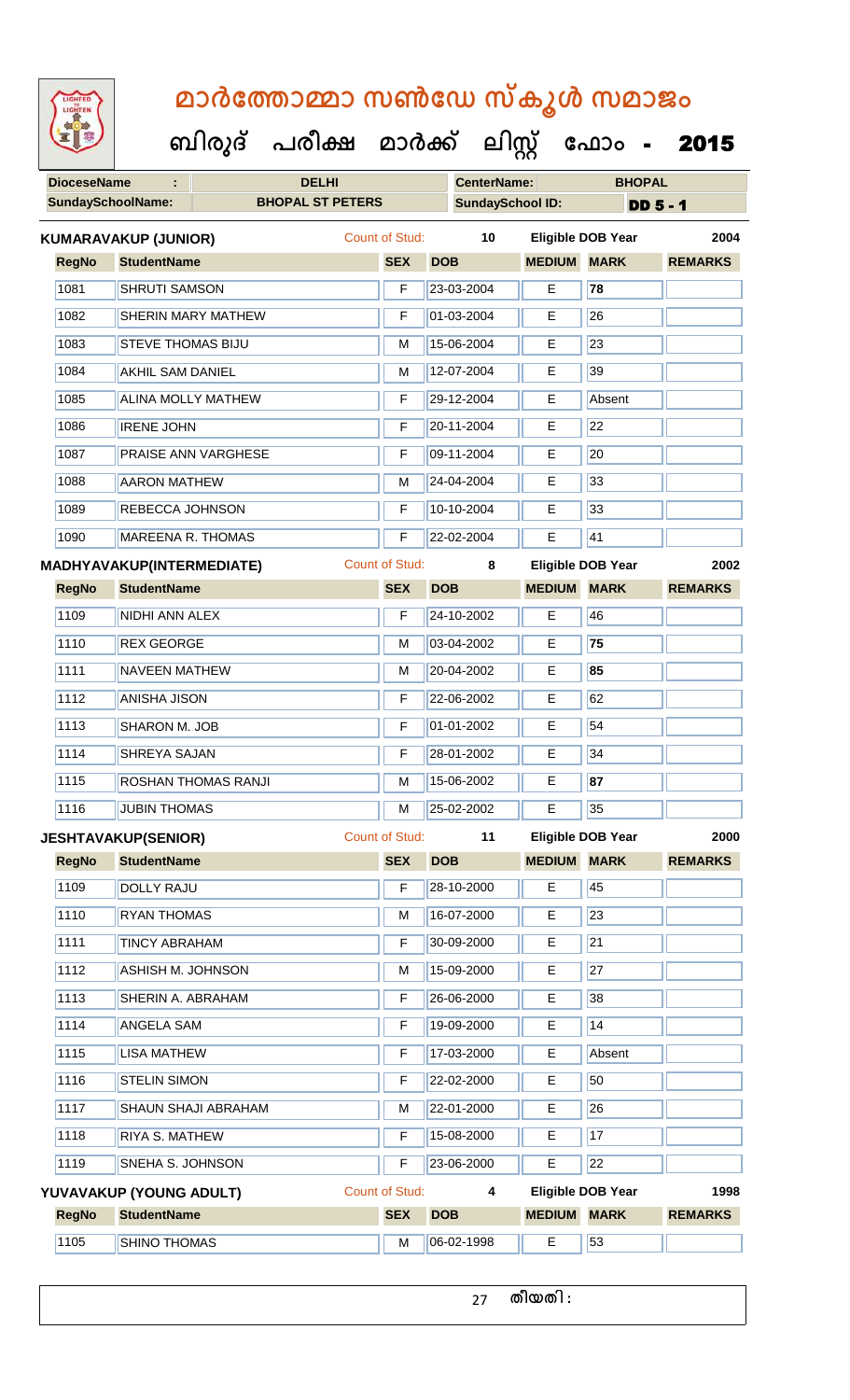| <b>IGHTED</b> |
|---------------|
|               |
|               |
|               |
|               |

 **ബിരുദ് പരീക്ഷ മാര്ക് ക ലിസ്റ്റ ക ഫ ാോം** - 2015

| <b>DioceseName</b> | ÷                                | <b>DELHI</b>              |                       |            | <b>CenterName:</b>      |               | <b>BHOPAL</b>            |                 |
|--------------------|----------------------------------|---------------------------|-----------------------|------------|-------------------------|---------------|--------------------------|-----------------|
|                    | <b>SundaySchoolName:</b>         | <b>BHOPAL ST PETERS</b>   |                       |            | <b>SundaySchool ID:</b> |               |                          | <b>DD 5 - 1</b> |
|                    | <b>KUMARAVAKUP (JUNIOR)</b>      |                           | Count of Stud:        |            | 10                      |               | <b>Eligible DOB Year</b> | 2004            |
| <b>RegNo</b>       | <b>StudentName</b>               |                           | <b>SEX</b>            | <b>DOB</b> |                         | <b>MEDIUM</b> | <b>MARK</b>              | <b>REMARKS</b>  |
| 1081               | <b>SHRUTI SAMSON</b>             |                           | F                     |            | 23-03-2004              | $\mathsf E$   | 78                       |                 |
| 1082               |                                  | <b>SHERIN MARY MATHEW</b> | F                     |            | 01-03-2004              | E             | 26                       |                 |
| 1083               | <b>STEVE THOMAS BIJU</b>         |                           | M                     |            | 15-06-2004              | E             | 23                       |                 |
| 1084               | <b>AKHIL SAM DANIEL</b>          |                           | M                     |            | 12-07-2004              | Е             | 39                       |                 |
| 1085               |                                  | ALINA MOLLY MATHEW        | F                     |            | 29-12-2004              | Е             | Absent                   |                 |
| 1086               | <b>IRENE JOHN</b>                |                           | F                     |            | 20-11-2004              | $\mathsf E$   | 22                       |                 |
| 1087               |                                  | PRAISE ANN VARGHESE       | F                     |            | 09-11-2004              | Е             | 20                       |                 |
| 1088               | <b>AARON MATHEW</b>              |                           | M                     |            | 24-04-2004              | Е             | 33                       |                 |
| 1089               | REBECCA JOHNSON                  |                           | F                     |            | 10-10-2004              | E             | 33                       |                 |
| 1090               | <b>MAREENA R. THOMAS</b>         |                           | F                     |            | 22-02-2004              | E             | 41                       |                 |
|                    | <b>MADHYAVAKUP(INTERMEDIATE)</b> |                           | <b>Count of Stud:</b> |            | 8                       |               | <b>Eligible DOB Year</b> | 2002            |
| <b>RegNo</b>       | <b>StudentName</b>               |                           | <b>SEX</b>            | <b>DOB</b> |                         | <b>MEDIUM</b> | <b>MARK</b>              | <b>REMARKS</b>  |
| 1109               | NIDHI ANN ALEX                   |                           | F                     |            | 24-10-2002              | Е             | 46                       |                 |
| 1110               | <b>REX GEORGE</b>                |                           | M                     |            | 03-04-2002              | E             | 75                       |                 |
| 1111               | <b>NAVEEN MATHEW</b>             |                           | M                     |            | 20-04-2002              | E             | 85                       |                 |
| 1112               | <b>ANISHA JISON</b>              |                           | F                     |            | 22-06-2002              | Е             | 62                       |                 |
| 1113               | SHARON M. JOB                    |                           | F                     |            | 01-01-2002              | E             | 54                       |                 |
| 1114               | <b>SHREYA SAJAN</b>              |                           | F                     |            | 28-01-2002              | E             | 34                       |                 |
| 1115               |                                  | ROSHAN THOMAS RANJI       | M                     |            | 15-06-2002              | E             | 87                       |                 |
| 1116               | <b>JUBIN THOMAS</b>              |                           | M                     |            | 25-02-2002              | Е             | 35                       |                 |
|                    | <b>JESHTAVAKUP(SENIOR)</b>       |                           | <b>Count of Stud:</b> |            | 11                      |               | <b>Eligible DOB Year</b> | 2000            |
| <b>RegNo</b>       | <b>StudentName</b>               |                           | <b>SEX</b>            | <b>DOB</b> |                         | <b>MEDIUM</b> | <b>MARK</b>              | <b>REMARKS</b>  |
| 1109               | <b>DOLLY RAJU</b>                |                           | F                     |            | 28-10-2000              | $\mathsf E$   | 45                       |                 |
| 1110               | <b>RYAN THOMAS</b>               |                           | M                     |            | 16-07-2000              | Е             | 23                       |                 |
| 1111               | <b>TINCY ABRAHAM</b>             |                           | F                     |            | 30-09-2000              | E             | 21                       |                 |
| 1112               | ASHISH M. JOHNSON                |                           | M                     |            | 15-09-2000              | Е             | 27                       |                 |
| 1113               | SHERIN A. ABRAHAM                |                           | F                     |            | 26-06-2000              | E             | 38                       |                 |
| 1114               | ANGELA SAM                       |                           | F                     |            | 19-09-2000              | E             | 14                       |                 |
| 1115               | <b>LISA MATHEW</b>               |                           | F                     |            | 17-03-2000              | Е             | Absent                   |                 |
| 1116               | <b>STELIN SIMON</b>              |                           | F                     |            | 22-02-2000              | Е             | 50                       |                 |
| 1117               |                                  | SHAUN SHAJI ABRAHAM       | M                     |            | 22-01-2000              | E             | 26                       |                 |
| 1118               | RIYA S. MATHEW                   |                           | F                     |            | 15-08-2000              | E             | 17                       |                 |

| 1119         | <b>ISNEHA S. JOHNSON</b> | ⊏              | 23-06-2000  |                    | 22                |                |      |
|--------------|--------------------------|----------------|-------------|--------------------|-------------------|----------------|------|
|              | YUVAVAKUP (YOUNG ADULT)  | Count of Stud: | 4           |                    | Eligible DOB Year |                | 1998 |
| <b>RegNo</b> | <b>StudentName</b>       | <b>SEX</b>     | <b>DOB</b>  | <b>MEDIUM MARK</b> |                   | <b>REMARKS</b> |      |
| 1105         | <b>SHINO THOMAS</b>      | M              | 106-02-1998 |                    | 53                |                |      |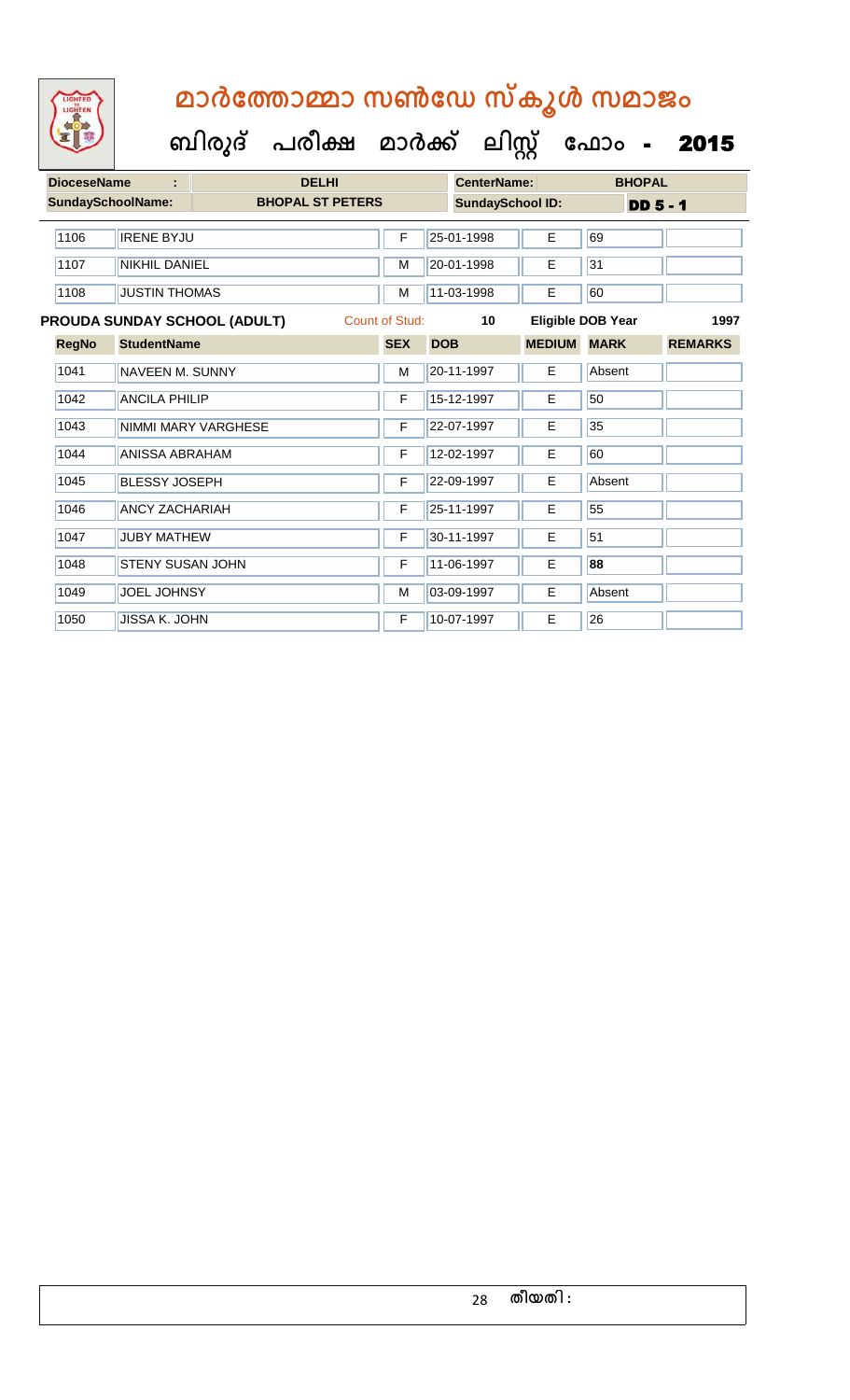| <b>DioceseName</b><br>÷  |                         | <b>DELHI</b>                        |                         |                       |                         | <b>CenterName:</b> |               | <b>BHOPAL</b>            |                |
|--------------------------|-------------------------|-------------------------------------|-------------------------|-----------------------|-------------------------|--------------------|---------------|--------------------------|----------------|
| <b>SundaySchoolName:</b> |                         |                                     | <b>BHOPAL ST PETERS</b> |                       | <b>SundaySchool ID:</b> |                    |               | <b>DD 5 - 1</b>          |                |
|                          |                         |                                     |                         |                       |                         |                    |               |                          |                |
| 1106                     | <b>IRENE BYJU</b>       |                                     |                         | F                     |                         | 25-01-1998         | E             | 69                       |                |
| 1107                     | <b>NIKHIL DANIEL</b>    |                                     |                         | M                     |                         | 20-01-1998         | E             | 31                       |                |
| 1108                     | <b>JUSTIN THOMAS</b>    |                                     |                         | M                     |                         | 11-03-1998         | E             | 60                       |                |
|                          |                         | <b>PROUDA SUNDAY SCHOOL (ADULT)</b> |                         | <b>Count of Stud:</b> |                         | 10                 |               | <b>Eligible DOB Year</b> | 1997           |
| <b>RegNo</b>             | <b>StudentName</b>      |                                     |                         | <b>SEX</b>            | <b>DOB</b>              |                    | <b>MEDIUM</b> | <b>MARK</b>              | <b>REMARKS</b> |
| 1041                     | <b>NAVEEN M. SUNNY</b>  |                                     |                         | M                     |                         | 20-11-1997         | E.            | Absent                   |                |
| 1042                     | <b>ANCILA PHILIP</b>    |                                     |                         | F                     |                         | 15-12-1997         | E             | 50                       |                |
| 1043                     |                         | NIMMI MARY VARGHESE                 |                         | F                     |                         | 22-07-1997         | E             | 35                       |                |
| 1044                     | <b>ANISSA ABRAHAM</b>   |                                     |                         | F                     |                         | 12-02-1997         | Е             | 60                       |                |
| 1045                     | <b>BLESSY JOSEPH</b>    |                                     |                         | F                     |                         | 22-09-1997         | E.            | Absent                   |                |
| 1046                     | <b>ANCY ZACHARIAH</b>   |                                     |                         | F                     |                         | 25-11-1997         | E             | 55                       |                |
| 1047                     | <b>JUBY MATHEW</b>      |                                     |                         | F                     |                         | 30-11-1997         | E             | 51                       |                |
| 1048                     | <b>STENY SUSAN JOHN</b> |                                     |                         | F                     |                         | 11-06-1997         | E             | 88                       |                |
| 1049                     | <b>JOEL JOHNSY</b>      |                                     |                         | M                     |                         | 03-09-1997         | E             | Absent                   |                |
| 1050                     | <b>JISSA K. JOHN</b>    |                                     |                         | F                     |                         | 10-07-1997         | E             | 26                       |                |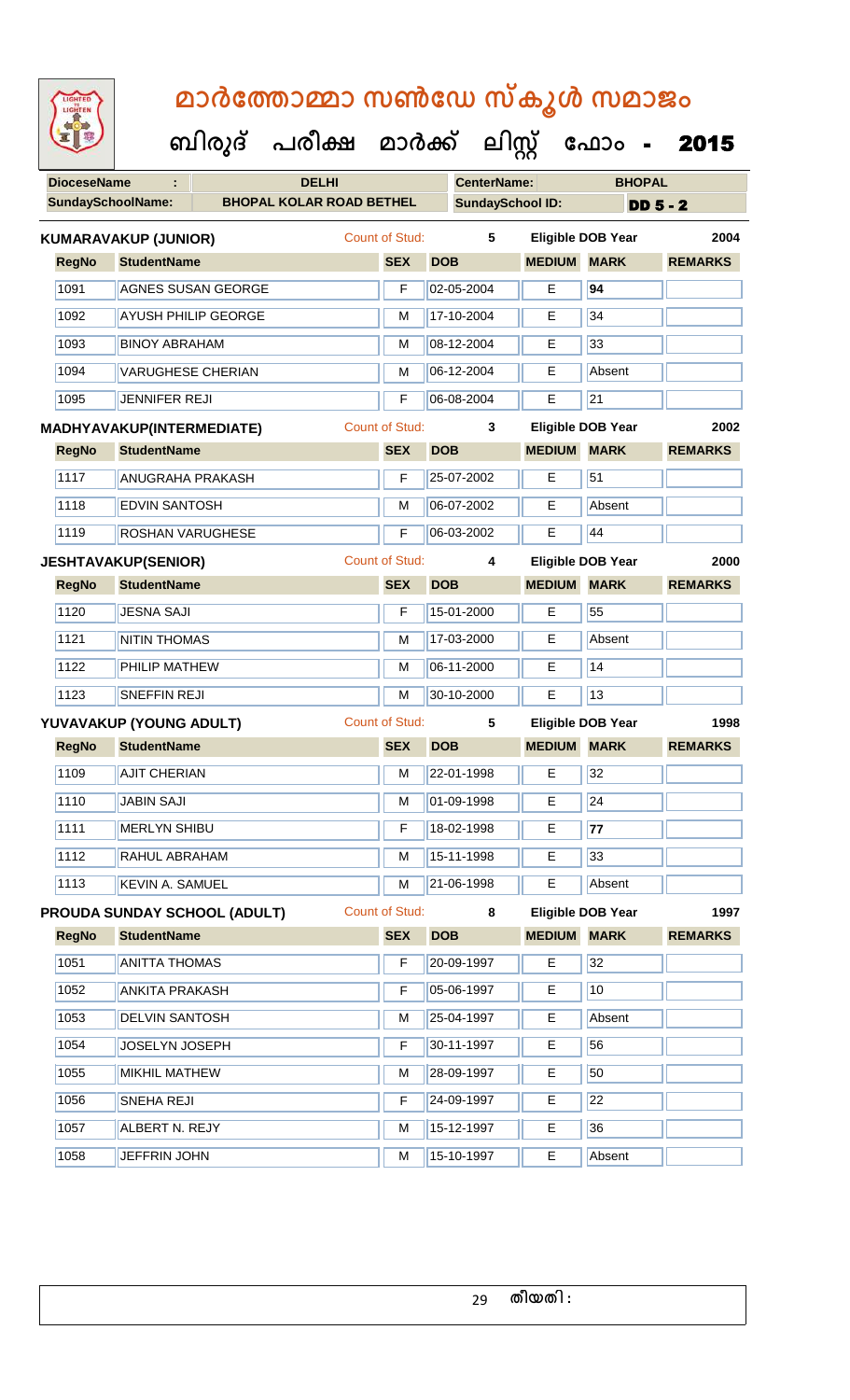| <b>IGHTED</b> |
|---------------|
|               |
|               |
|               |
|               |

| <b>DioceseName</b>       | ÷                                |                                     | <b>DELHI</b> |                       |            | <b>CenterName:</b>      |                    | <b>BHOPAL</b>            |                |
|--------------------------|----------------------------------|-------------------------------------|--------------|-----------------------|------------|-------------------------|--------------------|--------------------------|----------------|
| <b>SundaySchoolName:</b> |                                  | <b>BHOPAL KOLAR ROAD BETHEL</b>     |              |                       |            | <b>SundaySchool ID:</b> |                    | $DD5 - 2$                |                |
|                          | KUMARAVAKUP (JUNIOR)             |                                     |              | <b>Count of Stud:</b> |            | 5                       |                    | <b>Eligible DOB Year</b> | 2004           |
| <b>RegNo</b>             | <b>StudentName</b>               |                                     |              | <b>SEX</b>            | <b>DOB</b> |                         | <b>MEDIUM</b>      | <b>MARK</b>              | <b>REMARKS</b> |
| 1091                     |                                  | <b>AGNES SUSAN GEORGE</b>           |              | F                     |            | 02-05-2004              | E                  | 94                       |                |
| 1092                     |                                  | AYUSH PHILIP GEORGE                 |              | M                     |            | 17-10-2004              | E                  | $\overline{34}$          |                |
| 1093                     | <b>BINOY ABRAHAM</b>             |                                     |              | M                     |            | 08-12-2004              | Е                  | 33                       |                |
| 1094                     | <b>VARUGHESE CHERIAN</b>         |                                     |              | M                     |            | 06-12-2004              | Е                  | Absent                   |                |
| 1095                     | <b>JENNIFER REJI</b>             |                                     |              | F                     |            | 06-08-2004              | E                  | $\overline{21}$          |                |
|                          | <b>MADHYAVAKUP(INTERMEDIATE)</b> |                                     |              | <b>Count of Stud:</b> |            | 3                       |                    | <b>Eligible DOB Year</b> | 2002           |
| <b>RegNo</b>             | <b>StudentName</b>               |                                     |              | <b>SEX</b>            | <b>DOB</b> |                         | <b>MEDIUM</b>      | <b>MARK</b>              | <b>REMARKS</b> |
| 1117                     | <b>ANUGRAHA PRAKASH</b>          |                                     |              | F                     |            | 25-07-2002              | Е                  | 51                       |                |
| 1118                     | <b>EDVIN SANTOSH</b>             |                                     |              | M                     |            | 06-07-2002              | E                  | Absent                   |                |
| 1119                     | ROSHAN VARUGHESE                 |                                     |              | F                     |            | 06-03-2002              | E                  | 44                       |                |
|                          | <b>JESHTAVAKUP(SENIOR)</b>       |                                     |              | <b>Count of Stud:</b> |            | 4                       |                    | <b>Eligible DOB Year</b> | 2000           |
| <b>RegNo</b>             | <b>StudentName</b>               |                                     |              | <b>SEX</b>            | <b>DOB</b> |                         | <b>MEDIUM</b>      | <b>MARK</b>              | <b>REMARKS</b> |
| 1120                     | <b>JESNA SAJI</b>                |                                     |              | F                     |            | 15-01-2000              | Е                  | 55                       |                |
| 1121                     | <b>NITIN THOMAS</b>              |                                     |              | M                     |            | 17-03-2000              | Е                  | Absent                   |                |
| 1122                     | PHILIP MATHEW                    |                                     |              | M                     |            | 06-11-2000              | E                  | 14                       |                |
| 1123                     | <b>SNEFFIN REJI</b>              |                                     |              | M                     |            | 30-10-2000              | E                  | 13                       |                |
|                          | YUVAVAKUP (YOUNG ADULT)          |                                     |              | <b>Count of Stud:</b> |            | $5\phantom{.0}$         |                    | <b>Eligible DOB Year</b> | 1998           |
| <b>RegNo</b>             | <b>StudentName</b>               |                                     |              | <b>SEX</b>            | <b>DOB</b> |                         | <b>MEDIUM MARK</b> |                          | <b>REMARKS</b> |
| 1109                     | <b>AJIT CHERIAN</b>              |                                     |              | M                     |            | 22-01-1998              | Е                  | 32                       |                |
| 1110                     | <b>JABIN SAJI</b>                |                                     |              | м                     |            | 01-09-1998              | E.                 | 24                       |                |
| 1111                     | <b>MERLYN SHIBU</b>              |                                     |              | F                     |            | 18-02-1998              | E.                 | 77                       |                |
| 1112                     | RAHUL ABRAHAM                    |                                     |              | M                     |            | 15-11-1998              | Е                  | 33                       |                |
| 1113                     | <b>KEVIN A. SAMUEL</b>           |                                     |              | M                     |            | 21-06-1998              | Е                  | Absent                   |                |
|                          |                                  | <b>PROUDA SUNDAY SCHOOL (ADULT)</b> |              | <b>Count of Stud:</b> |            | 8                       |                    | Eligible DOB Year        | 1997           |
| <b>RegNo</b>             | <b>StudentName</b>               |                                     |              | <b>SEX</b>            | <b>DOB</b> |                         | <b>MEDIUM</b>      | <b>MARK</b>              | <b>REMARKS</b> |
| 1051                     | <b>ANITTA THOMAS</b>             |                                     |              | F                     |            | 20-09-1997              | Е                  | 32                       |                |
| 1052                     | <b>ANKITA PRAKASH</b>            |                                     |              | F                     |            | 05-06-1997              | E.                 | 10                       |                |
| 1053                     | <b>DELVIN SANTOSH</b>            |                                     |              | M                     |            | 25-04-1997              | Е                  | Absent                   |                |
| 1054                     | JOSELYN JOSEPH                   |                                     |              | F                     |            | 30-11-1997              | E.                 | 56                       |                |
| 1055                     | <b>MIKHIL MATHEW</b>             |                                     |              | M                     |            | 28-09-1997              | Е                  | 50                       |                |
| 1056                     | SNEHA REJI                       |                                     |              | F                     |            | 24-09-1997              | Е                  | 22                       |                |
| 1057                     | ALBERT N. REJY                   |                                     |              | M                     |            | 15-12-1997              | Е                  | 36                       |                |
| 1058                     | JEFFRIN JOHN                     |                                     |              | M                     |            | 15-10-1997              | Е                  | Absent                   |                |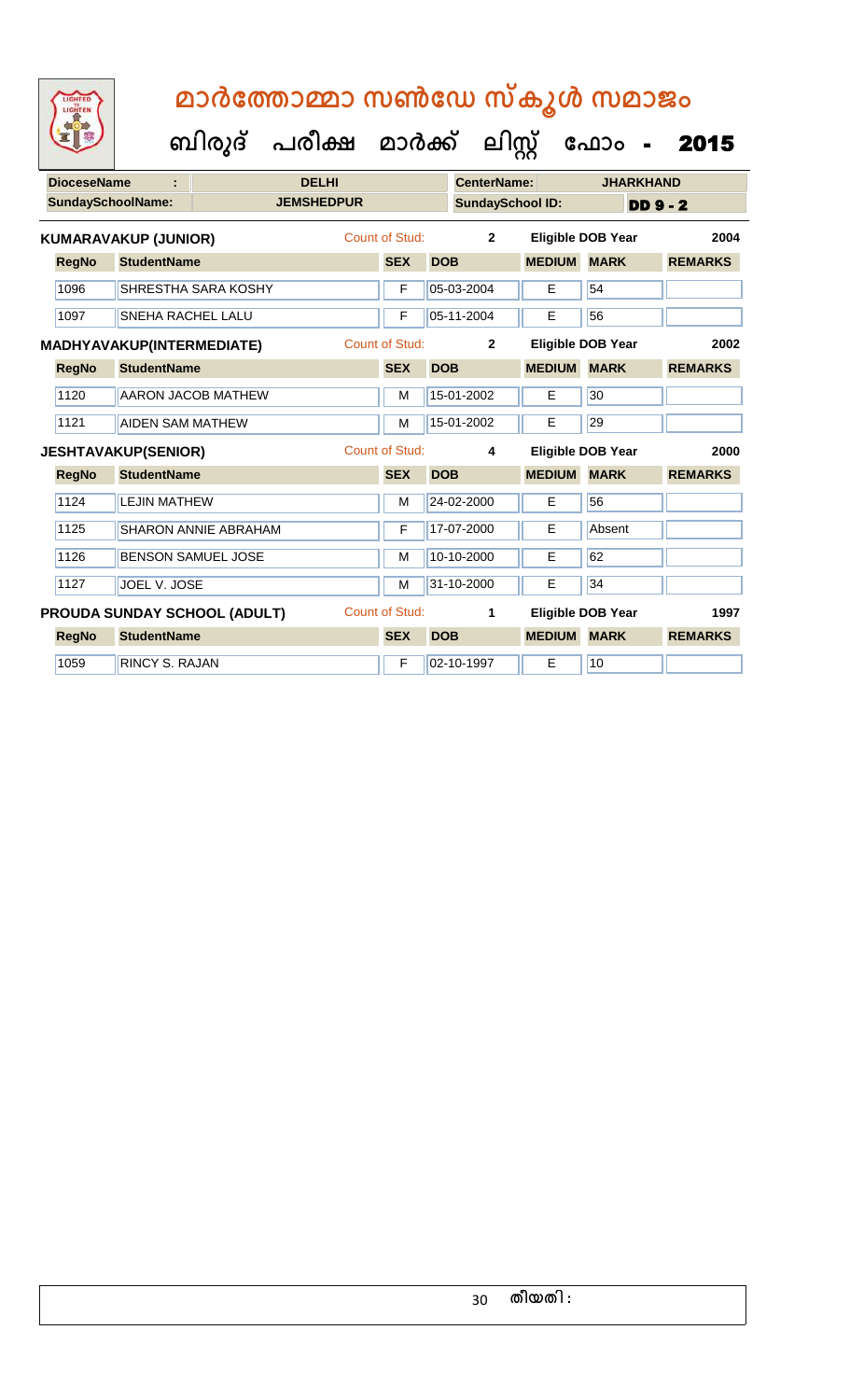| <b>DioceseName</b> |                                  |                              | <b>DELHI</b>          |                       |            | <b>CenterName:</b>      |               | <b>JHARKHAND</b>         |                 |                |
|--------------------|----------------------------------|------------------------------|-----------------------|-----------------------|------------|-------------------------|---------------|--------------------------|-----------------|----------------|
|                    | <b>SundaySchoolName:</b>         |                              | <b>JEMSHEDPUR</b>     |                       |            | <b>SundaySchool ID:</b> |               |                          | <b>DD 9 - 2</b> |                |
|                    | <b>KUMARAVAKUP (JUNIOR)</b>      |                              |                       | <b>Count of Stud:</b> |            | $\overline{2}$          |               | <b>Eligible DOB Year</b> |                 | 2004           |
| <b>RegNo</b>       | <b>StudentName</b>               |                              |                       | <b>SEX</b>            | <b>DOB</b> |                         | <b>MEDIUM</b> | <b>MARK</b>              |                 | <b>REMARKS</b> |
| 1096               |                                  | SHRESTHA SARA KOSHY          |                       | F                     |            | 05-03-2004              | E             | 54                       |                 |                |
| 1097               | SNEHA RACHEL LALU                |                              |                       | F                     |            | 05-11-2004              | E             | 56                       |                 |                |
|                    | <b>MADHYAVAKUP(INTERMEDIATE)</b> |                              |                       | <b>Count of Stud:</b> |            | $\overline{2}$          |               | <b>Eligible DOB Year</b> |                 | 2002           |
| <b>RegNo</b>       | <b>StudentName</b>               |                              |                       | <b>SEX</b>            | <b>DOB</b> |                         | <b>MEDIUM</b> | <b>MARK</b>              |                 | <b>REMARKS</b> |
| 1120               |                                  | <b>AARON JACOB MATHEW</b>    |                       | M                     |            | 15-01-2002              | E             | 30                       |                 |                |
| 1121               | <b>AIDEN SAM MATHEW</b>          |                              |                       | M                     |            | 15-01-2002              | E             | 29                       |                 |                |
|                    | <b>JESHTAVAKUP(SENIOR)</b>       |                              | <b>Count of Stud:</b> |                       |            | $\overline{\mathbf{4}}$ |               | <b>Eligible DOB Year</b> |                 | 2000           |
| <b>RegNo</b>       | <b>StudentName</b>               |                              |                       | <b>SEX</b>            | <b>DOB</b> |                         | <b>MEDIUM</b> | <b>MARK</b>              |                 | <b>REMARKS</b> |
| 1124               | <b>LEJIN MATHEW</b>              |                              |                       | M                     |            | 24-02-2000              | E             | 56                       |                 |                |
| 1125               |                                  | <b>SHARON ANNIE ABRAHAM</b>  |                       | F                     |            | 17-07-2000              | Е             | Absent                   |                 |                |
| 1126               |                                  | <b>BENSON SAMUEL JOSE</b>    |                       | M                     |            | 10-10-2000              | Е             | 62                       |                 |                |
| 1127               | JOEL V. JOSE                     |                              |                       | M                     |            | 31-10-2000              | E             | 34                       |                 |                |
|                    |                                  | PROUDA SUNDAY SCHOOL (ADULT) |                       | Count of Stud:        |            | $\mathbf{1}$            |               | <b>Eligible DOB Year</b> |                 | 1997           |
| <b>RegNo</b>       | <b>StudentName</b>               |                              |                       | <b>SEX</b>            | <b>DOB</b> |                         | <b>MEDIUM</b> | <b>MARK</b>              |                 | <b>REMARKS</b> |
| 1059               | <b>RINCY S. RAJAN</b>            |                              |                       | F                     |            | 02-10-1997              | E             | 10                       |                 |                |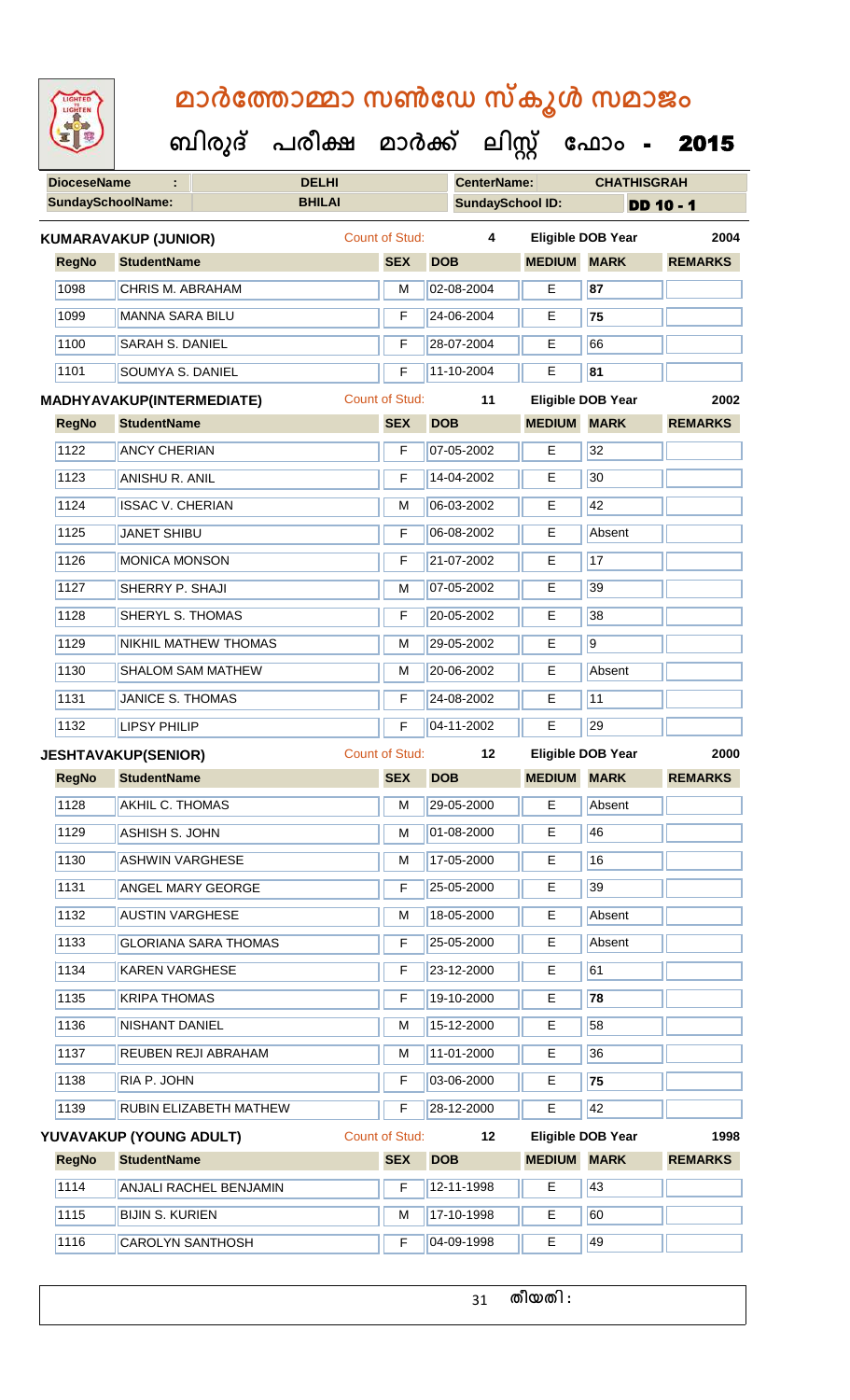| <b>IGHTED</b> |
|---------------|
|               |
|               |
|               |
|               |

**DioceseName : DELHI CenterName: CHATHISGRAH SundaySchoolName: BHILAI SundaySchool ID: DD 10 - 1 ബിരുദ് പരീക്ഷ മാര്ക് ക ലിസ്റ്റ ക ഫ ാോം** - 2015 **RegNo StudentName SEX DOB MEDIUM MARK REMARKS KUMARAVAKUP (JUNIOR)** Count of Stud: **4 Eligible DOB Year 2004** 1098 CHRIS M. ABRAHAM M 02-08-2004 E **87** 1099 MANNA SARA BILU F 24-06-2004 E **75** 1100 SARAH S. DANIEL F 28-07-2004 E 66 1101 SOUMYA S. DANIEL F 11-10-2004 E **81 RegNo StudentName SEX DOB MEDIUM MARK REMARKS MADHYAVAKUP(INTERMEDIATE)** Count of Stud: **11 Eligible DOB Year 2002** 1122 ANCY CHERIAN F 07-05-2002 E 32 1123 ANISHU R. ANIL F 14-04-2002 E 30 1124 **ISSAC V. CHERIAN** M M 06-03-2002 **E** 42 1125 JANET SHIBU F 06-08-2002 E Absent 1126 MONICA MONSON F 21-07-2002 E 17 1127 SHERRY P. SHAJI M 07-05-2002 E 39 1128 SHERYL S. THOMAS F 20-05-2002 E 38 1129 NIKHIL MATHEW THOMAS M N 29-05-2002 E 9 1130 SHALOM SAM MATHEW M 20-06-2002 E Absent 1131 JANICE S. THOMAS F **F** 24-08-2002 **F** 11 1132 LIPSY PHILIP **F** 04-11-2002 E 29 **RegNo StudentName SEX DOB MEDIUM MARK REMARKS JESHTAVAKUP(SENIOR)** Count of Stud: **12 Eligible DOB Year 2000** 1128 AKHIL C. THOMAS M 29-05-2000 E Absent 1129 ASHISH S. JOHN M 01-08-2000 E 46 1130 ASHWIN VARGHESE M M 17-05-2000 E 16 1131 ANGEL MARY GEORGE **F** 25-05-2000 **E** 39 1132 AUSTIN VARGHESE M 18-05-2000 E Absent 1133 GLORIANA SARA THOMAS F 25-05-2000 E Absent

1134 KAREN VARGHESE F 23-12-2000 E 61 1135 KRIPA THOMAS F 19-10-2000 E **78** 1136 NISHANT DANIEL M 15-12-2000 E 58 1137 REUBEN REJI ABRAHAM M 11-01-2000 E 36 1138 RIA P. JOHN F 03-06-2000 E **75** 1139 RUBIN ELIZABETH MATHEW F 28-12-2000 E 42 **RegNo StudentName SEX DOB MEDIUM MARK REMARKS YUVAVAKUP (YOUNG ADULT)** Count of Stud: **12 Eligible DOB Year 1998** 1114 ANJALI RACHEL BENJAMIN F 12-11-1998 E 43

1115 BIJIN S. KURIEN M M 17-10-1998 E 60 1116 CAROLYN SANTHOSH F 04-09-1998 E 49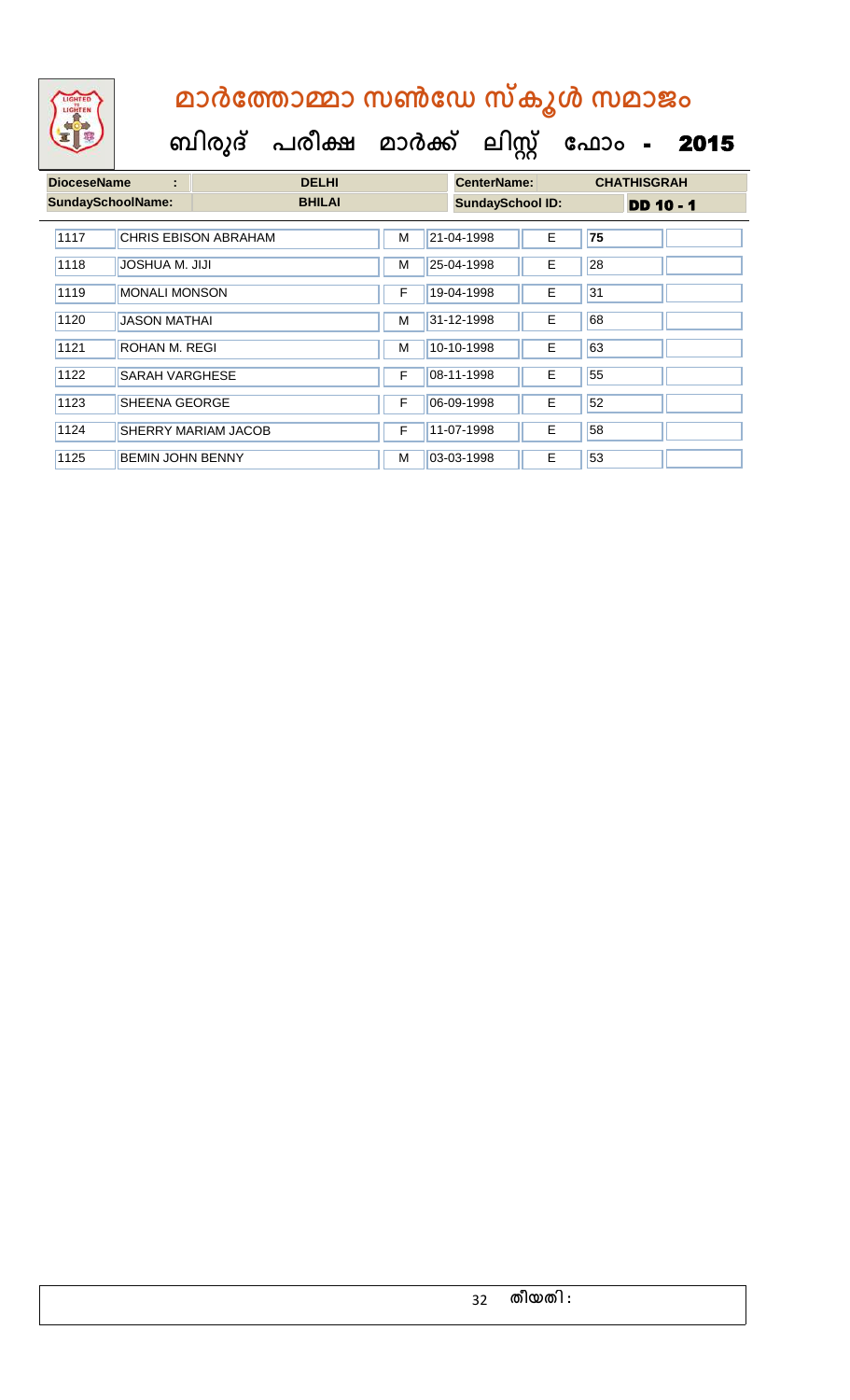

| <b>DioceseName</b><br>÷ |                          | <b>DELHI</b>                |   |  | <b>CenterName:</b>      |    |    | <b>CHATHISGRAH</b> |  |  |
|-------------------------|--------------------------|-----------------------------|---|--|-------------------------|----|----|--------------------|--|--|
|                         | <b>SundaySchoolName:</b> | <b>BHILAI</b>               |   |  | <b>SundaySchool ID:</b> |    |    | <b>DD 10 - 1</b>   |  |  |
| 1117                    |                          | <b>CHRIS EBISON ABRAHAM</b> | М |  | 21-04-1998              | E  | 75 |                    |  |  |
| 1118                    | JOSHUA M. JIJI           |                             | м |  | 25-04-1998              | E. | 28 |                    |  |  |
| 1119                    | <b>MONALI MONSON</b>     |                             | F |  | 19-04-1998              | E  | 31 |                    |  |  |
| 1120                    | <b>JASON MATHAI</b>      |                             | М |  | 31-12-1998              | Е  | 68 |                    |  |  |
| 1121                    | ROHAN M. REGI            |                             | M |  | 10-10-1998              | Е  | 63 |                    |  |  |
| 1122                    | <b>SARAH VARGHESE</b>    |                             | F |  | 08-11-1998              | E  | 55 |                    |  |  |
| 1123                    | <b>SHEENA GEORGE</b>     |                             | F |  | 06-09-1998              | E  | 52 |                    |  |  |
| 1124                    |                          | <b>SHERRY MARIAM JACOB</b>  | F |  | 11-07-1998              | E  | 58 |                    |  |  |
| 1125                    | <b>BEMIN JOHN BENNY</b>  |                             | м |  | 03-03-1998              | E  | 53 |                    |  |  |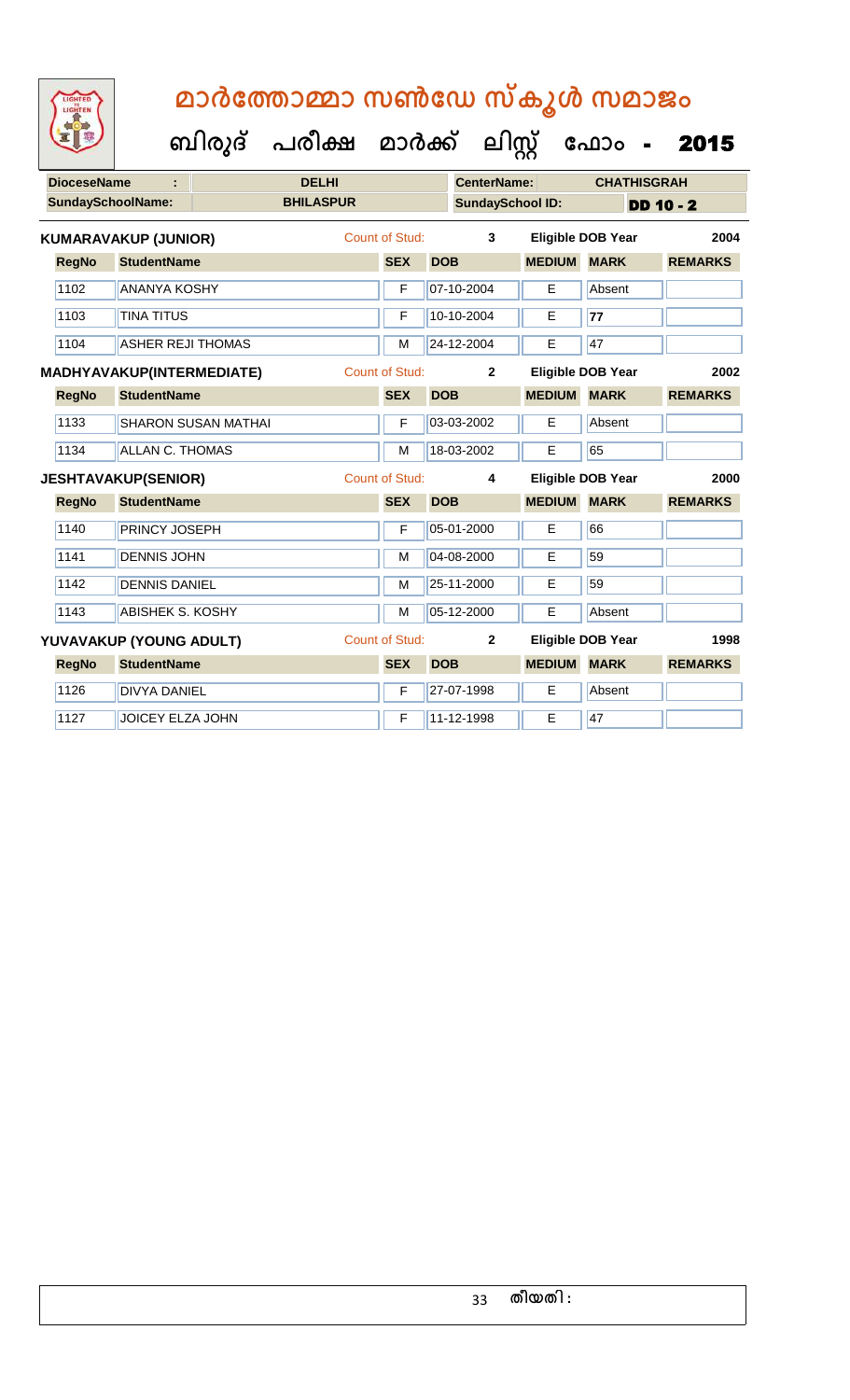| <b>DioceseName</b>      |                                  |                            | <b>DELHI</b>     |                       |            | <b>CenterName:</b>      |               | <b>CHATHISGRAH</b>       |                |
|-------------------------|----------------------------------|----------------------------|------------------|-----------------------|------------|-------------------------|---------------|--------------------------|----------------|
|                         | <b>SundaySchoolName:</b>         |                            | <b>BHILASPUR</b> |                       |            | <b>SundaySchool ID:</b> |               |                          | $DD 10 - 2$    |
|                         | <b>KUMARAVAKUP (JUNIOR)</b>      |                            |                  | Count of Stud:        |            | 3                       |               | <b>Eligible DOB Year</b> | 2004           |
| <b>RegNo</b>            | <b>StudentName</b>               |                            |                  | <b>SEX</b>            | <b>DOB</b> |                         | <b>MEDIUM</b> | <b>MARK</b>              | <b>REMARKS</b> |
| 1102                    | <b>ANANYA KOSHY</b>              |                            |                  | F                     |            | 07-10-2004              | E             | Absent                   |                |
| 1103                    | <b>TINA TITUS</b>                |                            |                  | F                     |            | 10-10-2004              | Е             | 77                       |                |
| 1104                    | <b>ASHER REJI THOMAS</b>         |                            |                  | M                     |            | 24-12-2004              | E             | 47                       |                |
|                         | <b>MADHYAVAKUP(INTERMEDIATE)</b> |                            |                  | Count of Stud:        |            | $\mathbf 2$             |               | <b>Eligible DOB Year</b> | 2002           |
| <b>RegNo</b>            | <b>StudentName</b>               |                            |                  | <b>SEX</b>            | <b>DOB</b> |                         | <b>MEDIUM</b> | <b>MARK</b>              | <b>REMARKS</b> |
| 1133                    |                                  | <b>SHARON SUSAN MATHAI</b> |                  | F                     |            | 03-03-2002              | E             | Absent                   |                |
| 1134                    | <b>ALLAN C. THOMAS</b>           |                            |                  | M                     |            | 18-03-2002              | E             | 65                       |                |
|                         | <b>JESHTAVAKUP(SENIOR)</b>       |                            | Count of Stud:   |                       |            | 4                       |               | <b>Eligible DOB Year</b> | 2000           |
| <b>RegNo</b>            | <b>StudentName</b>               |                            |                  | <b>SEX</b>            | <b>DOB</b> |                         | <b>MEDIUM</b> | <b>MARK</b>              | <b>REMARKS</b> |
| 1140                    | <b>PRINCY JOSEPH</b>             |                            |                  | F                     |            | 05-01-2000              | E             | 66                       |                |
| 1141                    | <b>DENNIS JOHN</b>               |                            |                  | M                     |            | 04-08-2000              | E             | 59                       |                |
| 1142                    | <b>DENNIS DANIEL</b>             |                            |                  | M                     |            | 25-11-2000              | Е             | 59                       |                |
| 1143                    | <b>ABISHEK S. KOSHY</b>          |                            |                  | M                     |            | 05-12-2000              | E             | Absent                   |                |
| YUVAVAKUP (YOUNG ADULT) |                                  |                            |                  | <b>Count of Stud:</b> |            | $\mathbf{2}$            |               | <b>Eligible DOB Year</b> | 1998           |
| <b>RegNo</b>            | <b>StudentName</b>               |                            |                  | <b>SEX</b>            | <b>DOB</b> |                         | <b>MEDIUM</b> | <b>MARK</b>              | <b>REMARKS</b> |
| 1126                    | <b>DIVYA DANIEL</b>              |                            |                  | F                     |            | 27-07-1998              | Е             | Absent                   |                |
| 1127                    | <b>JOICEY ELZA JOHN</b>          |                            |                  | F                     |            | 11-12-1998              | E             | 47                       |                |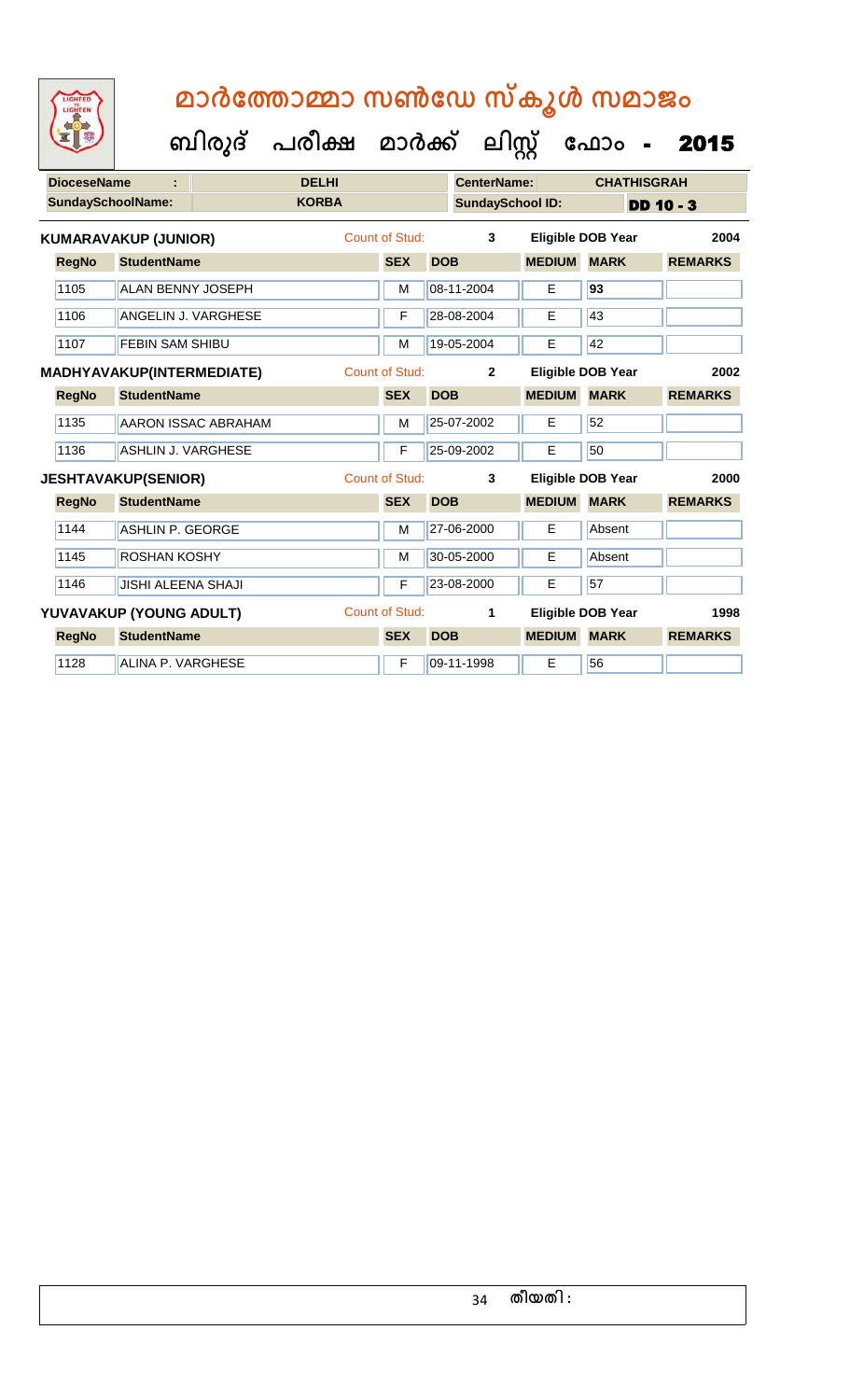| <b>DioceseName</b>       |                             | <b>DELHI</b>        |  |                       | <b>CenterName:</b>      |                | <b>CHATHISGRAH</b> |                          |                |
|--------------------------|-----------------------------|---------------------|--|-----------------------|-------------------------|----------------|--------------------|--------------------------|----------------|
| <b>SundaySchoolName:</b> |                             | <b>KORBA</b>        |  |                       | <b>SundaySchool ID:</b> |                | <b>DD 10 - 3</b>   |                          |                |
|                          | <b>KUMARAVAKUP (JUNIOR)</b> |                     |  | Count of Stud:        |                         | 3              |                    | <b>Eligible DOB Year</b> | 2004           |
| <b>RegNo</b>             | <b>StudentName</b>          |                     |  | <b>SEX</b>            | <b>DOB</b>              |                | <b>MEDIUM</b>      | <b>MARK</b>              | <b>REMARKS</b> |
| 1105                     | <b>ALAN BENNY JOSEPH</b>    |                     |  | M                     |                         | 08-11-2004     | E                  | 93                       |                |
| 1106                     | ANGELIN J. VARGHESE         |                     |  | F                     |                         | 28-08-2004     | E                  | 43                       |                |
| 1107                     | <b>FEBIN SAM SHIBU</b>      |                     |  | M                     |                         | 19-05-2004     | E                  | 42                       |                |
|                          | MADHYAVAKUP(INTERMEDIATE)   |                     |  | <b>Count of Stud:</b> |                         | $\overline{2}$ |                    | <b>Eligible DOB Year</b> | 2002           |
| <b>RegNo</b>             | <b>StudentName</b>          |                     |  | <b>SEX</b>            | <b>DOB</b>              |                | <b>MEDIUM</b>      | <b>MARK</b>              | <b>REMARKS</b> |
| 1135                     |                             | AARON ISSAC ABRAHAM |  | M                     |                         | 25-07-2002     | Е                  | 52                       |                |
| 1136                     | <b>ASHLIN J. VARGHESE</b>   |                     |  | F                     |                         | 25-09-2002     | E                  | 50                       |                |
|                          | <b>JESHTAVAKUP(SENIOR)</b>  |                     |  | Count of Stud:        |                         | 3              |                    | <b>Eligible DOB Year</b> | 2000           |
| <b>RegNo</b>             | <b>StudentName</b>          |                     |  | <b>SEX</b>            | <b>DOB</b>              |                | <b>MEDIUM</b>      | <b>MARK</b>              | <b>REMARKS</b> |
| 1144                     | <b>ASHLIN P. GEORGE</b>     |                     |  | M                     |                         | 27-06-2000     | E                  | Absent                   |                |
| 1145                     | ROSHAN KOSHY                |                     |  | M                     |                         | 30-05-2000     | Е                  | Absent                   |                |
| 1146                     | <b>JISHI ALEENA SHAJI</b>   |                     |  | F                     |                         | 23-08-2000     | Е                  | 57                       |                |
|                          | YUVAVAKUP (YOUNG ADULT)     |                     |  | Count of Stud:        |                         | 1              |                    | <b>Eligible DOB Year</b> | 1998           |
| <b>RegNo</b>             | <b>StudentName</b>          |                     |  | <b>SEX</b>            | <b>DOB</b>              |                | <b>MEDIUM</b>      | <b>MARK</b>              | <b>REMARKS</b> |
| 1128                     | ALINA P. VARGHESE           |                     |  | F                     |                         | 09-11-1998     | E                  | 56                       |                |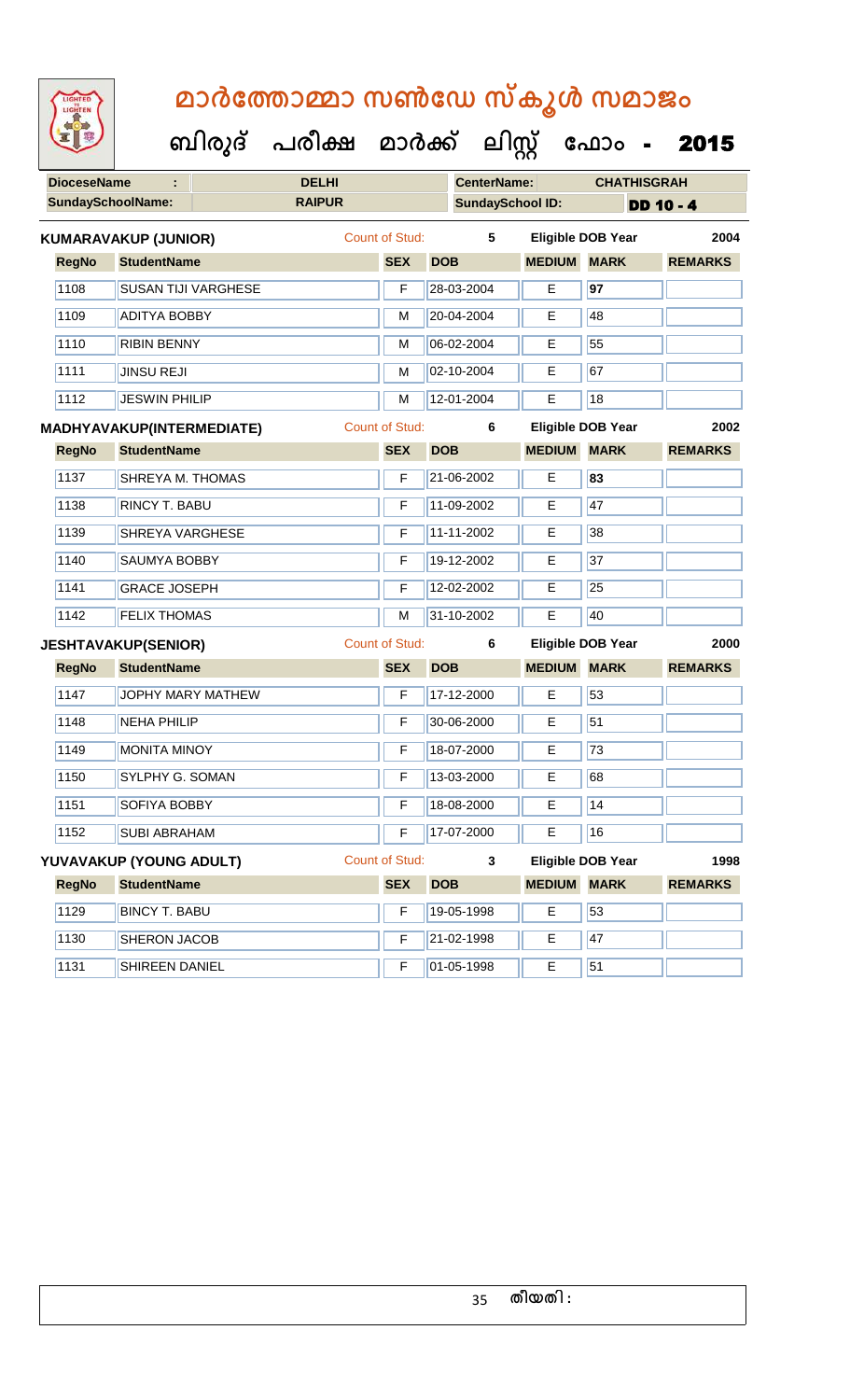| <b>IGHTED</b> |
|---------------|
|               |
|               |
|               |

**DioceseName : DELHI CenterName: CHATHISGRAH SundaySchoolName: RAIPUR SundaySchool ID: DD 10 - 4 ബിരുദ് പരീക്ഷ മാര്ക് ക ലിസ്റ്റ ക ഫ ാോം** - 2015 **RegNo StudentName SEX DOB MEDIUM MARK REMARKS KUMARAVAKUP (JUNIOR)** Count of Stud: **5 Eligible DOB Year 2004** 1108 SUSAN TIJI VARGHESE F 28-03-2004 E **97** 1109 ADITYA BOBBY M 20-04-2004 E 48 1110 RIBIN BENNY M 06-02-2004 E 55 1111 JINSU REJI M 02-10-2004 E 67 1112 JESWIN PHILIP M 12-01-2004 E 18 **RegNo StudentName SEX DOB MEDIUM MARK REMARKS MADHYAVAKUP(INTERMEDIATE)** Count of Stud: **6 Eligible DOB Year 2002** 1137 SHREYA M. THOMAS F 21-06-2002 E **83** 1138 RINCY T. BABU F 11-09-2002 E 47 1139 SHREYA VARGHESE F 11-11-2002 E 38 1140 SAUMYA BOBBY F 19-12-2002 E 37 1141 GRACE JOSEPH **F** 12-02-2002 **E** 25 1142 FELIX THOMAS M 31-10-2002 E 40 **RegNo StudentName SEX DOB MEDIUM MARK REMARKS JESHTAVAKUP(SENIOR)** Count of Stud: **6 Eligible DOB Year 2000** 1147 JOPHY MARY MATHEW **F** 17-12-2000 **E** 53 1148 NEHA PHILIP **F 30-06-2000** E 51 1149 MONITA MINOY F 18-07-2000 E 73 1150 SYLPHY G. SOMAN F 13-03-2000 E 68 1151 SOFIYA BOBBY **F** 18-08-2000 **E** 14 1152 SUBI ABRAHAM F 17-07-2000 E 16 **YUVAVAKUP (YOUNG ADULT)** Count of Stud: **3 Eligible DOB Year 1998**

| <b>RegNo</b> | <b>StudentName</b>    | <b>SEX</b> | <b>DOB</b> | <b>MEDIUM</b> | <b>MARK</b> | <b>REMARKS</b> |
|--------------|-----------------------|------------|------------|---------------|-------------|----------------|
| 1129         | <b>BINCY T. BABU</b>  |            | 19-05-1998 |               | 53          |                |
| 1130         | <b>SHERON JACOB</b>   |            | 21-02-1998 | Е             | 47          |                |
| 1131         | <b>SHIREEN DANIEL</b> |            | 01-05-1998 |               | 51          |                |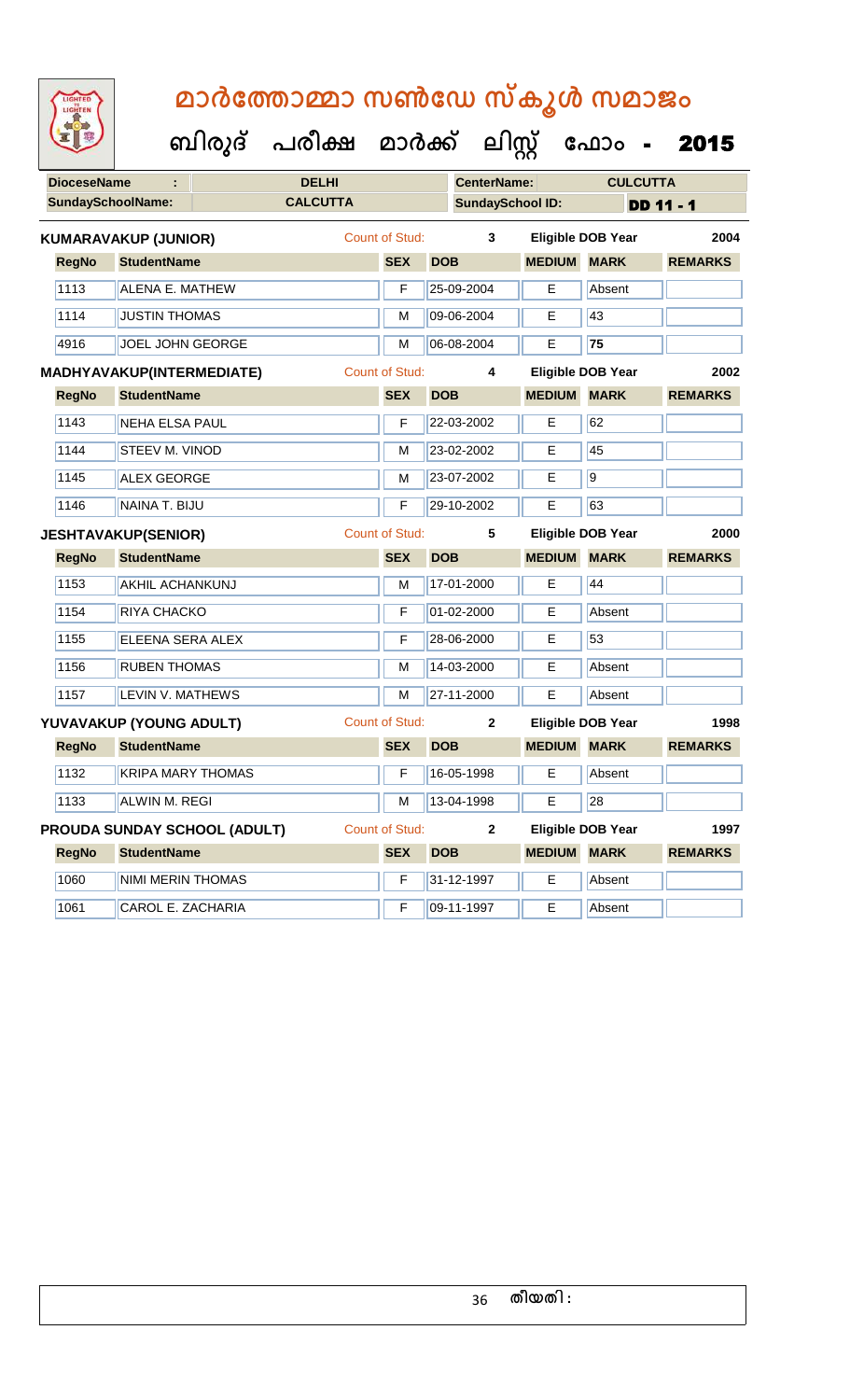| <b>DioceseName</b>          |                              |                            | <b>DELHI</b> |                                            |                       |            | <b>CenterName:</b> | <b>CULCUTTA</b>          |                          |  |                |      |
|-----------------------------|------------------------------|----------------------------|--------------|--------------------------------------------|-----------------------|------------|--------------------|--------------------------|--------------------------|--|----------------|------|
|                             |                              | <b>SundaySchoolName:</b>   |              | <b>CALCUTTA</b><br><b>SundaySchool ID:</b> |                       |            | <b>DD 11 - 1</b>   |                          |                          |  |                |      |
| <b>KUMARAVAKUP (JUNIOR)</b> |                              |                            |              |                                            | Count of Stud:        |            | 3                  |                          | <b>Eligible DOB Year</b> |  | 2004           |      |
|                             | <b>RegNo</b>                 | <b>StudentName</b>         |              |                                            | <b>SEX</b>            | <b>DOB</b> |                    | <b>MEDIUM MARK</b>       |                          |  | <b>REMARKS</b> |      |
|                             | 1113                         | <b>ALENA E. MATHEW</b>     |              |                                            | F                     |            | 25-09-2004         | Е                        | Absent                   |  |                |      |
|                             | 1114                         | <b>JUSTIN THOMAS</b>       |              |                                            | M                     |            | 09-06-2004         | Е                        | 43                       |  |                |      |
|                             | 4916                         | JOEL JOHN GEORGE           |              |                                            | M                     |            | 06-08-2004         | Е                        | 75                       |  |                |      |
|                             |                              | MADHYAVAKUP(INTERMEDIATE)  |              |                                            | <b>Count of Stud:</b> |            | 4                  | <b>Eligible DOB Year</b> |                          |  |                | 2002 |
|                             | <b>RegNo</b>                 | <b>StudentName</b>         |              |                                            | <b>SEX</b>            | <b>DOB</b> |                    | <b>MEDIUM MARK</b>       |                          |  | <b>REMARKS</b> |      |
|                             | 1143                         | <b>NEHA ELSA PAUL</b>      |              |                                            | F                     |            | 22-03-2002         | E                        | 62                       |  |                |      |
|                             | 1144                         | <b>STEEV M. VINOD</b>      |              |                                            | M                     |            | 23-02-2002         | Е                        | 45                       |  |                |      |
|                             | 1145                         | <b>ALEX GEORGE</b>         |              |                                            | M                     |            | 23-07-2002         | E                        | $\overline{9}$           |  |                |      |
|                             | 1146                         | NAINA T. BIJU              |              |                                            | F                     |            | 29-10-2002         | E                        | 63                       |  |                |      |
|                             |                              | <b>JESHTAVAKUP(SENIOR)</b> |              |                                            | <b>Count of Stud:</b> | 5          |                    |                          | <b>Eligible DOB Year</b> |  | 2000           |      |
|                             | <b>RegNo</b>                 | <b>StudentName</b>         |              |                                            | <b>SEX</b>            | <b>DOB</b> |                    | <b>MEDIUM MARK</b>       |                          |  | <b>REMARKS</b> |      |
|                             | 1153                         | <b>AKHIL ACHANKUNJ</b>     |              |                                            | M                     |            | 17-01-2000         | E                        | 44                       |  |                |      |
|                             | 1154                         | RIYA CHACKO                |              |                                            | F                     |            | 01-02-2000         | E                        | Absent                   |  |                |      |
|                             | 1155                         | ELEENA SERA ALEX           |              |                                            | F                     |            | 28-06-2000         | E                        | 53                       |  |                |      |
|                             | 1156                         | <b>RUBEN THOMAS</b>        |              |                                            | M                     |            | 14-03-2000         | Е                        | Absent                   |  |                |      |
|                             | 1157                         | <b>LEVIN V. MATHEWS</b>    |              |                                            | М                     |            | 27-11-2000         | Е                        | Absent                   |  |                |      |
|                             |                              | YUVAVAKUP (YOUNG ADULT)    |              |                                            | <b>Count of Stud:</b> |            | $\mathbf{2}$       | <b>Eligible DOB Year</b> |                          |  |                | 1998 |
|                             | <b>RegNo</b>                 | <b>StudentName</b>         |              |                                            | <b>SEX</b>            | <b>DOB</b> |                    | <b>MEDIUM MARK</b>       |                          |  | <b>REMARKS</b> |      |
|                             | 1132                         | <b>KRIPA MARY THOMAS</b>   |              |                                            | F                     |            | 16-05-1998         | E                        | Absent                   |  |                |      |
|                             | 1133                         | <b>ALWIN M. REGI</b>       |              |                                            |                       |            | M 13-04-1998       | E                        | 28                       |  |                |      |
|                             | PROUDA SUNDAY SCHOOL (ADULT) |                            |              |                                            | Count of Stud:        |            | $\mathbf{2}$       | <b>Eligible DOB Year</b> |                          |  |                | 1997 |
|                             | <b>RegNo</b>                 | <b>StudentName</b>         |              |                                            | <b>SEX</b>            | <b>DOB</b> |                    | <b>MEDIUM MARK</b>       |                          |  | <b>REMARKS</b> |      |
|                             | 1060                         | NIMI MERIN THOMAS          |              |                                            | F                     |            | 31-12-1997         | E                        | Absent                   |  |                |      |
|                             | 1061                         | CAROL E. ZACHARIA          |              |                                            | F                     |            | 09-11-1997         | Е                        | Absent                   |  |                |      |